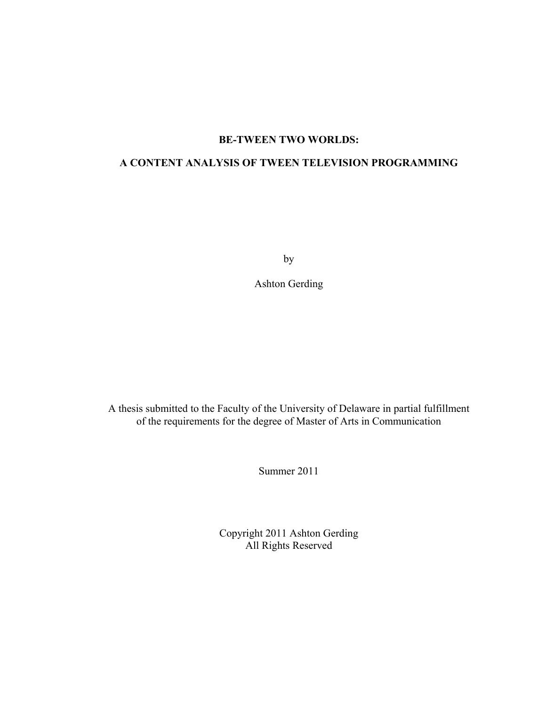### **BE-TWEEN TWO WORLDS:**

# **A CONTENT ANALYSIS OF TWEEN TELEVISION PROGRAMMING**

by

Ashton Gerding

A thesis submitted to the Faculty of the University of Delaware in partial fulfillment of the requirements for the degree of Master of Arts in Communication

Summer 2011

Copyright 2011 Ashton Gerding All Rights Reserved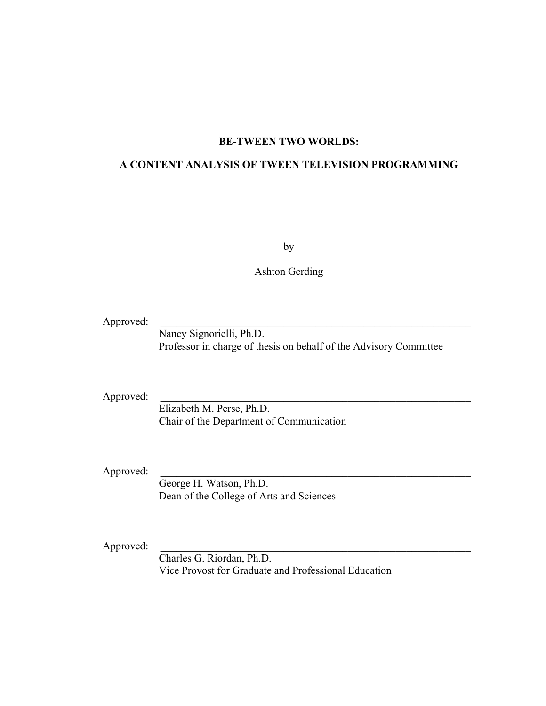### **BE-TWEEN TWO WORLDS:**

### **A CONTENT ANALYSIS OF TWEEN TELEVISION PROGRAMMING**

by

Ashton Gerding

Approved:

 Nancy Signorielli, Ph.D. Professor in charge of thesis on behalf of the Advisory Committee

Approved:

 Elizabeth M. Perse, Ph.D. Chair of the Department of Communication

Approved:

 George H. Watson, Ph.D. Dean of the College of Arts and Sciences

Approved:

 Charles G. Riordan, Ph.D. Vice Provost for Graduate and Professional Education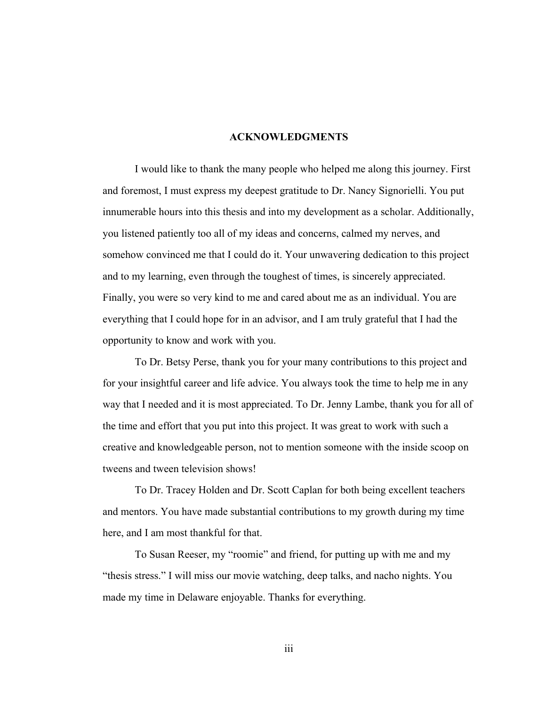### **ACKNOWLEDGMENTS**

I would like to thank the many people who helped me along this journey. First and foremost, I must express my deepest gratitude to Dr. Nancy Signorielli. You put innumerable hours into this thesis and into my development as a scholar. Additionally, you listened patiently too all of my ideas and concerns, calmed my nerves, and somehow convinced me that I could do it. Your unwavering dedication to this project and to my learning, even through the toughest of times, is sincerely appreciated. Finally, you were so very kind to me and cared about me as an individual. You are everything that I could hope for in an advisor, and I am truly grateful that I had the opportunity to know and work with you.

To Dr. Betsy Perse, thank you for your many contributions to this project and for your insightful career and life advice. You always took the time to help me in any way that I needed and it is most appreciated. To Dr. Jenny Lambe, thank you for all of the time and effort that you put into this project. It was great to work with such a creative and knowledgeable person, not to mention someone with the inside scoop on tweens and tween television shows!

To Dr. Tracey Holden and Dr. Scott Caplan for both being excellent teachers and mentors. You have made substantial contributions to my growth during my time here, and I am most thankful for that.

To Susan Reeser, my "roomie" and friend, for putting up with me and my "thesis stress." I will miss our movie watching, deep talks, and nacho nights. You made my time in Delaware enjoyable. Thanks for everything.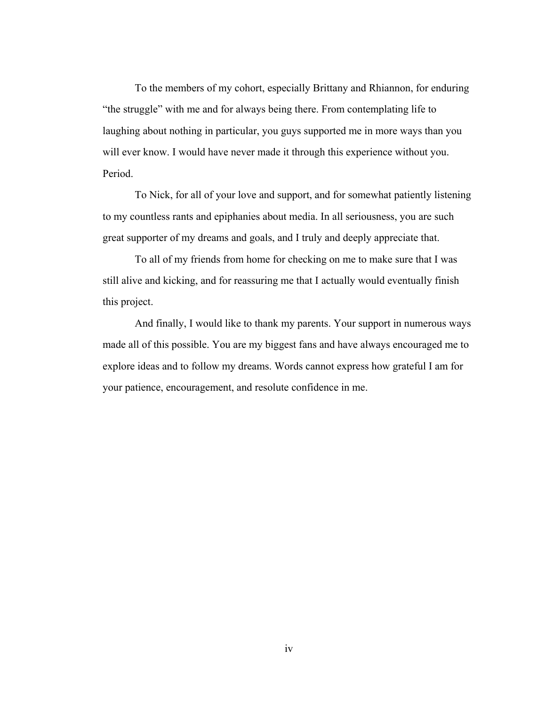To the members of my cohort, especially Brittany and Rhiannon, for enduring "the struggle" with me and for always being there. From contemplating life to laughing about nothing in particular, you guys supported me in more ways than you will ever know. I would have never made it through this experience without you. Period.

To Nick, for all of your love and support, and for somewhat patiently listening to my countless rants and epiphanies about media. In all seriousness, you are such great supporter of my dreams and goals, and I truly and deeply appreciate that.

To all of my friends from home for checking on me to make sure that I was still alive and kicking, and for reassuring me that I actually would eventually finish this project.

And finally, I would like to thank my parents. Your support in numerous ways made all of this possible. You are my biggest fans and have always encouraged me to explore ideas and to follow my dreams. Words cannot express how grateful I am for your patience, encouragement, and resolute confidence in me.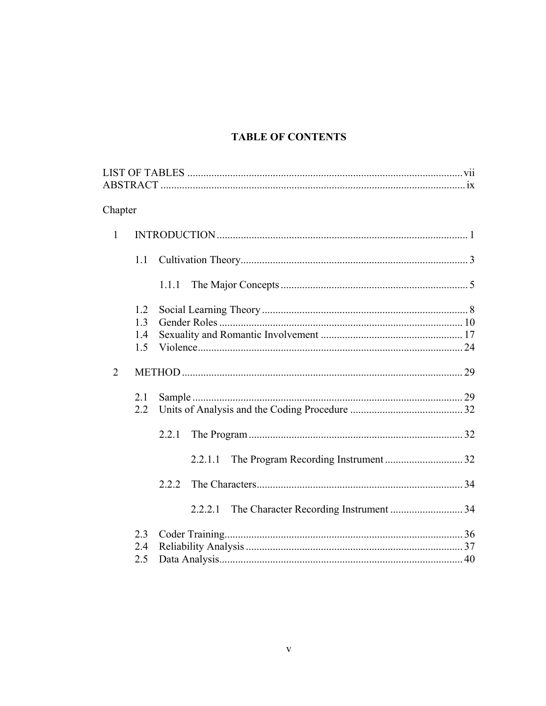# **TABLE OF CONTENTS**

| Chapter        |            |         |  |
|----------------|------------|---------|--|
| $\mathbf{1}$   |            |         |  |
|                | 1.1        |         |  |
|                |            | 1.1.1   |  |
|                | 1.2        |         |  |
|                | 1.3        |         |  |
|                | 1.4<br>1.5 |         |  |
|                |            |         |  |
| $\overline{2}$ |            |         |  |
|                | 2.1        |         |  |
|                | 2.2        |         |  |
|                |            | 2.2.1   |  |
|                |            | 2.2.1.1 |  |
|                |            | 2.2.2   |  |
|                |            | 2.2.2.1 |  |
|                | 2.3        |         |  |
|                | 2.4        |         |  |
|                | 2.5        |         |  |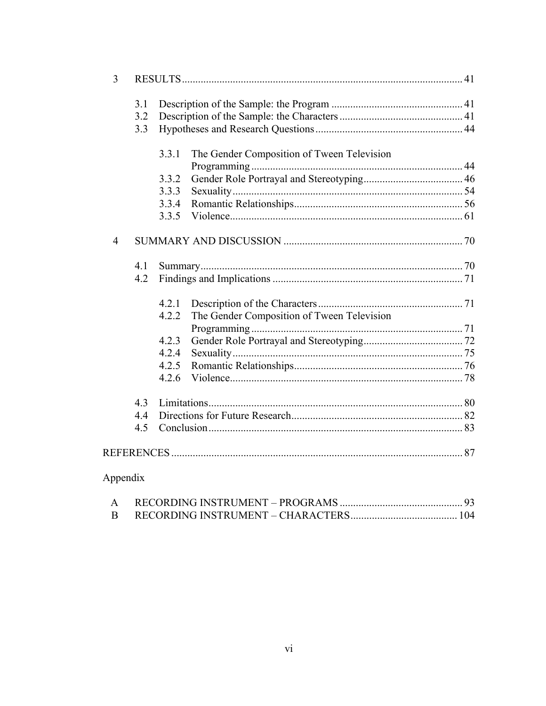| $\overline{3}$ |       |                                            |  |
|----------------|-------|--------------------------------------------|--|
| 3.1            |       |                                            |  |
| 3.2            |       |                                            |  |
| 3.3            |       |                                            |  |
|                | 3.3.1 | The Gender Composition of Tween Television |  |
|                |       |                                            |  |
|                | 3.3.2 |                                            |  |
|                | 3.3.3 |                                            |  |
|                | 3.3.4 |                                            |  |
|                | 3.3.5 |                                            |  |
| $\overline{4}$ |       |                                            |  |
| 4.1            |       |                                            |  |
| 4.2            |       |                                            |  |
|                | 4.2.1 |                                            |  |
|                | 4.2.2 | The Gender Composition of Tween Television |  |
|                |       |                                            |  |
|                | 4.2.3 |                                            |  |
|                | 4.2.4 |                                            |  |
|                |       |                                            |  |
|                | 4.2.5 |                                            |  |
|                | 4.2.6 |                                            |  |
| 4.3            |       |                                            |  |
| 4.4            |       |                                            |  |
| 4.5            |       |                                            |  |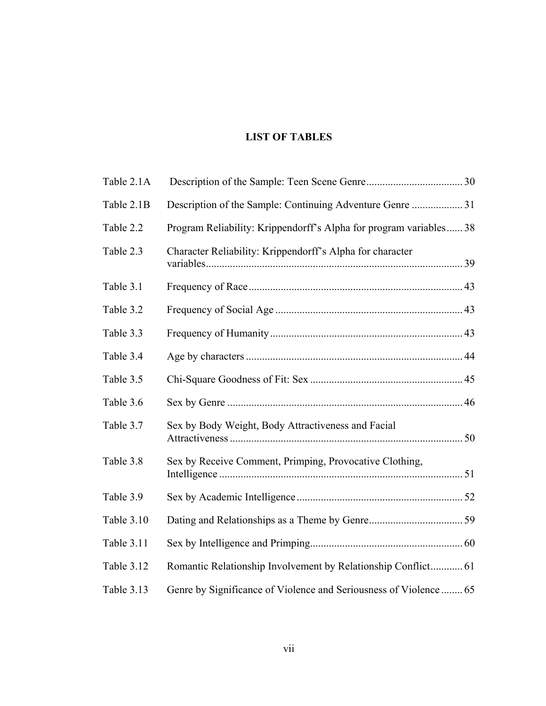# **LIST OF TABLES**

| Table 2.1A        |                                                                    |  |
|-------------------|--------------------------------------------------------------------|--|
| Table 2.1B        |                                                                    |  |
| Table 2.2         | Program Reliability: Krippendorff's Alpha for program variables 38 |  |
| Table 2.3         | Character Reliability: Krippendorff's Alpha for character          |  |
| Table 3.1         |                                                                    |  |
| Table 3.2         |                                                                    |  |
| Table 3.3         |                                                                    |  |
| Table 3.4         |                                                                    |  |
| Table 3.5         |                                                                    |  |
| Table 3.6         |                                                                    |  |
| Table 3.7         | Sex by Body Weight, Body Attractiveness and Facial                 |  |
| Table 3.8         | Sex by Receive Comment, Primping, Provocative Clothing,            |  |
| Table 3.9         |                                                                    |  |
| Table 3.10        |                                                                    |  |
| <b>Table 3.11</b> |                                                                    |  |
| Table 3.12        | Romantic Relationship Involvement by Relationship Conflict 61      |  |
| Table 3.13        | Genre by Significance of Violence and Seriousness of Violence  65  |  |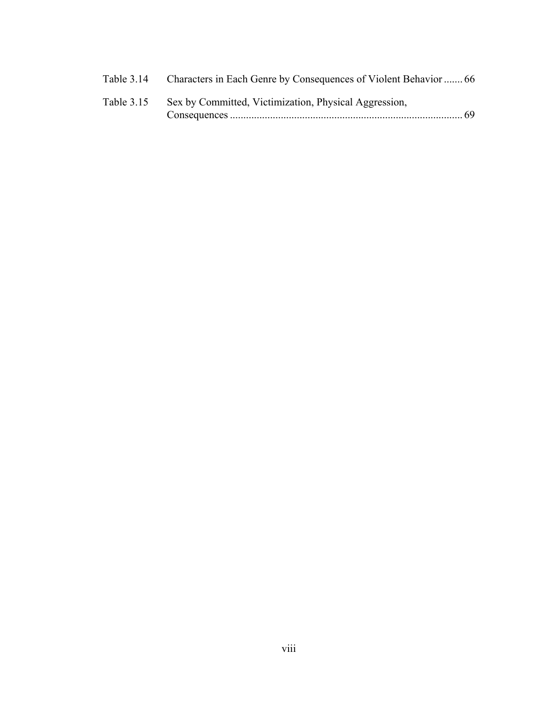| Table 3.14 |                                                       |  |
|------------|-------------------------------------------------------|--|
| Table 3.15 | Sex by Committed, Victimization, Physical Aggression, |  |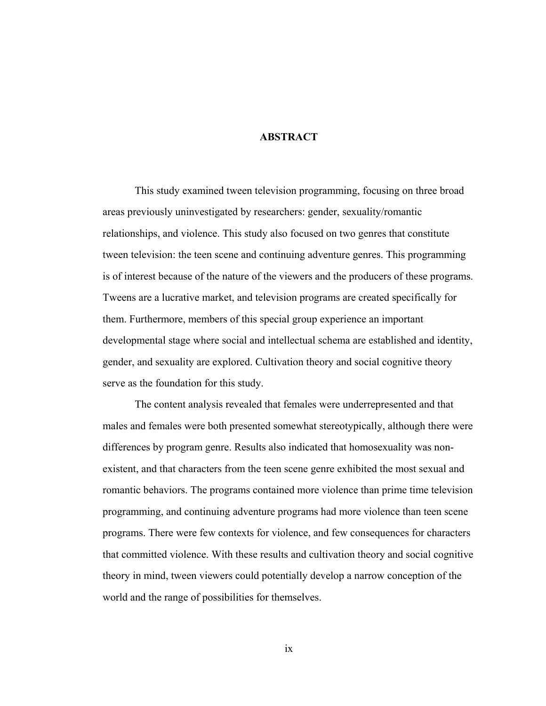### **ABSTRACT**

This study examined tween television programming, focusing on three broad areas previously uninvestigated by researchers: gender, sexuality/romantic relationships, and violence. This study also focused on two genres that constitute tween television: the teen scene and continuing adventure genres. This programming is of interest because of the nature of the viewers and the producers of these programs. Tweens are a lucrative market, and television programs are created specifically for them. Furthermore, members of this special group experience an important developmental stage where social and intellectual schema are established and identity, gender, and sexuality are explored. Cultivation theory and social cognitive theory serve as the foundation for this study.

The content analysis revealed that females were underrepresented and that males and females were both presented somewhat stereotypically, although there were differences by program genre. Results also indicated that homosexuality was nonexistent, and that characters from the teen scene genre exhibited the most sexual and romantic behaviors. The programs contained more violence than prime time television programming, and continuing adventure programs had more violence than teen scene programs. There were few contexts for violence, and few consequences for characters that committed violence. With these results and cultivation theory and social cognitive theory in mind, tween viewers could potentially develop a narrow conception of the world and the range of possibilities for themselves.

ix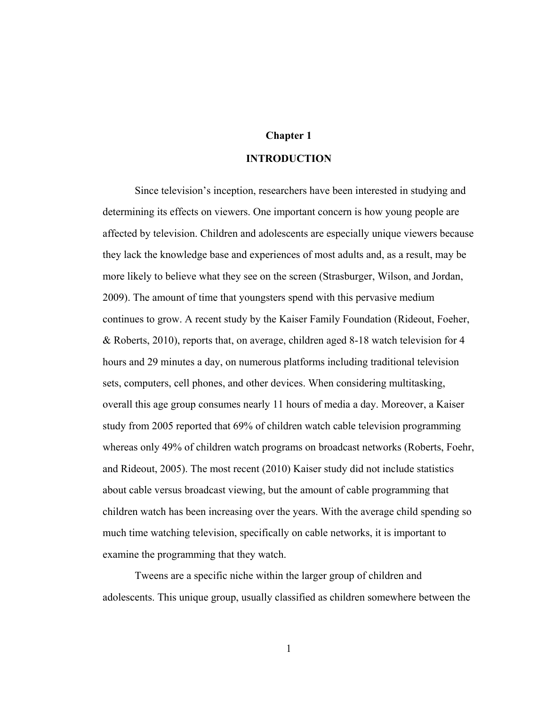## **Chapter 1**

### **INTRODUCTION**

Since television's inception, researchers have been interested in studying and determining its effects on viewers. One important concern is how young people are affected by television. Children and adolescents are especially unique viewers because they lack the knowledge base and experiences of most adults and, as a result, may be more likely to believe what they see on the screen (Strasburger, Wilson, and Jordan, 2009). The amount of time that youngsters spend with this pervasive medium continues to grow. A recent study by the Kaiser Family Foundation (Rideout, Foeher, & Roberts, 2010), reports that, on average, children aged 8-18 watch television for 4 hours and 29 minutes a day, on numerous platforms including traditional television sets, computers, cell phones, and other devices. When considering multitasking, overall this age group consumes nearly 11 hours of media a day. Moreover, a Kaiser study from 2005 reported that 69% of children watch cable television programming whereas only 49% of children watch programs on broadcast networks (Roberts, Foehr, and Rideout, 2005). The most recent (2010) Kaiser study did not include statistics about cable versus broadcast viewing, but the amount of cable programming that children watch has been increasing over the years. With the average child spending so much time watching television, specifically on cable networks, it is important to examine the programming that they watch.

Tweens are a specific niche within the larger group of children and adolescents. This unique group, usually classified as children somewhere between the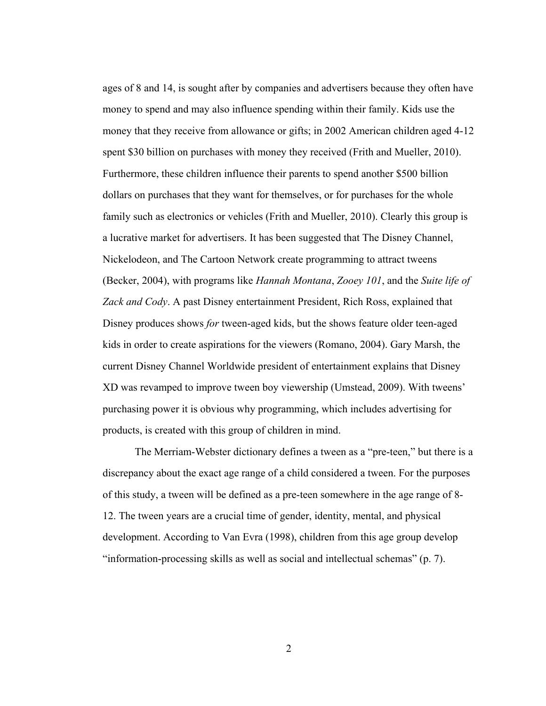ages of 8 and 14, is sought after by companies and advertisers because they often have money to spend and may also influence spending within their family. Kids use the money that they receive from allowance or gifts; in 2002 American children aged 4-12 spent \$30 billion on purchases with money they received (Frith and Mueller, 2010). Furthermore, these children influence their parents to spend another \$500 billion dollars on purchases that they want for themselves, or for purchases for the whole family such as electronics or vehicles (Frith and Mueller, 2010). Clearly this group is a lucrative market for advertisers. It has been suggested that The Disney Channel, Nickelodeon, and The Cartoon Network create programming to attract tweens (Becker, 2004), with programs like *Hannah Montana*, *Zooey 101*, and the *Suite life of Zack and Cody*. A past Disney entertainment President, Rich Ross, explained that Disney produces shows *for* tween-aged kids, but the shows feature older teen-aged kids in order to create aspirations for the viewers (Romano, 2004). Gary Marsh, the current Disney Channel Worldwide president of entertainment explains that Disney XD was revamped to improve tween boy viewership (Umstead, 2009). With tweens' purchasing power it is obvious why programming, which includes advertising for products, is created with this group of children in mind.

The Merriam-Webster dictionary defines a tween as a "pre-teen," but there is a discrepancy about the exact age range of a child considered a tween. For the purposes of this study, a tween will be defined as a pre-teen somewhere in the age range of 8- 12. The tween years are a crucial time of gender, identity, mental, and physical development. According to Van Evra (1998), children from this age group develop "information-processing skills as well as social and intellectual schemas" (p. 7).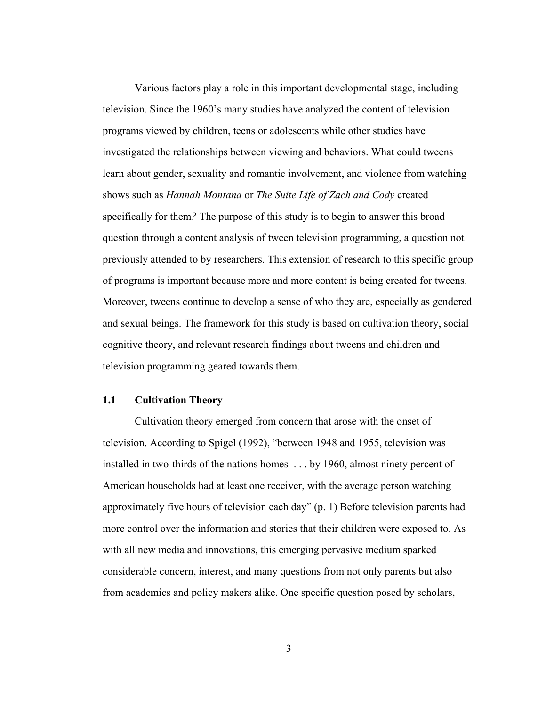Various factors play a role in this important developmental stage, including television. Since the 1960's many studies have analyzed the content of television programs viewed by children, teens or adolescents while other studies have investigated the relationships between viewing and behaviors. What could tweens learn about gender, sexuality and romantic involvement, and violence from watching shows such as *Hannah Montana* or *The Suite Life of Zach and Cody* created specifically for them*?* The purpose of this study is to begin to answer this broad question through a content analysis of tween television programming, a question not previously attended to by researchers. This extension of research to this specific group of programs is important because more and more content is being created for tweens. Moreover, tweens continue to develop a sense of who they are, especially as gendered and sexual beings. The framework for this study is based on cultivation theory, social cognitive theory, and relevant research findings about tweens and children and television programming geared towards them.

### **1.1 Cultivation Theory**

Cultivation theory emerged from concern that arose with the onset of television. According to Spigel (1992), "between 1948 and 1955, television was installed in two-thirds of the nations homes . . . by 1960, almost ninety percent of American households had at least one receiver, with the average person watching approximately five hours of television each day" (p. 1) Before television parents had more control over the information and stories that their children were exposed to. As with all new media and innovations, this emerging pervasive medium sparked considerable concern, interest, and many questions from not only parents but also from academics and policy makers alike. One specific question posed by scholars,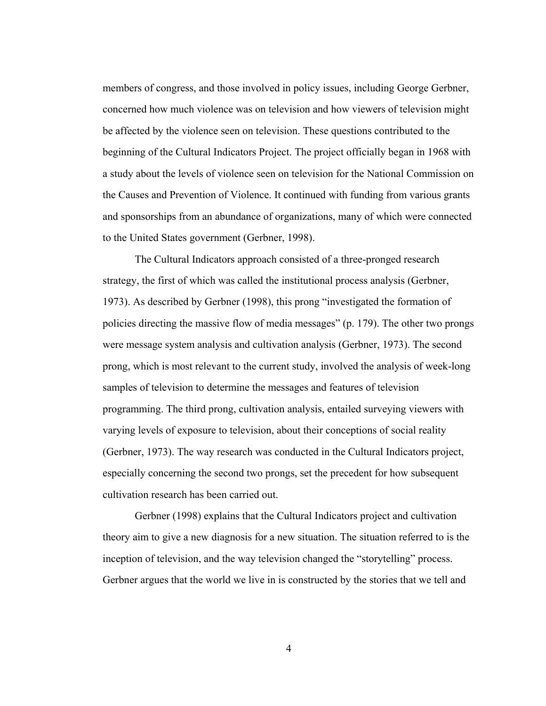members of congress, and those involved in policy issues, including George Gerbner, concerned how much violence was on television and how viewers of television might be affected by the violence seen on television. These questions contributed to the beginning of the Cultural Indicators Project. The project officially began in 1968 with a study about the levels of violence seen on television for the National Commission on the Causes and Prevention of Violence. It continued with funding from various grants and sponsorships from an abundance of organizations, many of which were connected to the United States government (Gerbner, 1998).

The Cultural Indicators approach consisted of a three-pronged research strategy, the first of which was called the institutional process analysis (Gerbner, 1973). As described by Gerbner (1998), this prong "investigated the formation of policies directing the massive flow of media messages" (p. 179). The other two prongs were message system analysis and cultivation analysis (Gerbner, 1973). The second prong, which is most relevant to the current study, involved the analysis of week-long samples of television to determine the messages and features of television programming. The third prong, cultivation analysis, entailed surveying viewers with varying levels of exposure to television, about their conceptions of social reality (Gerbner, 1973). The way research was conducted in the Cultural Indicators project, especially concerning the second two prongs, set the precedent for how subsequent cultivation research has been carried out.

Gerbner (1998) explains that the Cultural Indicators project and cultivation theory aim to give a new diagnosis for a new situation. The situation referred to is the inception of television, and the way television changed the "storytelling" process. Gerbner argues that the world we live in is constructed by the stories that we tell and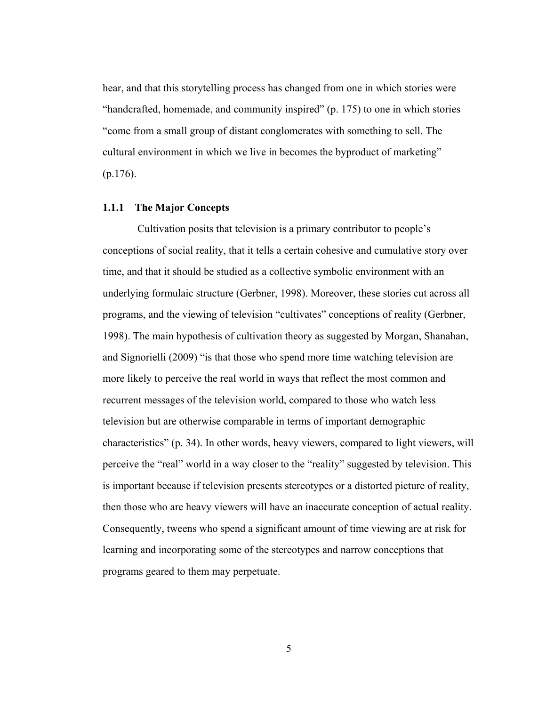hear, and that this storytelling process has changed from one in which stories were "handcrafted, homemade, and community inspired" (p. 175) to one in which stories "come from a small group of distant conglomerates with something to sell. The cultural environment in which we live in becomes the byproduct of marketing" (p.176).

#### **1.1.1 The Major Concepts**

 Cultivation posits that television is a primary contributor to people's conceptions of social reality, that it tells a certain cohesive and cumulative story over time, and that it should be studied as a collective symbolic environment with an underlying formulaic structure (Gerbner, 1998). Moreover, these stories cut across all programs, and the viewing of television "cultivates" conceptions of reality (Gerbner, 1998). The main hypothesis of cultivation theory as suggested by Morgan, Shanahan, and Signorielli (2009) "is that those who spend more time watching television are more likely to perceive the real world in ways that reflect the most common and recurrent messages of the television world, compared to those who watch less television but are otherwise comparable in terms of important demographic characteristics" (p. 34). In other words, heavy viewers, compared to light viewers, will perceive the "real" world in a way closer to the "reality" suggested by television. This is important because if television presents stereotypes or a distorted picture of reality, then those who are heavy viewers will have an inaccurate conception of actual reality. Consequently, tweens who spend a significant amount of time viewing are at risk for learning and incorporating some of the stereotypes and narrow conceptions that programs geared to them may perpetuate.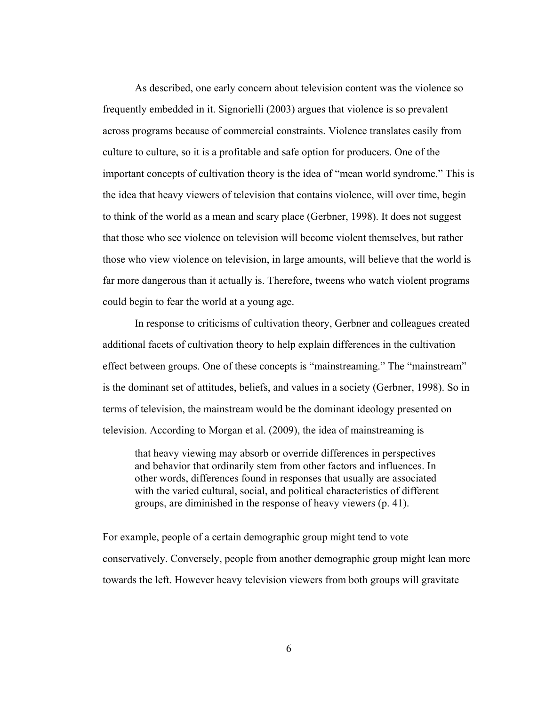As described, one early concern about television content was the violence so frequently embedded in it. Signorielli (2003) argues that violence is so prevalent across programs because of commercial constraints. Violence translates easily from culture to culture, so it is a profitable and safe option for producers. One of the important concepts of cultivation theory is the idea of "mean world syndrome." This is the idea that heavy viewers of television that contains violence, will over time, begin to think of the world as a mean and scary place (Gerbner, 1998). It does not suggest that those who see violence on television will become violent themselves, but rather those who view violence on television, in large amounts, will believe that the world is far more dangerous than it actually is. Therefore, tweens who watch violent programs could begin to fear the world at a young age.

In response to criticisms of cultivation theory, Gerbner and colleagues created additional facets of cultivation theory to help explain differences in the cultivation effect between groups. One of these concepts is "mainstreaming." The "mainstream" is the dominant set of attitudes, beliefs, and values in a society (Gerbner, 1998). So in terms of television, the mainstream would be the dominant ideology presented on television. According to Morgan et al. (2009), the idea of mainstreaming is

that heavy viewing may absorb or override differences in perspectives and behavior that ordinarily stem from other factors and influences. In other words, differences found in responses that usually are associated with the varied cultural, social, and political characteristics of different groups, are diminished in the response of heavy viewers (p. 41).

For example, people of a certain demographic group might tend to vote conservatively. Conversely, people from another demographic group might lean more towards the left. However heavy television viewers from both groups will gravitate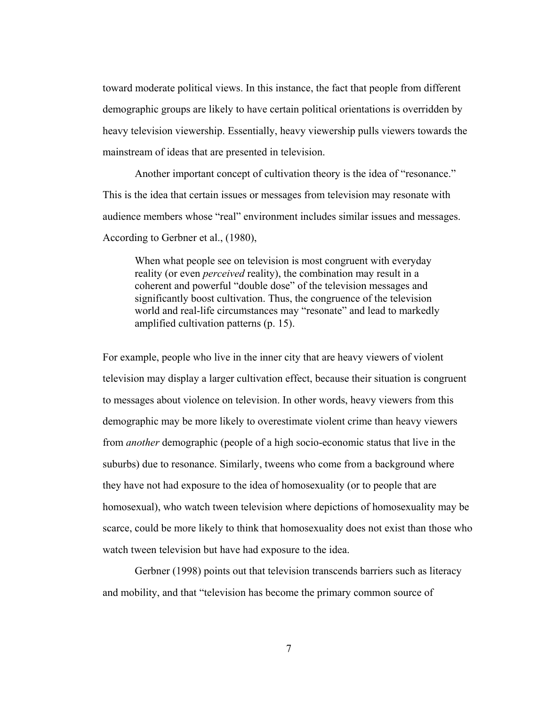toward moderate political views. In this instance, the fact that people from different demographic groups are likely to have certain political orientations is overridden by heavy television viewership. Essentially, heavy viewership pulls viewers towards the mainstream of ideas that are presented in television.

Another important concept of cultivation theory is the idea of "resonance." This is the idea that certain issues or messages from television may resonate with audience members whose "real" environment includes similar issues and messages. According to Gerbner et al., (1980),

When what people see on television is most congruent with everyday reality (or even *perceived* reality), the combination may result in a coherent and powerful "double dose" of the television messages and significantly boost cultivation. Thus, the congruence of the television world and real-life circumstances may "resonate" and lead to markedly amplified cultivation patterns (p. 15).

For example, people who live in the inner city that are heavy viewers of violent television may display a larger cultivation effect, because their situation is congruent to messages about violence on television. In other words, heavy viewers from this demographic may be more likely to overestimate violent crime than heavy viewers from *another* demographic (people of a high socio-economic status that live in the suburbs) due to resonance. Similarly, tweens who come from a background where they have not had exposure to the idea of homosexuality (or to people that are homosexual), who watch tween television where depictions of homosexuality may be scarce, could be more likely to think that homosexuality does not exist than those who watch tween television but have had exposure to the idea.

Gerbner (1998) points out that television transcends barriers such as literacy and mobility, and that "television has become the primary common source of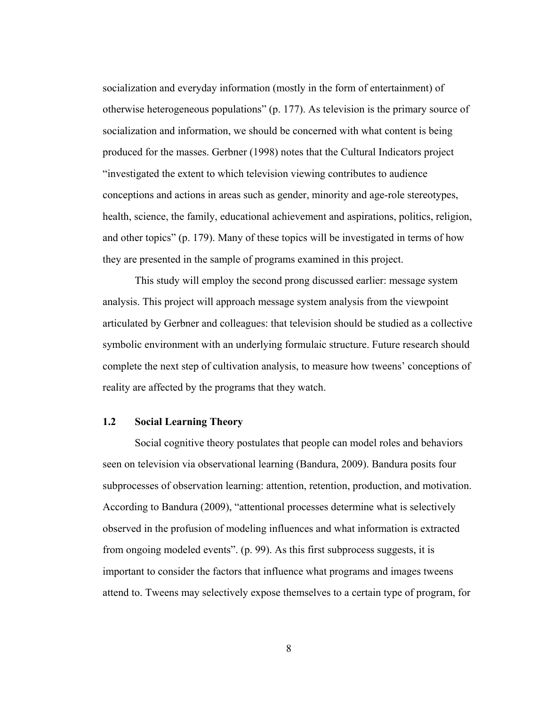socialization and everyday information (mostly in the form of entertainment) of otherwise heterogeneous populations" (p. 177). As television is the primary source of socialization and information, we should be concerned with what content is being produced for the masses. Gerbner (1998) notes that the Cultural Indicators project "investigated the extent to which television viewing contributes to audience conceptions and actions in areas such as gender, minority and age-role stereotypes, health, science, the family, educational achievement and aspirations, politics, religion, and other topics" (p. 179). Many of these topics will be investigated in terms of how they are presented in the sample of programs examined in this project.

This study will employ the second prong discussed earlier: message system analysis. This project will approach message system analysis from the viewpoint articulated by Gerbner and colleagues: that television should be studied as a collective symbolic environment with an underlying formulaic structure. Future research should complete the next step of cultivation analysis, to measure how tweens' conceptions of reality are affected by the programs that they watch.

### **1.2 Social Learning Theory**

Social cognitive theory postulates that people can model roles and behaviors seen on television via observational learning (Bandura, 2009). Bandura posits four subprocesses of observation learning: attention, retention, production, and motivation. According to Bandura (2009), "attentional processes determine what is selectively observed in the profusion of modeling influences and what information is extracted from ongoing modeled events". (p. 99). As this first subprocess suggests, it is important to consider the factors that influence what programs and images tweens attend to. Tweens may selectively expose themselves to a certain type of program, for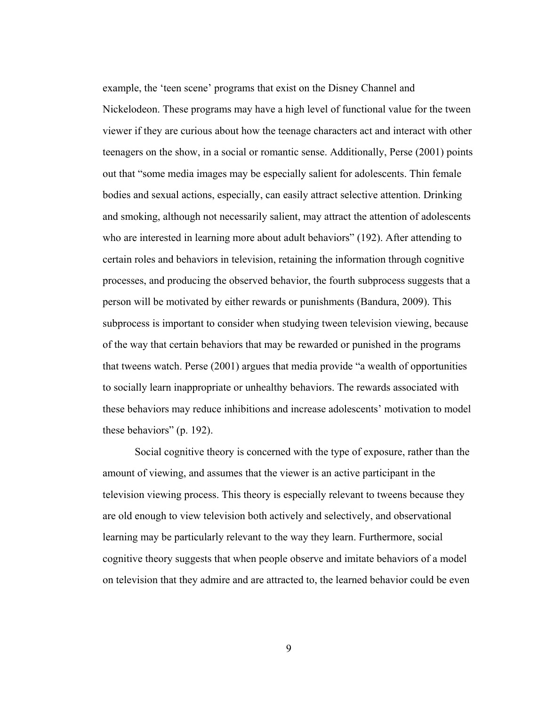example, the 'teen scene' programs that exist on the Disney Channel and Nickelodeon. These programs may have a high level of functional value for the tween viewer if they are curious about how the teenage characters act and interact with other teenagers on the show, in a social or romantic sense. Additionally, Perse (2001) points out that "some media images may be especially salient for adolescents. Thin female bodies and sexual actions, especially, can easily attract selective attention. Drinking and smoking, although not necessarily salient, may attract the attention of adolescents who are interested in learning more about adult behaviors" (192). After attending to certain roles and behaviors in television, retaining the information through cognitive processes, and producing the observed behavior, the fourth subprocess suggests that a person will be motivated by either rewards or punishments (Bandura, 2009). This subprocess is important to consider when studying tween television viewing, because of the way that certain behaviors that may be rewarded or punished in the programs that tweens watch. Perse (2001) argues that media provide "a wealth of opportunities to socially learn inappropriate or unhealthy behaviors. The rewards associated with these behaviors may reduce inhibitions and increase adolescents' motivation to model these behaviors" (p. 192).

Social cognitive theory is concerned with the type of exposure, rather than the amount of viewing, and assumes that the viewer is an active participant in the television viewing process. This theory is especially relevant to tweens because they are old enough to view television both actively and selectively, and observational learning may be particularly relevant to the way they learn. Furthermore, social cognitive theory suggests that when people observe and imitate behaviors of a model on television that they admire and are attracted to, the learned behavior could be even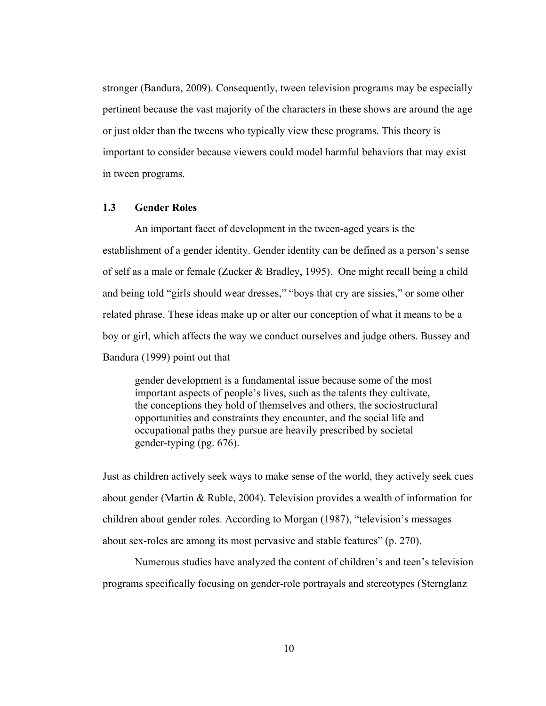stronger (Bandura, 2009). Consequently, tween television programs may be especially pertinent because the vast majority of the characters in these shows are around the age or just older than the tweens who typically view these programs. This theory is important to consider because viewers could model harmful behaviors that may exist in tween programs.

## **1.3 Gender Roles**

An important facet of development in the tween-aged years is the establishment of a gender identity. Gender identity can be defined as a person's sense of self as a male or female (Zucker & Bradley, 1995). One might recall being a child and being told "girls should wear dresses," "boys that cry are sissies," or some other related phrase. These ideas make up or alter our conception of what it means to be a boy or girl, which affects the way we conduct ourselves and judge others. Bussey and Bandura (1999) point out that

gender development is a fundamental issue because some of the most important aspects of people's lives, such as the talents they cultivate, the conceptions they hold of themselves and others, the sociostructural opportunities and constraints they encounter, and the social life and occupational paths they pursue are heavily prescribed by societal gender-typing (pg. 676).

Just as children actively seek ways to make sense of the world, they actively seek cues about gender (Martin & Ruble, 2004). Television provides a wealth of information for children about gender roles. According to Morgan (1987), "television's messages about sex-roles are among its most pervasive and stable features" (p. 270).

Numerous studies have analyzed the content of children's and teen's television programs specifically focusing on gender-role portrayals and stereotypes (Sternglanz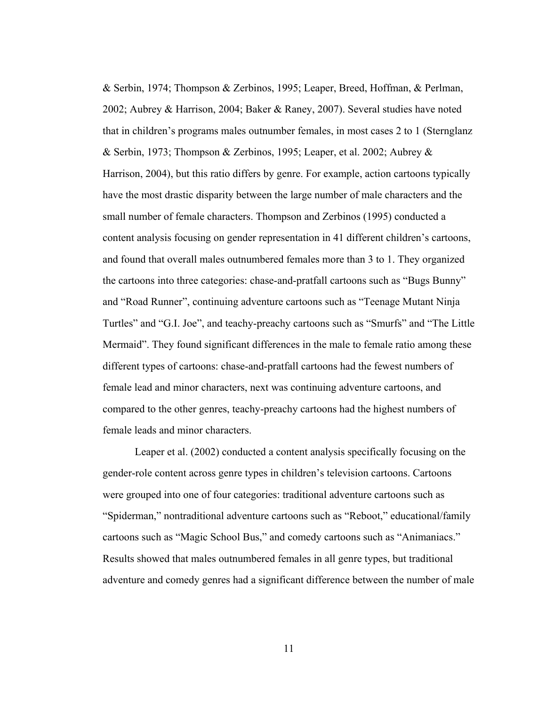& Serbin, 1974; Thompson & Zerbinos, 1995; Leaper, Breed, Hoffman, & Perlman, 2002; Aubrey & Harrison, 2004; Baker & Raney, 2007). Several studies have noted that in children's programs males outnumber females, in most cases 2 to 1 (Sternglanz & Serbin, 1973; Thompson & Zerbinos, 1995; Leaper, et al. 2002; Aubrey & Harrison, 2004), but this ratio differs by genre. For example, action cartoons typically have the most drastic disparity between the large number of male characters and the small number of female characters. Thompson and Zerbinos (1995) conducted a content analysis focusing on gender representation in 41 different children's cartoons, and found that overall males outnumbered females more than 3 to 1. They organized the cartoons into three categories: chase-and-pratfall cartoons such as "Bugs Bunny" and "Road Runner", continuing adventure cartoons such as "Teenage Mutant Ninja Turtles" and "G.I. Joe", and teachy-preachy cartoons such as "Smurfs" and "The Little Mermaid". They found significant differences in the male to female ratio among these different types of cartoons: chase-and-pratfall cartoons had the fewest numbers of female lead and minor characters, next was continuing adventure cartoons, and compared to the other genres, teachy-preachy cartoons had the highest numbers of female leads and minor characters.

Leaper et al. (2002) conducted a content analysis specifically focusing on the gender-role content across genre types in children's television cartoons. Cartoons were grouped into one of four categories: traditional adventure cartoons such as "Spiderman," nontraditional adventure cartoons such as "Reboot," educational/family cartoons such as "Magic School Bus," and comedy cartoons such as "Animaniacs." Results showed that males outnumbered females in all genre types, but traditional adventure and comedy genres had a significant difference between the number of male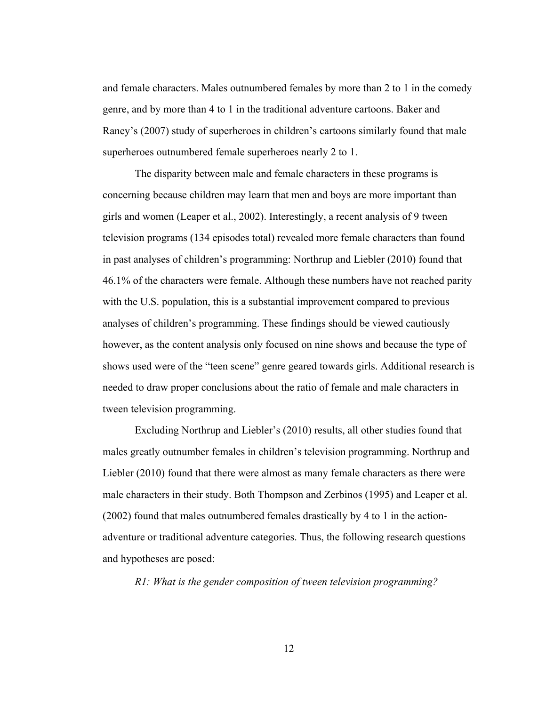and female characters. Males outnumbered females by more than 2 to 1 in the comedy genre, and by more than 4 to 1 in the traditional adventure cartoons. Baker and Raney's (2007) study of superheroes in children's cartoons similarly found that male superheroes outnumbered female superheroes nearly 2 to 1.

The disparity between male and female characters in these programs is concerning because children may learn that men and boys are more important than girls and women (Leaper et al., 2002). Interestingly, a recent analysis of 9 tween television programs (134 episodes total) revealed more female characters than found in past analyses of children's programming: Northrup and Liebler (2010) found that 46.1% of the characters were female. Although these numbers have not reached parity with the U.S. population, this is a substantial improvement compared to previous analyses of children's programming. These findings should be viewed cautiously however, as the content analysis only focused on nine shows and because the type of shows used were of the "teen scene" genre geared towards girls. Additional research is needed to draw proper conclusions about the ratio of female and male characters in tween television programming.

Excluding Northrup and Liebler's (2010) results, all other studies found that males greatly outnumber females in children's television programming. Northrup and Liebler (2010) found that there were almost as many female characters as there were male characters in their study. Both Thompson and Zerbinos (1995) and Leaper et al. (2002) found that males outnumbered females drastically by 4 to 1 in the actionadventure or traditional adventure categories. Thus, the following research questions and hypotheses are posed:

*R1: What is the gender composition of tween television programming?*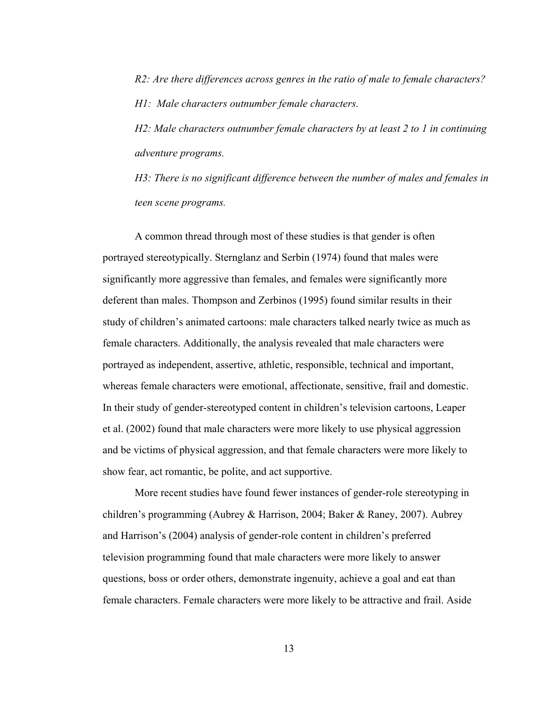*R2: Are there differences across genres in the ratio of male to female characters? H1: Male characters outnumber female characters.* 

*H2: Male characters outnumber female characters by at least 2 to 1 in continuing adventure programs.* 

*H3: There is no significant difference between the number of males and females in teen scene programs.* 

A common thread through most of these studies is that gender is often portrayed stereotypically. Sternglanz and Serbin (1974) found that males were significantly more aggressive than females, and females were significantly more deferent than males. Thompson and Zerbinos (1995) found similar results in their study of children's animated cartoons: male characters talked nearly twice as much as female characters. Additionally, the analysis revealed that male characters were portrayed as independent, assertive, athletic, responsible, technical and important, whereas female characters were emotional, affectionate, sensitive, frail and domestic. In their study of gender-stereotyped content in children's television cartoons, Leaper et al. (2002) found that male characters were more likely to use physical aggression and be victims of physical aggression, and that female characters were more likely to show fear, act romantic, be polite, and act supportive.

More recent studies have found fewer instances of gender-role stereotyping in children's programming (Aubrey & Harrison, 2004; Baker & Raney, 2007). Aubrey and Harrison's (2004) analysis of gender-role content in children's preferred television programming found that male characters were more likely to answer questions, boss or order others, demonstrate ingenuity, achieve a goal and eat than female characters. Female characters were more likely to be attractive and frail. Aside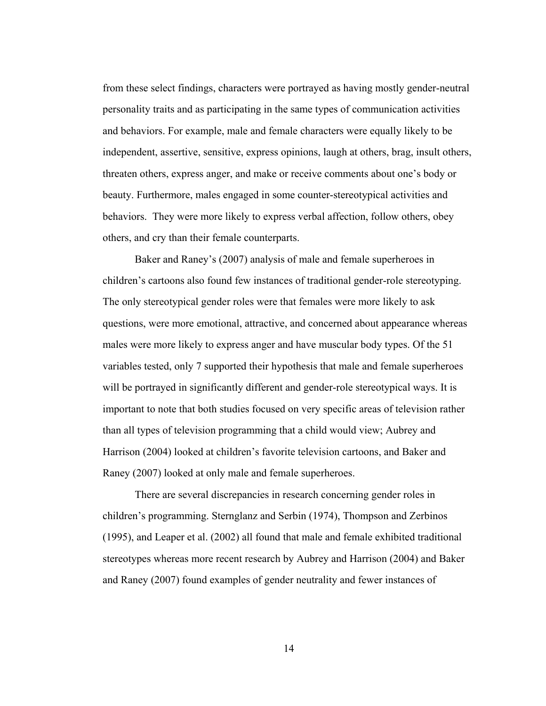from these select findings, characters were portrayed as having mostly gender-neutral personality traits and as participating in the same types of communication activities and behaviors. For example, male and female characters were equally likely to be independent, assertive, sensitive, express opinions, laugh at others, brag, insult others, threaten others, express anger, and make or receive comments about one's body or beauty. Furthermore, males engaged in some counter-stereotypical activities and behaviors. They were more likely to express verbal affection, follow others, obey others, and cry than their female counterparts.

Baker and Raney's (2007) analysis of male and female superheroes in children's cartoons also found few instances of traditional gender-role stereotyping. The only stereotypical gender roles were that females were more likely to ask questions, were more emotional, attractive, and concerned about appearance whereas males were more likely to express anger and have muscular body types. Of the 51 variables tested, only 7 supported their hypothesis that male and female superheroes will be portrayed in significantly different and gender-role stereotypical ways. It is important to note that both studies focused on very specific areas of television rather than all types of television programming that a child would view; Aubrey and Harrison (2004) looked at children's favorite television cartoons, and Baker and Raney (2007) looked at only male and female superheroes.

There are several discrepancies in research concerning gender roles in children's programming. Sternglanz and Serbin (1974), Thompson and Zerbinos (1995), and Leaper et al. (2002) all found that male and female exhibited traditional stereotypes whereas more recent research by Aubrey and Harrison (2004) and Baker and Raney (2007) found examples of gender neutrality and fewer instances of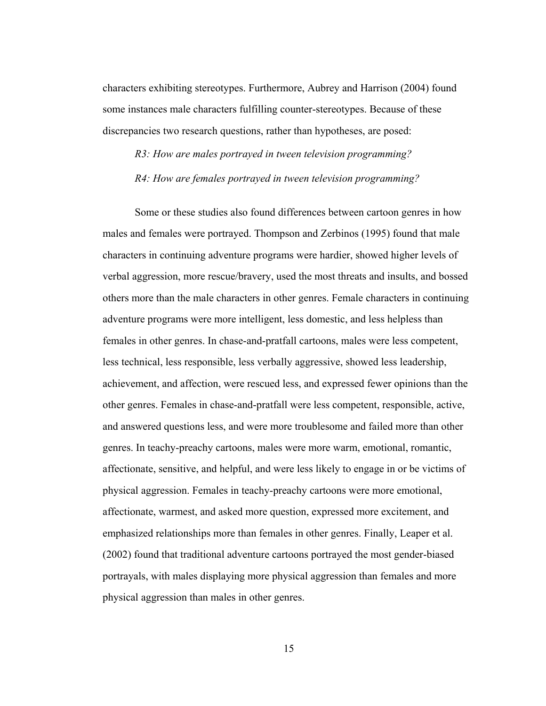characters exhibiting stereotypes. Furthermore, Aubrey and Harrison (2004) found some instances male characters fulfilling counter-stereotypes. Because of these discrepancies two research questions, rather than hypotheses, are posed:

*R3: How are males portrayed in tween television programming? R4: How are females portrayed in tween television programming?* 

Some or these studies also found differences between cartoon genres in how males and females were portrayed. Thompson and Zerbinos (1995) found that male characters in continuing adventure programs were hardier, showed higher levels of verbal aggression, more rescue/bravery, used the most threats and insults, and bossed others more than the male characters in other genres. Female characters in continuing adventure programs were more intelligent, less domestic, and less helpless than females in other genres. In chase-and-pratfall cartoons, males were less competent, less technical, less responsible, less verbally aggressive, showed less leadership, achievement, and affection, were rescued less, and expressed fewer opinions than the other genres. Females in chase-and-pratfall were less competent, responsible, active, and answered questions less, and were more troublesome and failed more than other genres. In teachy-preachy cartoons, males were more warm, emotional, romantic, affectionate, sensitive, and helpful, and were less likely to engage in or be victims of physical aggression. Females in teachy-preachy cartoons were more emotional, affectionate, warmest, and asked more question, expressed more excitement, and emphasized relationships more than females in other genres. Finally, Leaper et al. (2002) found that traditional adventure cartoons portrayed the most gender-biased portrayals, with males displaying more physical aggression than females and more physical aggression than males in other genres.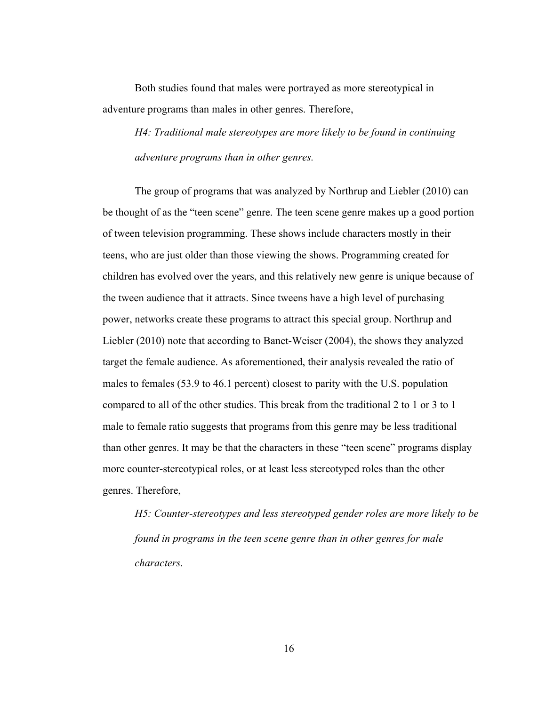Both studies found that males were portrayed as more stereotypical in adventure programs than males in other genres. Therefore,

*H4: Traditional male stereotypes are more likely to be found in continuing adventure programs than in other genres.* 

The group of programs that was analyzed by Northrup and Liebler (2010) can be thought of as the "teen scene" genre. The teen scene genre makes up a good portion of tween television programming. These shows include characters mostly in their teens, who are just older than those viewing the shows. Programming created for children has evolved over the years, and this relatively new genre is unique because of the tween audience that it attracts. Since tweens have a high level of purchasing power, networks create these programs to attract this special group. Northrup and Liebler (2010) note that according to Banet-Weiser (2004), the shows they analyzed target the female audience. As aforementioned, their analysis revealed the ratio of males to females (53.9 to 46.1 percent) closest to parity with the U.S. population compared to all of the other studies. This break from the traditional 2 to 1 or 3 to 1 male to female ratio suggests that programs from this genre may be less traditional than other genres. It may be that the characters in these "teen scene" programs display more counter-stereotypical roles, or at least less stereotyped roles than the other genres. Therefore,

*H5: Counter-stereotypes and less stereotyped gender roles are more likely to be found in programs in the teen scene genre than in other genres for male characters.*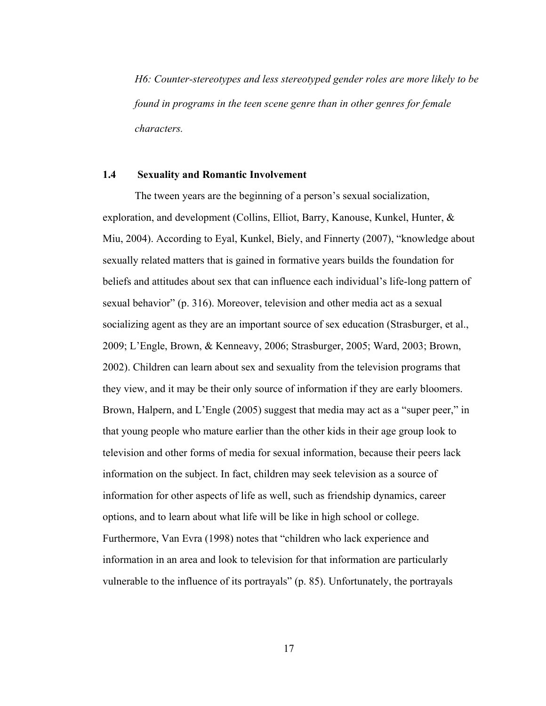*H6: Counter-stereotypes and less stereotyped gender roles are more likely to be found in programs in the teen scene genre than in other genres for female characters.* 

#### **1.4 Sexuality and Romantic Involvement**

The tween years are the beginning of a person's sexual socialization, exploration, and development (Collins, Elliot, Barry, Kanouse, Kunkel, Hunter, & Miu, 2004). According to Eyal, Kunkel, Biely, and Finnerty (2007), "knowledge about sexually related matters that is gained in formative years builds the foundation for beliefs and attitudes about sex that can influence each individual's life-long pattern of sexual behavior" (p. 316). Moreover, television and other media act as a sexual socializing agent as they are an important source of sex education (Strasburger, et al., 2009; L'Engle, Brown, & Kenneavy, 2006; Strasburger, 2005; Ward, 2003; Brown, 2002). Children can learn about sex and sexuality from the television programs that they view, and it may be their only source of information if they are early bloomers. Brown, Halpern, and L'Engle (2005) suggest that media may act as a "super peer," in that young people who mature earlier than the other kids in their age group look to television and other forms of media for sexual information, because their peers lack information on the subject. In fact, children may seek television as a source of information for other aspects of life as well, such as friendship dynamics, career options, and to learn about what life will be like in high school or college. Furthermore, Van Evra (1998) notes that "children who lack experience and information in an area and look to television for that information are particularly vulnerable to the influence of its portrayals" (p. 85). Unfortunately, the portrayals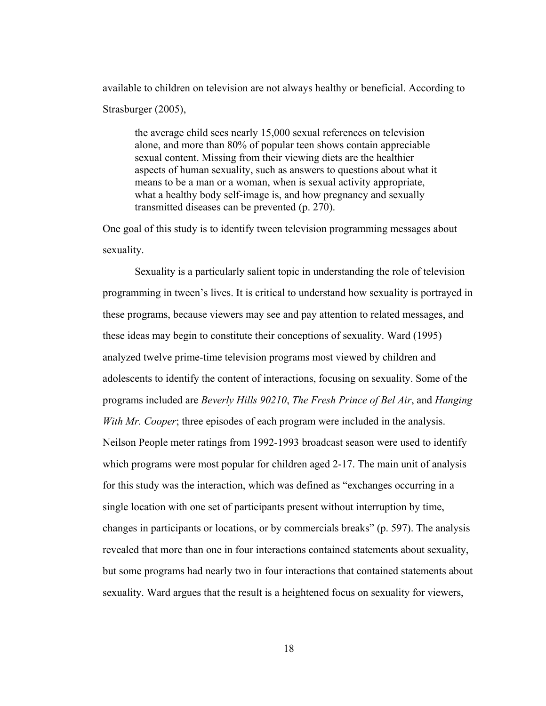available to children on television are not always healthy or beneficial. According to Strasburger (2005),

the average child sees nearly 15,000 sexual references on television alone, and more than 80% of popular teen shows contain appreciable sexual content. Missing from their viewing diets are the healthier aspects of human sexuality, such as answers to questions about what it means to be a man or a woman, when is sexual activity appropriate, what a healthy body self-image is, and how pregnancy and sexually transmitted diseases can be prevented (p. 270).

One goal of this study is to identify tween television programming messages about sexuality.

Sexuality is a particularly salient topic in understanding the role of television programming in tween's lives. It is critical to understand how sexuality is portrayed in these programs, because viewers may see and pay attention to related messages, and these ideas may begin to constitute their conceptions of sexuality. Ward (1995) analyzed twelve prime-time television programs most viewed by children and adolescents to identify the content of interactions, focusing on sexuality. Some of the programs included are *Beverly Hills 90210*, *The Fresh Prince of Bel Air*, and *Hanging With Mr. Cooper*; three episodes of each program were included in the analysis. Neilson People meter ratings from 1992-1993 broadcast season were used to identify which programs were most popular for children aged 2-17. The main unit of analysis for this study was the interaction, which was defined as "exchanges occurring in a single location with one set of participants present without interruption by time, changes in participants or locations, or by commercials breaks" (p. 597). The analysis revealed that more than one in four interactions contained statements about sexuality, but some programs had nearly two in four interactions that contained statements about sexuality. Ward argues that the result is a heightened focus on sexuality for viewers,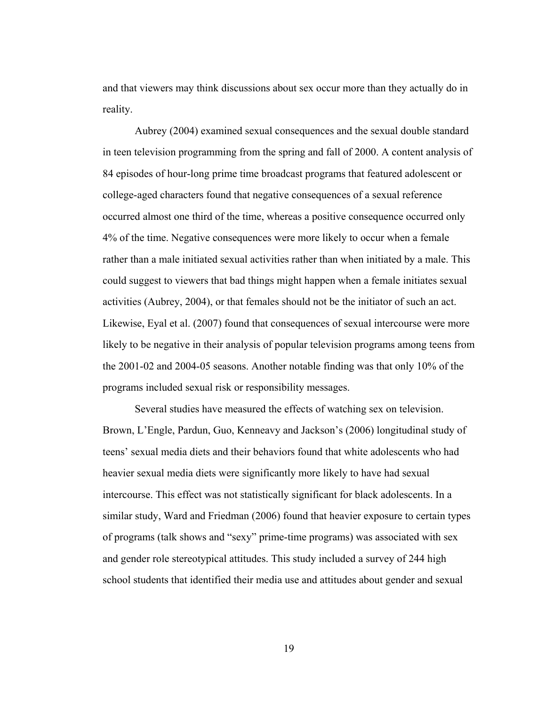and that viewers may think discussions about sex occur more than they actually do in reality.

Aubrey (2004) examined sexual consequences and the sexual double standard in teen television programming from the spring and fall of 2000. A content analysis of 84 episodes of hour-long prime time broadcast programs that featured adolescent or college-aged characters found that negative consequences of a sexual reference occurred almost one third of the time, whereas a positive consequence occurred only 4% of the time. Negative consequences were more likely to occur when a female rather than a male initiated sexual activities rather than when initiated by a male. This could suggest to viewers that bad things might happen when a female initiates sexual activities (Aubrey, 2004), or that females should not be the initiator of such an act. Likewise, Eyal et al. (2007) found that consequences of sexual intercourse were more likely to be negative in their analysis of popular television programs among teens from the 2001-02 and 2004-05 seasons. Another notable finding was that only 10% of the programs included sexual risk or responsibility messages.

Several studies have measured the effects of watching sex on television. Brown, L'Engle, Pardun, Guo, Kenneavy and Jackson's (2006) longitudinal study of teens' sexual media diets and their behaviors found that white adolescents who had heavier sexual media diets were significantly more likely to have had sexual intercourse. This effect was not statistically significant for black adolescents. In a similar study, Ward and Friedman (2006) found that heavier exposure to certain types of programs (talk shows and "sexy" prime-time programs) was associated with sex and gender role stereotypical attitudes. This study included a survey of 244 high school students that identified their media use and attitudes about gender and sexual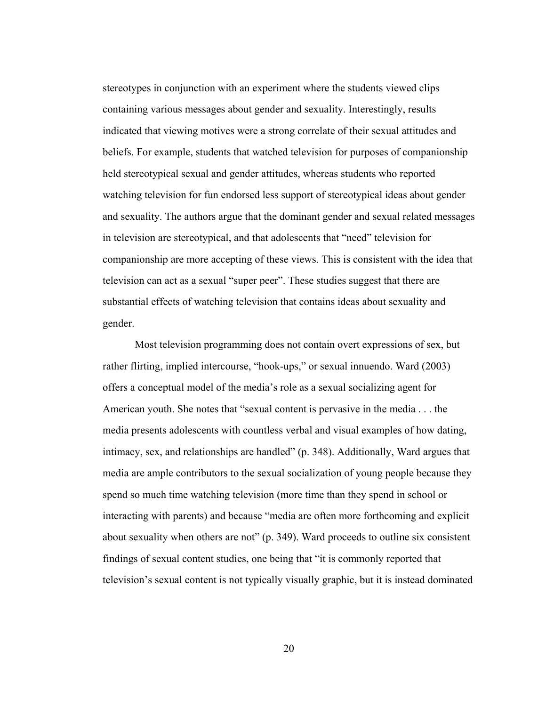stereotypes in conjunction with an experiment where the students viewed clips containing various messages about gender and sexuality. Interestingly, results indicated that viewing motives were a strong correlate of their sexual attitudes and beliefs. For example, students that watched television for purposes of companionship held stereotypical sexual and gender attitudes, whereas students who reported watching television for fun endorsed less support of stereotypical ideas about gender and sexuality. The authors argue that the dominant gender and sexual related messages in television are stereotypical, and that adolescents that "need" television for companionship are more accepting of these views. This is consistent with the idea that television can act as a sexual "super peer". These studies suggest that there are substantial effects of watching television that contains ideas about sexuality and gender.

Most television programming does not contain overt expressions of sex, but rather flirting, implied intercourse, "hook-ups," or sexual innuendo. Ward (2003) offers a conceptual model of the media's role as a sexual socializing agent for American youth. She notes that "sexual content is pervasive in the media . . . the media presents adolescents with countless verbal and visual examples of how dating, intimacy, sex, and relationships are handled" (p. 348). Additionally, Ward argues that media are ample contributors to the sexual socialization of young people because they spend so much time watching television (more time than they spend in school or interacting with parents) and because "media are often more forthcoming and explicit about sexuality when others are not" (p. 349). Ward proceeds to outline six consistent findings of sexual content studies, one being that "it is commonly reported that television's sexual content is not typically visually graphic, but it is instead dominated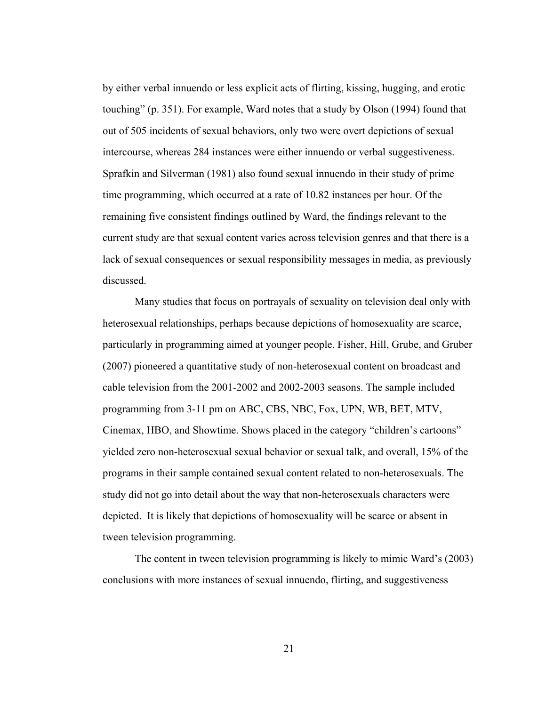by either verbal innuendo or less explicit acts of flirting, kissing, hugging, and erotic touching" (p. 351). For example, Ward notes that a study by Olson (1994) found that out of 505 incidents of sexual behaviors, only two were overt depictions of sexual intercourse, whereas 284 instances were either innuendo or verbal suggestiveness. Sprafkin and Silverman (1981) also found sexual innuendo in their study of prime time programming, which occurred at a rate of 10.82 instances per hour. Of the remaining five consistent findings outlined by Ward, the findings relevant to the current study are that sexual content varies across television genres and that there is a lack of sexual consequences or sexual responsibility messages in media, as previously discussed.

Many studies that focus on portrayals of sexuality on television deal only with heterosexual relationships, perhaps because depictions of homosexuality are scarce, particularly in programming aimed at younger people. Fisher, Hill, Grube, and Gruber (2007) pioneered a quantitative study of non-heterosexual content on broadcast and cable television from the 2001-2002 and 2002-2003 seasons. The sample included programming from 3-11 pm on ABC, CBS, NBC, Fox, UPN, WB, BET, MTV, Cinemax, HBO, and Showtime. Shows placed in the category "children's cartoons" yielded zero non-heterosexual sexual behavior or sexual talk, and overall, 15% of the programs in their sample contained sexual content related to non-heterosexuals. The study did not go into detail about the way that non-heterosexuals characters were depicted. It is likely that depictions of homosexuality will be scarce or absent in tween television programming.

The content in tween television programming is likely to mimic Ward's (2003) conclusions with more instances of sexual innuendo, flirting, and suggestiveness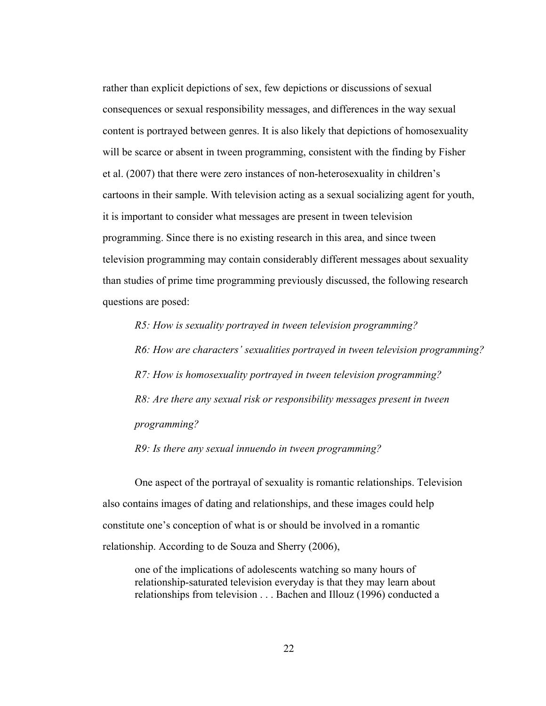rather than explicit depictions of sex, few depictions or discussions of sexual consequences or sexual responsibility messages, and differences in the way sexual content is portrayed between genres. It is also likely that depictions of homosexuality will be scarce or absent in tween programming, consistent with the finding by Fisher et al. (2007) that there were zero instances of non-heterosexuality in children's cartoons in their sample. With television acting as a sexual socializing agent for youth, it is important to consider what messages are present in tween television programming. Since there is no existing research in this area, and since tween television programming may contain considerably different messages about sexuality than studies of prime time programming previously discussed, the following research questions are posed:

*R5: How is sexuality portrayed in tween television programming?* 

*R6: How are characters' sexualities portrayed in tween television programming? R7: How is homosexuality portrayed in tween television programming? R8: Are there any sexual risk or responsibility messages present in tween programming?* 

*R9: Is there any sexual innuendo in tween programming?* 

One aspect of the portrayal of sexuality is romantic relationships. Television also contains images of dating and relationships, and these images could help constitute one's conception of what is or should be involved in a romantic relationship. According to de Souza and Sherry (2006),

one of the implications of adolescents watching so many hours of relationship-saturated television everyday is that they may learn about relationships from television . . . Bachen and Illouz (1996) conducted a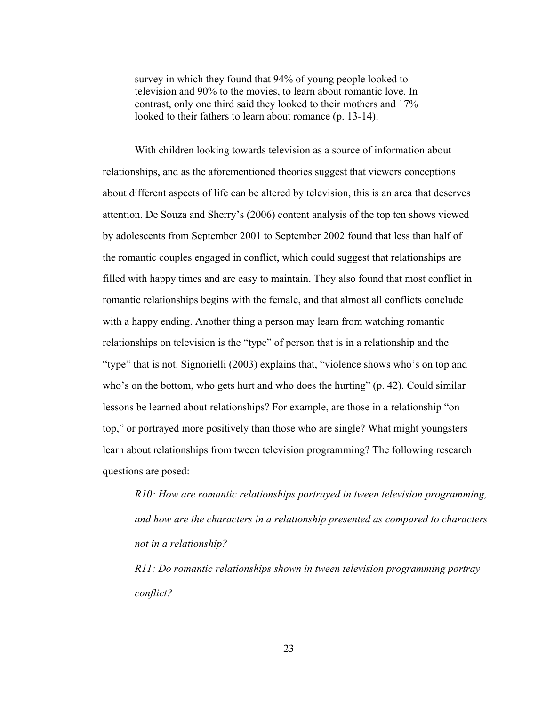survey in which they found that 94% of young people looked to television and 90% to the movies, to learn about romantic love. In contrast, only one third said they looked to their mothers and 17% looked to their fathers to learn about romance (p. 13-14).

With children looking towards television as a source of information about relationships, and as the aforementioned theories suggest that viewers conceptions about different aspects of life can be altered by television, this is an area that deserves attention. De Souza and Sherry's (2006) content analysis of the top ten shows viewed by adolescents from September 2001 to September 2002 found that less than half of the romantic couples engaged in conflict, which could suggest that relationships are filled with happy times and are easy to maintain. They also found that most conflict in romantic relationships begins with the female, and that almost all conflicts conclude with a happy ending. Another thing a person may learn from watching romantic relationships on television is the "type" of person that is in a relationship and the "type" that is not. Signorielli (2003) explains that, "violence shows who's on top and who's on the bottom, who gets hurt and who does the hurting" (p. 42). Could similar lessons be learned about relationships? For example, are those in a relationship "on top," or portrayed more positively than those who are single? What might youngsters learn about relationships from tween television programming? The following research questions are posed:

*R10: How are romantic relationships portrayed in tween television programming, and how are the characters in a relationship presented as compared to characters not in a relationship?* 

*R11: Do romantic relationships shown in tween television programming portray conflict?*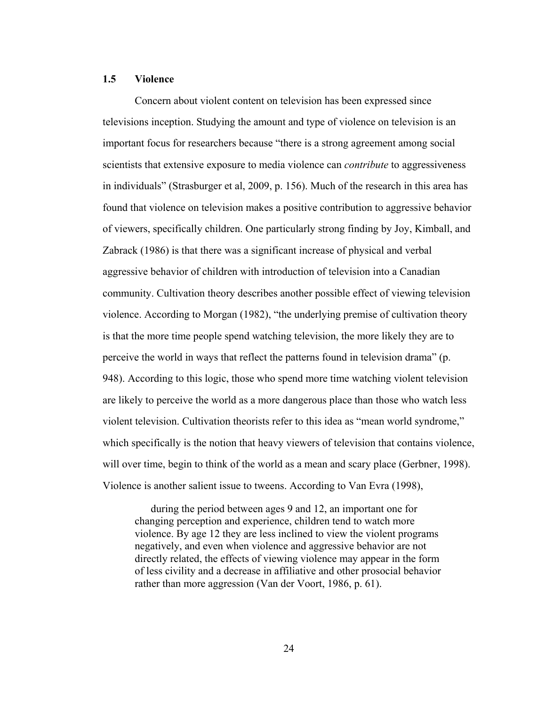### **1.5 Violence**

Concern about violent content on television has been expressed since televisions inception. Studying the amount and type of violence on television is an important focus for researchers because "there is a strong agreement among social scientists that extensive exposure to media violence can *contribute* to aggressiveness in individuals" (Strasburger et al, 2009, p. 156). Much of the research in this area has found that violence on television makes a positive contribution to aggressive behavior of viewers, specifically children. One particularly strong finding by Joy, Kimball, and Zabrack (1986) is that there was a significant increase of physical and verbal aggressive behavior of children with introduction of television into a Canadian community. Cultivation theory describes another possible effect of viewing television violence. According to Morgan (1982), "the underlying premise of cultivation theory is that the more time people spend watching television, the more likely they are to perceive the world in ways that reflect the patterns found in television drama" (p. 948). According to this logic, those who spend more time watching violent television are likely to perceive the world as a more dangerous place than those who watch less violent television. Cultivation theorists refer to this idea as "mean world syndrome," which specifically is the notion that heavy viewers of television that contains violence, will over time, begin to think of the world as a mean and scary place (Gerbner, 1998). Violence is another salient issue to tweens. According to Van Evra (1998),

 during the period between ages 9 and 12, an important one for changing perception and experience, children tend to watch more violence. By age 12 they are less inclined to view the violent programs negatively, and even when violence and aggressive behavior are not directly related, the effects of viewing violence may appear in the form of less civility and a decrease in affiliative and other prosocial behavior rather than more aggression (Van der Voort, 1986, p. 61).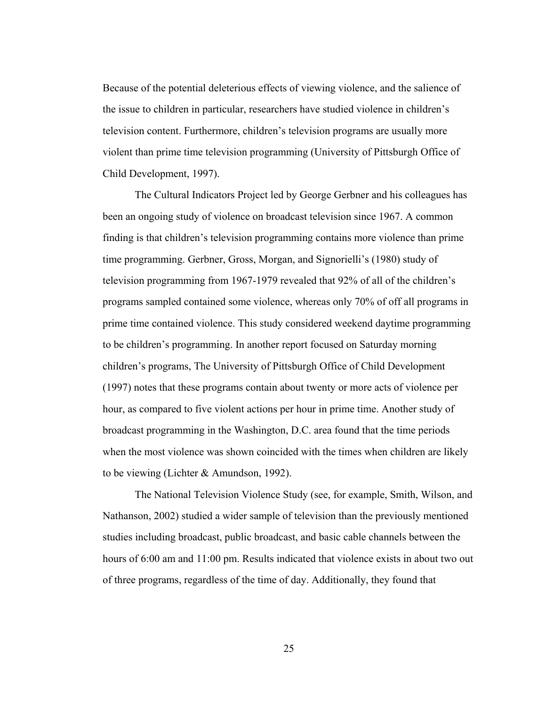Because of the potential deleterious effects of viewing violence, and the salience of the issue to children in particular, researchers have studied violence in children's television content. Furthermore, children's television programs are usually more violent than prime time television programming (University of Pittsburgh Office of Child Development, 1997).

The Cultural Indicators Project led by George Gerbner and his colleagues has been an ongoing study of violence on broadcast television since 1967. A common finding is that children's television programming contains more violence than prime time programming. Gerbner, Gross, Morgan, and Signorielli's (1980) study of television programming from 1967-1979 revealed that 92% of all of the children's programs sampled contained some violence, whereas only 70% of off all programs in prime time contained violence. This study considered weekend daytime programming to be children's programming. In another report focused on Saturday morning children's programs, The University of Pittsburgh Office of Child Development (1997) notes that these programs contain about twenty or more acts of violence per hour, as compared to five violent actions per hour in prime time. Another study of broadcast programming in the Washington, D.C. area found that the time periods when the most violence was shown coincided with the times when children are likely to be viewing (Lichter & Amundson, 1992).

The National Television Violence Study (see, for example, Smith, Wilson, and Nathanson, 2002) studied a wider sample of television than the previously mentioned studies including broadcast, public broadcast, and basic cable channels between the hours of 6:00 am and 11:00 pm. Results indicated that violence exists in about two out of three programs, regardless of the time of day. Additionally, they found that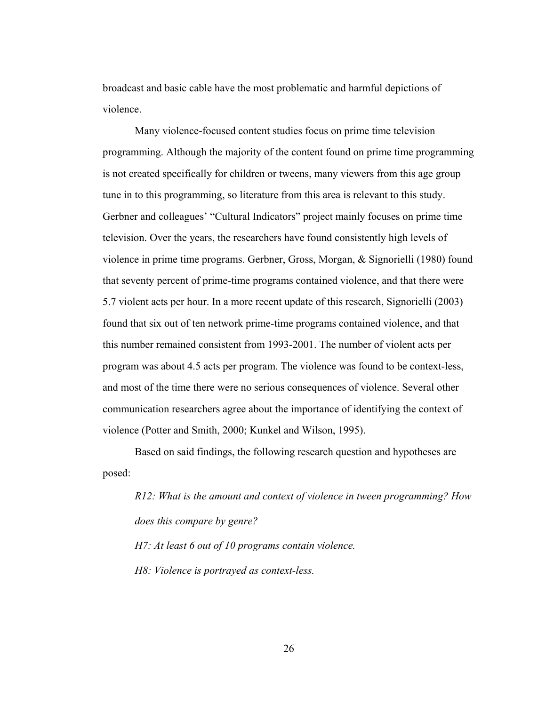broadcast and basic cable have the most problematic and harmful depictions of violence.

Many violence-focused content studies focus on prime time television programming. Although the majority of the content found on prime time programming is not created specifically for children or tweens, many viewers from this age group tune in to this programming, so literature from this area is relevant to this study. Gerbner and colleagues' "Cultural Indicators" project mainly focuses on prime time television. Over the years, the researchers have found consistently high levels of violence in prime time programs. Gerbner, Gross, Morgan, & Signorielli (1980) found that seventy percent of prime-time programs contained violence, and that there were 5.7 violent acts per hour. In a more recent update of this research, Signorielli (2003) found that six out of ten network prime-time programs contained violence, and that this number remained consistent from 1993-2001. The number of violent acts per program was about 4.5 acts per program. The violence was found to be context-less, and most of the time there were no serious consequences of violence. Several other communication researchers agree about the importance of identifying the context of violence (Potter and Smith, 2000; Kunkel and Wilson, 1995).

Based on said findings, the following research question and hypotheses are posed:

*R12: What is the amount and context of violence in tween programming? How does this compare by genre?* 

*H7: At least 6 out of 10 programs contain violence.* 

*H8: Violence is portrayed as context-less.*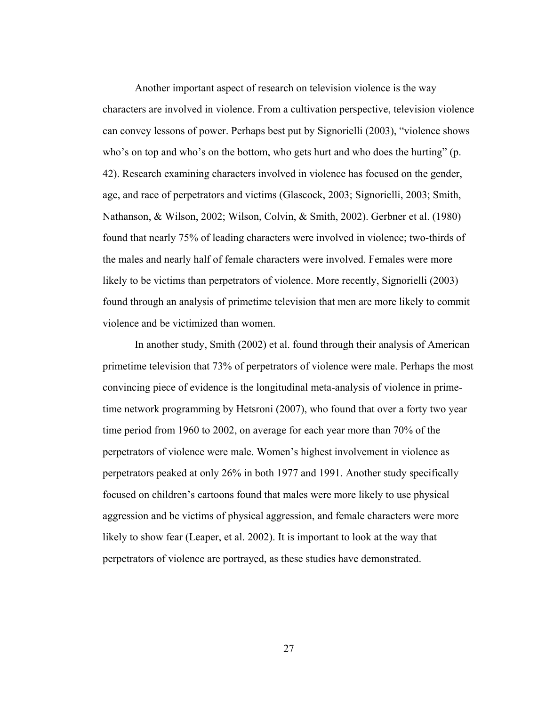Another important aspect of research on television violence is the way characters are involved in violence. From a cultivation perspective, television violence can convey lessons of power. Perhaps best put by Signorielli (2003), "violence shows who's on top and who's on the bottom, who gets hurt and who does the hurting" (p. 42). Research examining characters involved in violence has focused on the gender, age, and race of perpetrators and victims (Glascock, 2003; Signorielli, 2003; Smith, Nathanson, & Wilson, 2002; Wilson, Colvin, & Smith, 2002). Gerbner et al. (1980) found that nearly 75% of leading characters were involved in violence; two-thirds of the males and nearly half of female characters were involved. Females were more likely to be victims than perpetrators of violence. More recently, Signorielli (2003) found through an analysis of primetime television that men are more likely to commit violence and be victimized than women.

In another study, Smith (2002) et al. found through their analysis of American primetime television that 73% of perpetrators of violence were male. Perhaps the most convincing piece of evidence is the longitudinal meta-analysis of violence in primetime network programming by Hetsroni (2007), who found that over a forty two year time period from 1960 to 2002, on average for each year more than 70% of the perpetrators of violence were male. Women's highest involvement in violence as perpetrators peaked at only 26% in both 1977 and 1991. Another study specifically focused on children's cartoons found that males were more likely to use physical aggression and be victims of physical aggression, and female characters were more likely to show fear (Leaper, et al. 2002). It is important to look at the way that perpetrators of violence are portrayed, as these studies have demonstrated.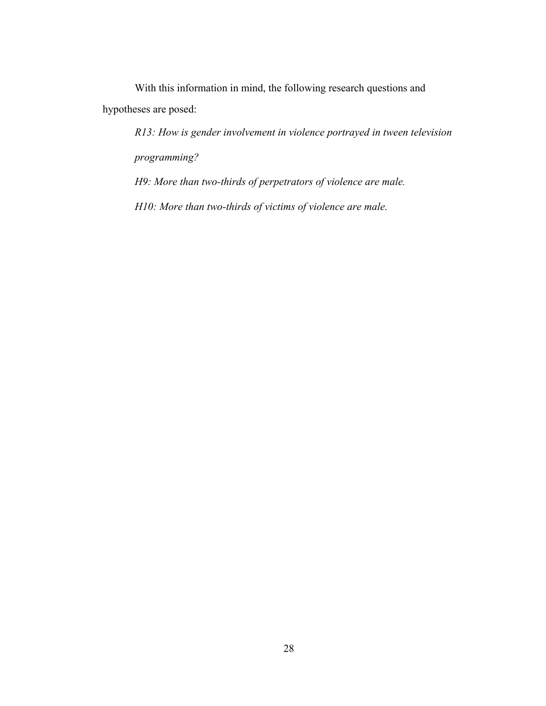With this information in mind, the following research questions and hypotheses are posed:

*R13: How is gender involvement in violence portrayed in tween television programming?* 

*H9: More than two-thirds of perpetrators of violence are male.* 

*H10: More than two-thirds of victims of violence are male.*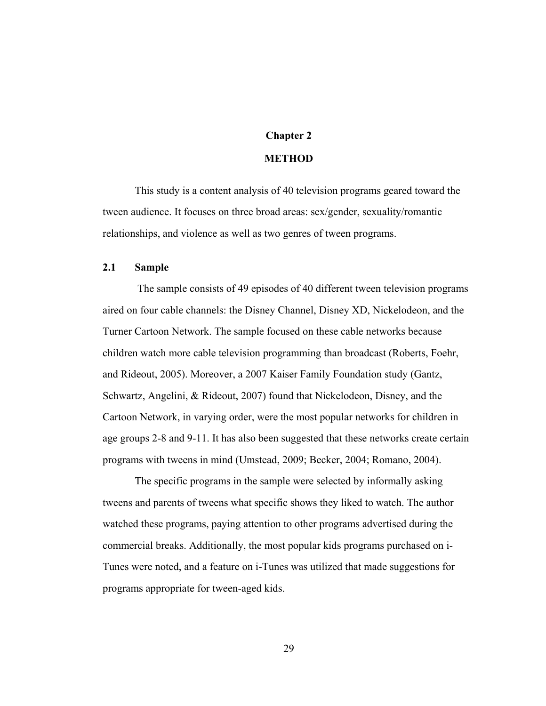# **Chapter 2**

### **METHOD**

This study is a content analysis of 40 television programs geared toward the tween audience. It focuses on three broad areas: sex/gender, sexuality/romantic relationships, and violence as well as two genres of tween programs.

### **2.1 Sample**

 The sample consists of 49 episodes of 40 different tween television programs aired on four cable channels: the Disney Channel, Disney XD, Nickelodeon, and the Turner Cartoon Network. The sample focused on these cable networks because children watch more cable television programming than broadcast (Roberts, Foehr, and Rideout, 2005). Moreover, a 2007 Kaiser Family Foundation study (Gantz, Schwartz, Angelini, & Rideout, 2007) found that Nickelodeon, Disney, and the Cartoon Network, in varying order, were the most popular networks for children in age groups 2-8 and 9-11. It has also been suggested that these networks create certain programs with tweens in mind (Umstead, 2009; Becker, 2004; Romano, 2004).

The specific programs in the sample were selected by informally asking tweens and parents of tweens what specific shows they liked to watch. The author watched these programs, paying attention to other programs advertised during the commercial breaks. Additionally, the most popular kids programs purchased on i-Tunes were noted, and a feature on i-Tunes was utilized that made suggestions for programs appropriate for tween-aged kids.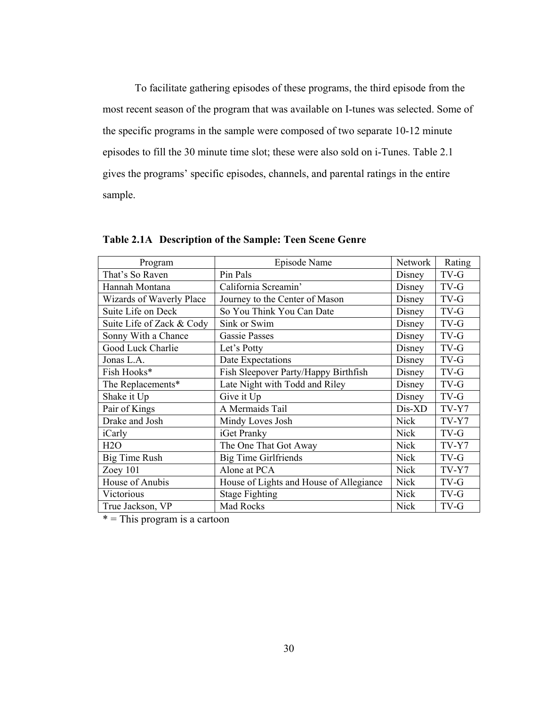To facilitate gathering episodes of these programs, the third episode from the most recent season of the program that was available on I-tunes was selected. Some of the specific programs in the sample were composed of two separate 10-12 minute episodes to fill the 30 minute time slot; these were also sold on i-Tunes. Table 2.1 gives the programs' specific episodes, channels, and parental ratings in the entire sample.

| Program                   | Episode Name                            | Network     | Rating  |
|---------------------------|-----------------------------------------|-------------|---------|
| That's So Raven           | Pin Pals                                | Disney      | TV-G    |
| Hannah Montana            | California Screamin'                    | Disney      | TV-G    |
| Wizards of Waverly Place  | Journey to the Center of Mason          | Disney      | TV-G    |
| Suite Life on Deck        | So You Think You Can Date               | Disney      | TV-G    |
| Suite Life of Zack & Cody | Sink or Swim                            | Disney      | TV-G    |
| Sonny With a Chance       | <b>Gassie Passes</b>                    | Disney      | TV-G    |
| Good Luck Charlie         | Let's Potty                             | Disney      | TV-G    |
| Jonas L.A.                | Date Expectations                       | Disney      | TV-G    |
| Fish Hooks*               | Fish Sleepover Party/Happy Birthfish    | Disney      | TV-G    |
| The Replacements*         | Late Night with Todd and Riley          | Disney      | TV-G    |
| Shake it Up               | Give it Up                              | Disney      | TV-G    |
| Pair of Kings             | A Mermaids Tail                         | Dis-XD      | TV-Y7   |
| Drake and Josh            | Mindy Loves Josh                        | <b>Nick</b> | TV-Y7   |
| iCarly                    | iGet Pranky                             | <b>Nick</b> | TV-G    |
| H2O                       | The One That Got Away                   | <b>Nick</b> | TV-Y7   |
| Big Time Rush             | <b>Big Time Girlfriends</b>             | <b>Nick</b> | TV-G    |
| Zoey $101$                | Alone at PCA                            | <b>Nick</b> | $TV-Y7$ |
| House of Anubis           | House of Lights and House of Allegiance | <b>Nick</b> | TV-G    |
| Victorious                | <b>Stage Fighting</b>                   | <b>Nick</b> | TV-G    |
| True Jackson, VP          | Mad Rocks                               | <b>Nick</b> | TV-G    |

**Table 2.1A Description of the Sample: Teen Scene Genre** 

 $*$  = This program is a cartoon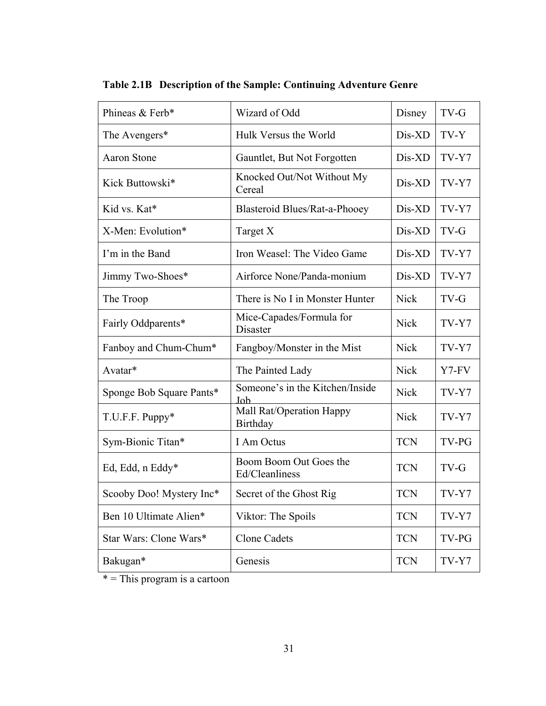| Phineas & Ferb*          | Wizard of Odd                            | Disney      | TV-G  |
|--------------------------|------------------------------------------|-------------|-------|
| The Avengers*            | Hulk Versus the World                    | Dis-XD      | TV-Y  |
| <b>Aaron Stone</b>       | Gauntlet, But Not Forgotten              | Dis-XD      | TV-Y7 |
| Kick Buttowski*          | Knocked Out/Not Without My<br>Cereal     | Dis-XD      | TV-Y7 |
| Kid vs. Kat*             | Blasteroid Blues/Rat-a-Phooey            | Dis-XD      | TV-Y7 |
| X-Men: Evolution*        | Target X                                 | Dis-XD      | TV-G  |
| I'm in the Band          | Iron Weasel: The Video Game              | Dis-XD      | TV-Y7 |
| Jimmy Two-Shoes*         | Airforce None/Panda-monium               | Dis-XD      | TV-Y7 |
| The Troop                | There is No I in Monster Hunter          | <b>Nick</b> | TV-G  |
| Fairly Oddparents*       | Mice-Capades/Formula for<br>Disaster     | <b>Nick</b> | TV-Y7 |
| Fanboy and Chum-Chum*    | Fangboy/Monster in the Mist              | <b>Nick</b> | TV-Y7 |
| Avatar*                  | The Painted Lady                         | <b>Nick</b> | Y7-FV |
| Sponge Bob Square Pants* | Someone's in the Kitchen/Inside<br>Job   | <b>Nick</b> | TV-Y7 |
| T.U.F.F. Puppy*          | Mall Rat/Operation Happy<br>Birthday     | <b>Nick</b> | TV-Y7 |
| Sym-Bionic Titan*        | I Am Octus                               | <b>TCN</b>  | TV-PG |
| Ed, Edd, n Eddy*         | Boom Boom Out Goes the<br>Ed/Cleanliness | <b>TCN</b>  | TV-G  |
| Scooby Doo! Mystery Inc* | Secret of the Ghost Rig                  | <b>TCN</b>  | TV-Y7 |
| Ben 10 Ultimate Alien*   | Viktor: The Spoils                       | <b>TCN</b>  | TV-Y7 |
| Star Wars: Clone Wars*   | Clone Cadets                             | <b>TCN</b>  | TV-PG |
| Bakugan*                 | Genesis                                  | <b>TCN</b>  | TV-Y7 |

**Table 2.1B Description of the Sample: Continuing Adventure Genre** 

\* = This program is a cartoon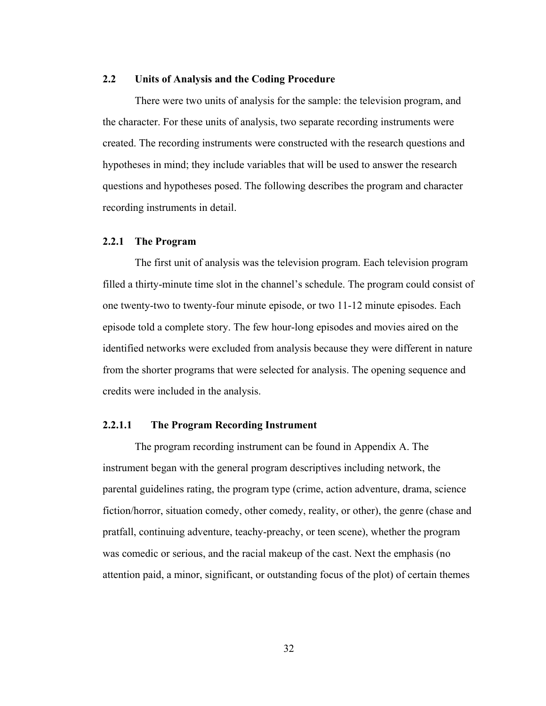#### **2.2 Units of Analysis and the Coding Procedure**

There were two units of analysis for the sample: the television program, and the character. For these units of analysis, two separate recording instruments were created. The recording instruments were constructed with the research questions and hypotheses in mind; they include variables that will be used to answer the research questions and hypotheses posed. The following describes the program and character recording instruments in detail.

#### **2.2.1 The Program**

The first unit of analysis was the television program. Each television program filled a thirty-minute time slot in the channel's schedule. The program could consist of one twenty-two to twenty-four minute episode, or two 11-12 minute episodes. Each episode told a complete story. The few hour-long episodes and movies aired on the identified networks were excluded from analysis because they were different in nature from the shorter programs that were selected for analysis. The opening sequence and credits were included in the analysis.

#### **2.2.1.1 The Program Recording Instrument**

The program recording instrument can be found in Appendix A. The instrument began with the general program descriptives including network, the parental guidelines rating, the program type (crime, action adventure, drama, science fiction/horror, situation comedy, other comedy, reality, or other), the genre (chase and pratfall, continuing adventure, teachy-preachy, or teen scene), whether the program was comedic or serious, and the racial makeup of the cast. Next the emphasis (no attention paid, a minor, significant, or outstanding focus of the plot) of certain themes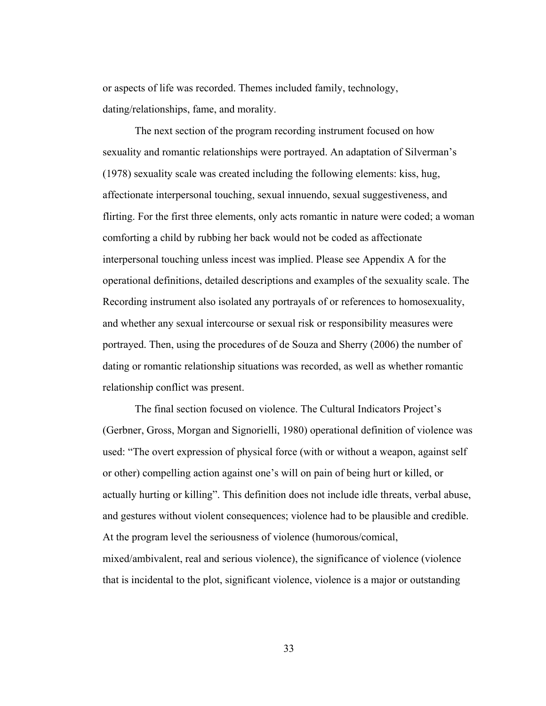or aspects of life was recorded. Themes included family, technology, dating/relationships, fame, and morality.

The next section of the program recording instrument focused on how sexuality and romantic relationships were portrayed. An adaptation of Silverman's (1978) sexuality scale was created including the following elements: kiss, hug, affectionate interpersonal touching, sexual innuendo, sexual suggestiveness, and flirting. For the first three elements, only acts romantic in nature were coded; a woman comforting a child by rubbing her back would not be coded as affectionate interpersonal touching unless incest was implied. Please see Appendix A for the operational definitions, detailed descriptions and examples of the sexuality scale. The Recording instrument also isolated any portrayals of or references to homosexuality, and whether any sexual intercourse or sexual risk or responsibility measures were portrayed. Then, using the procedures of de Souza and Sherry (2006) the number of dating or romantic relationship situations was recorded, as well as whether romantic relationship conflict was present.

The final section focused on violence. The Cultural Indicators Project's (Gerbner, Gross, Morgan and Signorielli, 1980) operational definition of violence was used: "The overt expression of physical force (with or without a weapon, against self or other) compelling action against one's will on pain of being hurt or killed, or actually hurting or killing". This definition does not include idle threats, verbal abuse, and gestures without violent consequences; violence had to be plausible and credible. At the program level the seriousness of violence (humorous/comical, mixed/ambivalent, real and serious violence), the significance of violence (violence that is incidental to the plot, significant violence, violence is a major or outstanding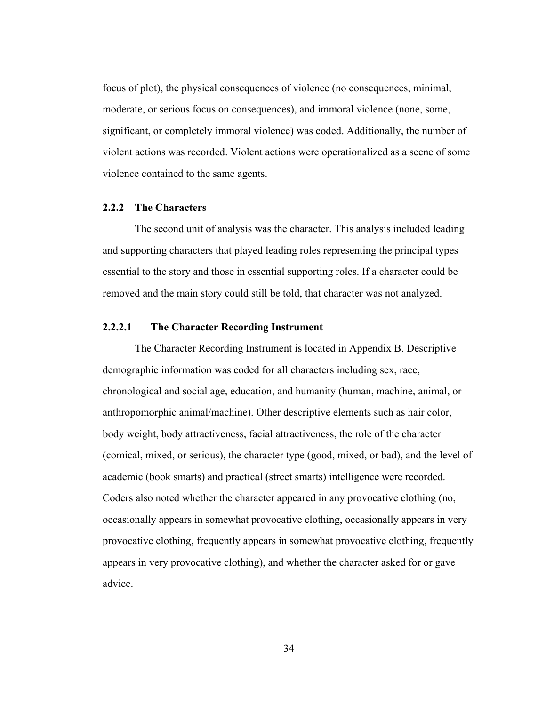focus of plot), the physical consequences of violence (no consequences, minimal, moderate, or serious focus on consequences), and immoral violence (none, some, significant, or completely immoral violence) was coded. Additionally, the number of violent actions was recorded. Violent actions were operationalized as a scene of some violence contained to the same agents.

#### **2.2.2 The Characters**

The second unit of analysis was the character. This analysis included leading and supporting characters that played leading roles representing the principal types essential to the story and those in essential supporting roles. If a character could be removed and the main story could still be told, that character was not analyzed.

# **2.2.2.1 The Character Recording Instrument**

The Character Recording Instrument is located in Appendix B. Descriptive demographic information was coded for all characters including sex, race, chronological and social age, education, and humanity (human, machine, animal, or anthropomorphic animal/machine). Other descriptive elements such as hair color, body weight, body attractiveness, facial attractiveness, the role of the character (comical, mixed, or serious), the character type (good, mixed, or bad), and the level of academic (book smarts) and practical (street smarts) intelligence were recorded. Coders also noted whether the character appeared in any provocative clothing (no, occasionally appears in somewhat provocative clothing, occasionally appears in very provocative clothing, frequently appears in somewhat provocative clothing, frequently appears in very provocative clothing), and whether the character asked for or gave advice.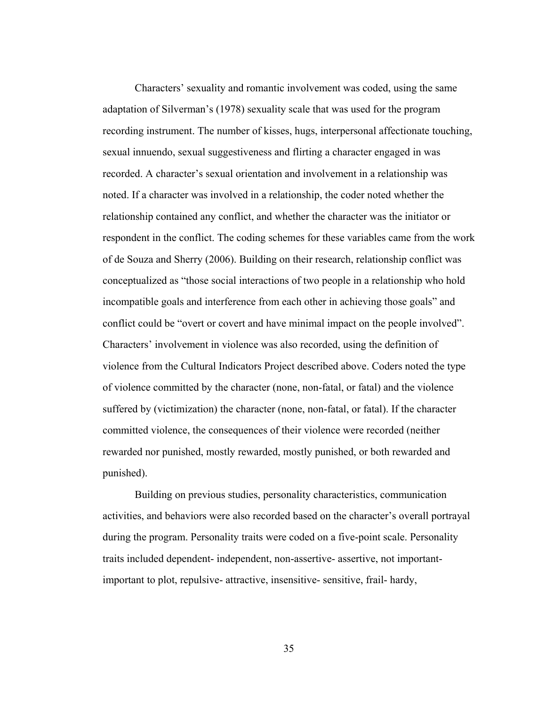Characters' sexuality and romantic involvement was coded, using the same adaptation of Silverman's (1978) sexuality scale that was used for the program recording instrument. The number of kisses, hugs, interpersonal affectionate touching, sexual innuendo, sexual suggestiveness and flirting a character engaged in was recorded. A character's sexual orientation and involvement in a relationship was noted. If a character was involved in a relationship, the coder noted whether the relationship contained any conflict, and whether the character was the initiator or respondent in the conflict. The coding schemes for these variables came from the work of de Souza and Sherry (2006). Building on their research, relationship conflict was conceptualized as "those social interactions of two people in a relationship who hold incompatible goals and interference from each other in achieving those goals" and conflict could be "overt or covert and have minimal impact on the people involved". Characters' involvement in violence was also recorded, using the definition of violence from the Cultural Indicators Project described above. Coders noted the type of violence committed by the character (none, non-fatal, or fatal) and the violence suffered by (victimization) the character (none, non-fatal, or fatal). If the character committed violence, the consequences of their violence were recorded (neither rewarded nor punished, mostly rewarded, mostly punished, or both rewarded and punished).

Building on previous studies, personality characteristics, communication activities, and behaviors were also recorded based on the character's overall portrayal during the program. Personality traits were coded on a five-point scale. Personality traits included dependent- independent, non-assertive- assertive, not importantimportant to plot, repulsive- attractive, insensitive- sensitive, frail- hardy,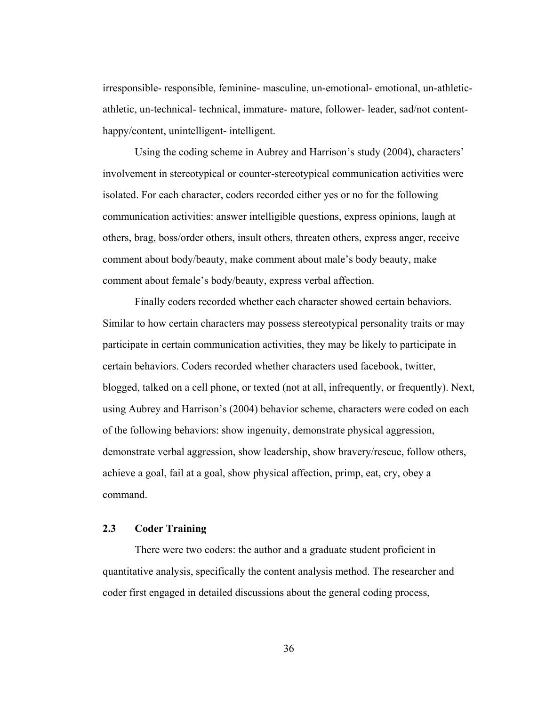irresponsible- responsible, feminine- masculine, un-emotional- emotional, un-athleticathletic, un-technical- technical, immature- mature, follower- leader, sad/not contenthappy/content, unintelligent- intelligent.

Using the coding scheme in Aubrey and Harrison's study (2004), characters' involvement in stereotypical or counter-stereotypical communication activities were isolated. For each character, coders recorded either yes or no for the following communication activities: answer intelligible questions, express opinions, laugh at others, brag, boss/order others, insult others, threaten others, express anger, receive comment about body/beauty, make comment about male's body beauty, make comment about female's body/beauty, express verbal affection.

Finally coders recorded whether each character showed certain behaviors. Similar to how certain characters may possess stereotypical personality traits or may participate in certain communication activities, they may be likely to participate in certain behaviors. Coders recorded whether characters used facebook, twitter, blogged, talked on a cell phone, or texted (not at all, infrequently, or frequently). Next, using Aubrey and Harrison's (2004) behavior scheme, characters were coded on each of the following behaviors: show ingenuity, demonstrate physical aggression, demonstrate verbal aggression, show leadership, show bravery/rescue, follow others, achieve a goal, fail at a goal, show physical affection, primp, eat, cry, obey a command.

# **2.3 Coder Training**

There were two coders: the author and a graduate student proficient in quantitative analysis, specifically the content analysis method. The researcher and coder first engaged in detailed discussions about the general coding process,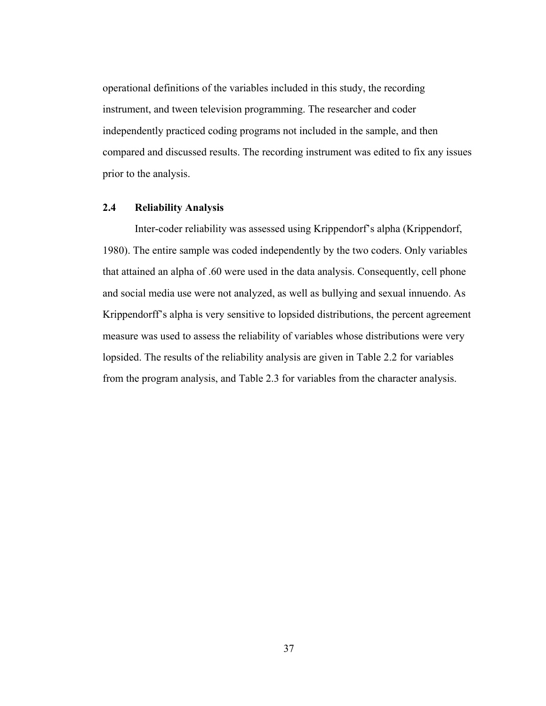operational definitions of the variables included in this study, the recording instrument, and tween television programming. The researcher and coder independently practiced coding programs not included in the sample, and then compared and discussed results. The recording instrument was edited to fix any issues prior to the analysis.

# **2.4 Reliability Analysis**

Inter-coder reliability was assessed using Krippendorf's alpha (Krippendorf, 1980). The entire sample was coded independently by the two coders. Only variables that attained an alpha of .60 were used in the data analysis. Consequently, cell phone and social media use were not analyzed, as well as bullying and sexual innuendo. As Krippendorff's alpha is very sensitive to lopsided distributions, the percent agreement measure was used to assess the reliability of variables whose distributions were very lopsided. The results of the reliability analysis are given in Table 2.2 for variables from the program analysis, and Table 2.3 for variables from the character analysis.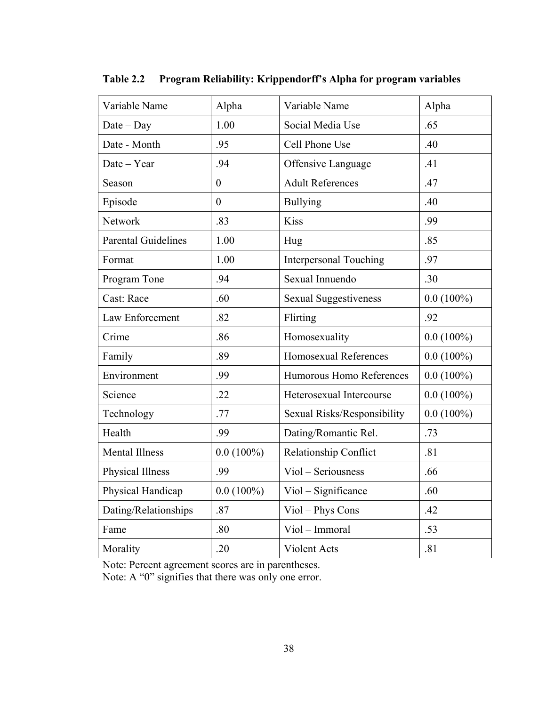| Variable Name              | Alpha        | Variable Name                 | Alpha        |
|----------------------------|--------------|-------------------------------|--------------|
| $Date - Day$               | 1.00         | Social Media Use              | .65          |
| Date - Month               | .95          | Cell Phone Use                | .40          |
| Date - Year                | .94          | Offensive Language            | .41          |
| Season                     | $\mathbf{0}$ | <b>Adult References</b>       | .47          |
| Episode                    | $\theta$     | <b>Bullying</b>               | .40          |
| Network                    | .83          | <b>Kiss</b>                   | .99          |
| <b>Parental Guidelines</b> | 1.00         | Hug                           | .85          |
| Format                     | 1.00         | <b>Interpersonal Touching</b> | .97          |
| Program Tone               | .94          | Sexual Innuendo               | .30          |
| Cast: Race                 | .60          | <b>Sexual Suggestiveness</b>  | $0.0(100\%)$ |
| Law Enforcement            | .82          | Flirting                      | .92          |
| Crime                      | .86          | Homosexuality                 | $0.0(100\%)$ |
| Family                     | .89          | Homosexual References         | $0.0(100\%)$ |
| Environment                | .99          | Humorous Homo References      | $0.0(100\%)$ |
| Science                    | .22          | Heterosexual Intercourse      | $0.0(100\%)$ |
| Technology                 | .77          | Sexual Risks/Responsibility   | $0.0(100\%)$ |
| Health                     | .99          | Dating/Romantic Rel.          | .73          |
| <b>Mental Illness</b>      | $0.0(100\%)$ | Relationship Conflict         | .81          |
| Physical Illness           | .99          | Viol - Seriousness            | .66          |
| Physical Handicap          | $0.0(100\%)$ | Viol - Significance           | .60          |
| Dating/Relationships       | .87          | Viol - Phys Cons              | .42          |
| Fame                       | .80          | Viol - Immoral                | .53          |
| Morality                   | .20          | Violent Acts                  | .81          |

**Table 2.2 Program Reliability: Krippendorff's Alpha for program variables** 

Note: Percent agreement scores are in parentheses.

Note: A "0" signifies that there was only one error.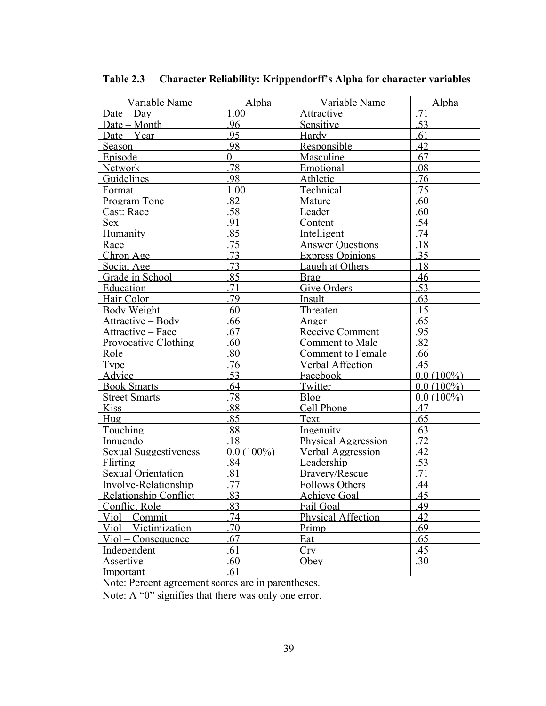| Variable Name                | Alpha          | Variable Name             | Alpha        |
|------------------------------|----------------|---------------------------|--------------|
| <u>Date – Dav</u>            | 1.00           | Attractive                | 71           |
| Date - Month                 | .96            | <b>Sensitive</b>          | .53          |
| Date – Year                  | 95             | Hardy                     | 61           |
| Season                       | 98             | Responsible               | 42           |
| Episode                      | $\overline{0}$ | Masculine                 | 67           |
| Network                      | 78             | Emotional                 | 08           |
| <b>Guidelines</b>            | 98             | Athletic                  | 76           |
| <b>Format</b>                | 1.00           | Technical                 | 75           |
| <b>Program Tone</b>          | 82             | Mature                    | 60           |
| Cast: Race                   | .58            | Leader                    | .60          |
| Sex                          | 91             | Content                   | 54           |
| Humanity                     | 85             | Intelligent               | 74           |
| Race                         | .75            | <b>Answer Questions</b>   | 18           |
| Chron Age                    | 73             | <b>Express Opinions</b>   | .35          |
| Social Age                   | 73             | Laugh at Others           | 18           |
| Grade in School              | 85             | Brag                      | 46           |
| Education                    | .71            | Give Orders               | 53           |
| Hair Color                   | 79             | Insult                    | 63           |
| Body Weight                  | .60            | Threaten                  | 15           |
| <u> Attractive – Bodv</u>    | 66             | <u>Anger</u>              | 65           |
| <u> Attractive – Face</u>    | .67            | Receive Comment           | 95           |
| <b>Provocative Clothing</b>  | 60             | <b>Comment to Male</b>    | 82           |
| Role                         | 80             | <b>Comment to Female</b>  | .66          |
| <b>Type</b>                  | 76             | <b>Verbal Affection</b>   | 45           |
| <b>Advice</b>                | 53             | Facebook                  | $0.0(100\%)$ |
| <b>Book Smarts</b>           | 64             | Twitter                   | $0.0(100\%)$ |
| <b>Street Smarts</b>         | .78            | Blog                      | $0.0(100\%)$ |
| Kiss                         | 88             | Cell Phone                | .47          |
| Hug                          | 85             | Text                      | 65           |
| Touching                     | .88            | Ingenuity                 | 63           |
| Innuendo                     | 18             | Physical Aggression       | 72           |
| <b>Sexual Suggestiveness</b> | $0.0(100\%)$   | Verbal Aggression         | 42           |
| Flirting                     | .84            | Leadership                | .53          |
| Sexual Orientation           | 81             | Bravery/Rescue            | 71           |
| Involve-Relationship         | 77             | <b>Follows Others</b>     | 44           |
| <b>Relationship Conflict</b> | 83             | Achieve Goal              | 45           |
| <b>Conflict Role</b>         | 83             | Fail Goal                 | 49           |
| Viol - Commit                | 74             | <b>Physical Affection</b> | 42           |
| Viol - Victimization         | 70             | Primp                     | .69          |
| $Viol$ – Consequence         | .67            | Eat                       | .65          |
| Independent                  | 61             | Cry                       | 45           |
| Assertive                    | .60            | Obey                      | 30           |
| <u>Important</u>             | .61            |                           |              |

**Table 2.3 Character Reliability: Krippendorff's Alpha for character variables** 

Note: Percent agreement scores are in parentheses.

Note: A "0" signifies that there was only one error.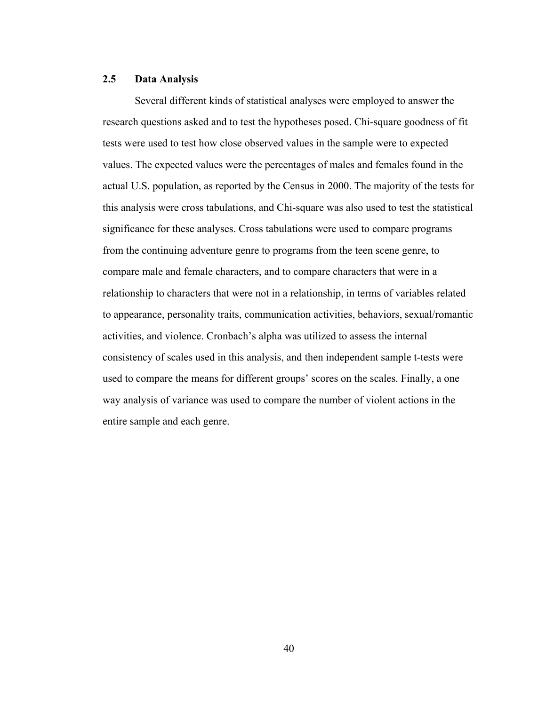# **2.5 Data Analysis**

Several different kinds of statistical analyses were employed to answer the research questions asked and to test the hypotheses posed. Chi-square goodness of fit tests were used to test how close observed values in the sample were to expected values. The expected values were the percentages of males and females found in the actual U.S. population, as reported by the Census in 2000. The majority of the tests for this analysis were cross tabulations, and Chi-square was also used to test the statistical significance for these analyses. Cross tabulations were used to compare programs from the continuing adventure genre to programs from the teen scene genre, to compare male and female characters, and to compare characters that were in a relationship to characters that were not in a relationship, in terms of variables related to appearance, personality traits, communication activities, behaviors, sexual/romantic activities, and violence. Cronbach's alpha was utilized to assess the internal consistency of scales used in this analysis, and then independent sample t-tests were used to compare the means for different groups' scores on the scales. Finally, a one way analysis of variance was used to compare the number of violent actions in the entire sample and each genre.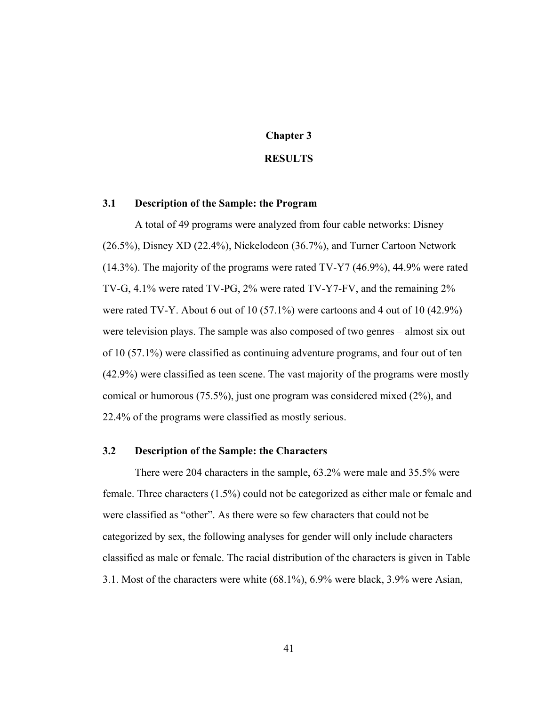# **Chapter 3**

#### **RESULTS**

#### **3.1 Description of the Sample: the Program**

A total of 49 programs were analyzed from four cable networks: Disney (26.5%), Disney XD (22.4%), Nickelodeon (36.7%), and Turner Cartoon Network (14.3%). The majority of the programs were rated TV-Y7 (46.9%), 44.9% were rated TV-G, 4.1% were rated TV-PG, 2% were rated TV-Y7-FV, and the remaining 2% were rated TV-Y. About 6 out of 10 (57.1%) were cartoons and 4 out of 10 (42.9%) were television plays. The sample was also composed of two genres – almost six out of 10 (57.1%) were classified as continuing adventure programs, and four out of ten (42.9%) were classified as teen scene. The vast majority of the programs were mostly comical or humorous (75.5%), just one program was considered mixed (2%), and 22.4% of the programs were classified as mostly serious.

# **3.2 Description of the Sample: the Characters**

There were 204 characters in the sample, 63.2% were male and 35.5% were female. Three characters (1.5%) could not be categorized as either male or female and were classified as "other". As there were so few characters that could not be categorized by sex, the following analyses for gender will only include characters classified as male or female. The racial distribution of the characters is given in Table 3.1. Most of the characters were white (68.1%), 6.9% were black, 3.9% were Asian,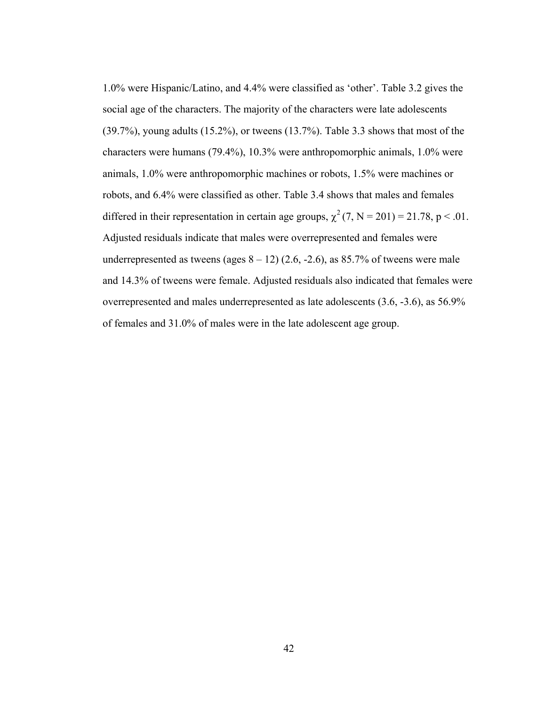1.0% were Hispanic/Latino, and 4.4% were classified as 'other'. Table 3.2 gives the social age of the characters. The majority of the characters were late adolescents (39.7%), young adults (15.2%), or tweens (13.7%). Table 3.3 shows that most of the characters were humans (79.4%), 10.3% were anthropomorphic animals, 1.0% were animals, 1.0% were anthropomorphic machines or robots, 1.5% were machines or robots, and 6.4% were classified as other. Table 3.4 shows that males and females differed in their representation in certain age groups,  $\chi^2$  (7, N = 201) = 21.78, p < .01. Adjusted residuals indicate that males were overrepresented and females were underrepresented as tweens (ages  $8 - 12$ ) (2.6, -2.6), as 85.7% of tweens were male and 14.3% of tweens were female. Adjusted residuals also indicated that females were overrepresented and males underrepresented as late adolescents (3.6, -3.6), as 56.9% of females and 31.0% of males were in the late adolescent age group.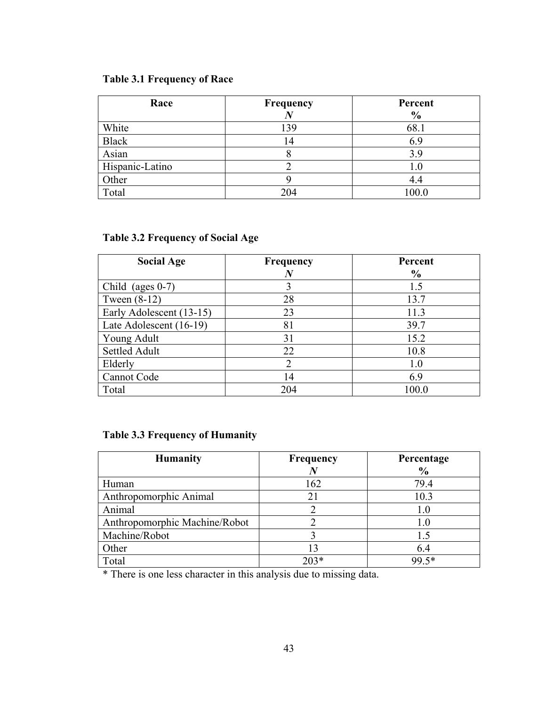# **Table 3.1 Frequency of Race**

| Race            | Frequency<br>$\bm{N}$ | Percent<br>$\frac{6}{9}$ |
|-----------------|-----------------------|--------------------------|
| White           | 139                   | 68.1                     |
| <b>Black</b>    | 4 ا                   | 6.9                      |
| Asian           |                       | 3.9                      |
| Hispanic-Latino |                       | 1.0                      |
| Other           |                       | 4.4                      |
| Total           | 204                   | 100.0                    |

# **Table 3.2 Frequency of Social Age**

| <b>Social Age</b>        | <b>Frequency</b><br>N | Percent<br>$\frac{0}{0}$ |
|--------------------------|-----------------------|--------------------------|
|                          |                       |                          |
| Child (ages $0-7$ )      |                       | 1.5                      |
| Tween $(8-12)$           | 28                    | 13.7                     |
| Early Adolescent (13-15) | 23                    | 11.3                     |
| Late Adolescent (16-19)  | 81                    | 39.7                     |
| Young Adult              | 31                    | 15.2                     |
| Settled Adult            | 22                    | 10.8                     |
| Elderly                  | $\overline{2}$        | 1.0                      |
| Cannot Code              | 14                    | 6.9                      |
| Total                    | 204                   | 100.0                    |

# **Table 3.3 Frequency of Humanity**

| <b>Humanity</b>               | <b>Frequency</b> | Percentage<br>$\frac{0}{0}$ |
|-------------------------------|------------------|-----------------------------|
| Human                         | 162              | 79.4                        |
| Anthropomorphic Animal        | 21               | 10.3                        |
| Animal                        |                  | 1.0                         |
| Anthropomorphic Machine/Robot |                  | 1.0                         |
| Machine/Robot                 |                  | 1.5                         |
| Other                         | 13               | 6.4                         |
| Total                         | $203*$           | 99.5*                       |

\* There is one less character in this analysis due to missing data.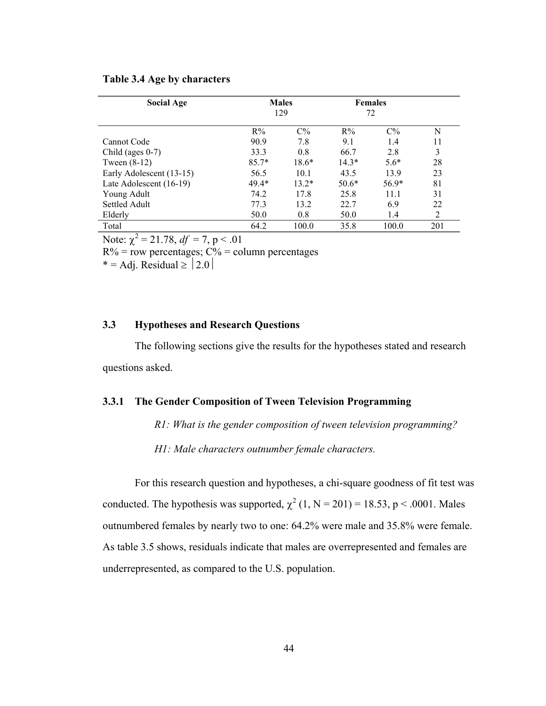| <b>Social Age</b>        |         | <b>Males</b><br>129 |         | <b>Females</b><br>72 |     |
|--------------------------|---------|---------------------|---------|----------------------|-----|
|                          | $R\%$   | $C\%$               | $R\%$   | $C\%$                | N   |
| Cannot Code              | 90.9    | 7.8                 | 9.1     | 1.4                  | 11  |
| Child (ages $0-7$ )      | 33.3    | 0.8                 | 66.7    | 2.8                  | 3   |
| Tween $(8-12)$           | $85.7*$ | $18.6*$             | $14.3*$ | $5.6*$               | 28  |
| Early Adolescent (13-15) | 56.5    | 10.1                | 43.5    | 13.9                 | 23  |
| Late Adolescent (16-19)  | $49.4*$ | $13.2*$             | $50.6*$ | $56.9*$              | 81  |
| Young Adult              | 74.2    | 17.8                | 25.8    | 11.1                 | 31  |
| Settled Adult            | 77.3    | 13.2                | 22.7    | 6.9                  | 22  |
| Elderly                  | 50.0    | 0.8                 | 50.0    | 1.4                  | 2   |
| Total                    | 64.2    | 100.0               | 35.8    | 100.0                | 201 |

### **Table 3.4 Age by characters**

Note:  $\chi^2 = 21.78$ ,  $df = 7$ ,  $p < .01$ 

 $R\%$  = row percentages;  $C\%$  = column percentages

\* = Adj. Residual  $\ge$  | 2.0 |

# **3.3 Hypotheses and Research Questions**

The following sections give the results for the hypotheses stated and research questions asked.

#### **3.3.1 The Gender Composition of Tween Television Programming**

*R1: What is the gender composition of tween television programming?* 

 *H1: Male characters outnumber female characters.* 

For this research question and hypotheses, a chi-square goodness of fit test was conducted. The hypothesis was supported,  $\chi^2$  (1, N = 201) = 18.53, p < .0001. Males outnumbered females by nearly two to one: 64.2% were male and 35.8% were female. As table 3.5 shows, residuals indicate that males are overrepresented and females are underrepresented, as compared to the U.S. population.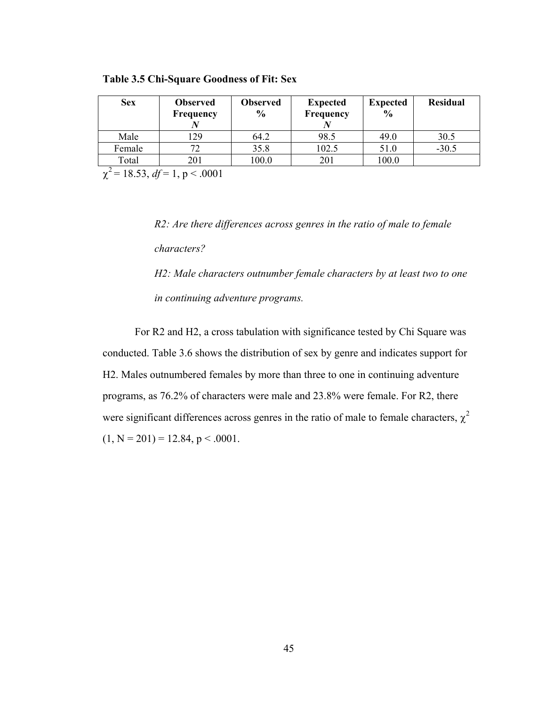| <b>Sex</b> | <b>Observed</b><br>Frequency | Observed<br>$\frac{0}{0}$ | <b>Expected</b><br>Frequency | <b>Expected</b><br>$\frac{0}{0}$ | <b>Residual</b> |
|------------|------------------------------|---------------------------|------------------------------|----------------------------------|-----------------|
| Male       | 29                           | 64.2                      | 98.5                         | 49.0                             | 30.5            |
| Female     |                              | 35.8                      | 102.5                        | 51.0                             | $-30.5$         |
| Total      | 201                          | 100.0                     | 201                          | 100.0                            |                 |

**Table 3.5 Chi-Square Goodness of Fit: Sex** 

 $\chi^2$  = 18.53, *df* = 1, p < .0001

*R2: Are there differences across genres in the ratio of male to female characters?* 

*H2: Male characters outnumber female characters by at least two to one in continuing adventure programs.* 

For R2 and H2, a cross tabulation with significance tested by Chi Square was conducted. Table 3.6 shows the distribution of sex by genre and indicates support for H2. Males outnumbered females by more than three to one in continuing adventure programs, as 76.2% of characters were male and 23.8% were female. For R2, there were significant differences across genres in the ratio of male to female characters,  $\chi^2$  $(1, N = 201) = 12.84, p < .0001$ .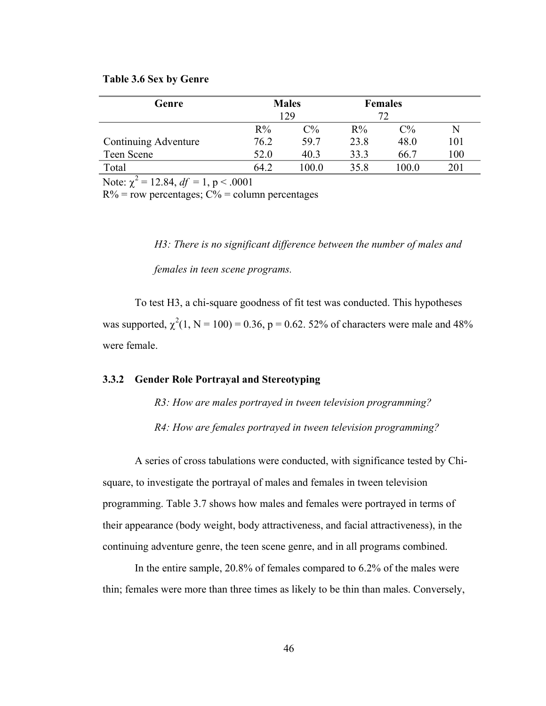#### **Table 3.6 Sex by Genre**

| Genre                |       | <b>Males</b>   |       | <b>Females</b> |     |
|----------------------|-------|----------------|-------|----------------|-----|
|                      |       | 129            |       | 72             |     |
|                      | $R\%$ | $\mathbb{C}\%$ | $R\%$ | $C\%$          | N   |
| Continuing Adventure | 76.2  | 59.7           | 23.8  | 48.0           | 101 |
| Teen Scene           | 52.0  | 40.3           | 33.3  | 66.7           | 100 |
| Total                | 64 2  | 100.0          | 35.8  | 100.0          | 201 |

Note:  $\chi^2 = 12.84$ ,  $df = 1$ , p < .0001

 $R\%$  = row percentages;  $C\%$  = column percentages

*H3: There is no significant difference between the number of males and females in teen scene programs.* 

To test H3, a chi-square goodness of fit test was conducted. This hypotheses was supported,  $\chi^2(1, N = 100) = 0.36$ , p = 0.62. 52% of characters were male and 48% were female.

## **3.3.2 Gender Role Portrayal and Stereotyping**

*R3: How are males portrayed in tween television programming?* 

 *R4: How are females portrayed in tween television programming?* 

A series of cross tabulations were conducted, with significance tested by Chisquare, to investigate the portrayal of males and females in tween television programming. Table 3.7 shows how males and females were portrayed in terms of their appearance (body weight, body attractiveness, and facial attractiveness), in the continuing adventure genre, the teen scene genre, and in all programs combined.

In the entire sample, 20.8% of females compared to 6.2% of the males were thin; females were more than three times as likely to be thin than males. Conversely,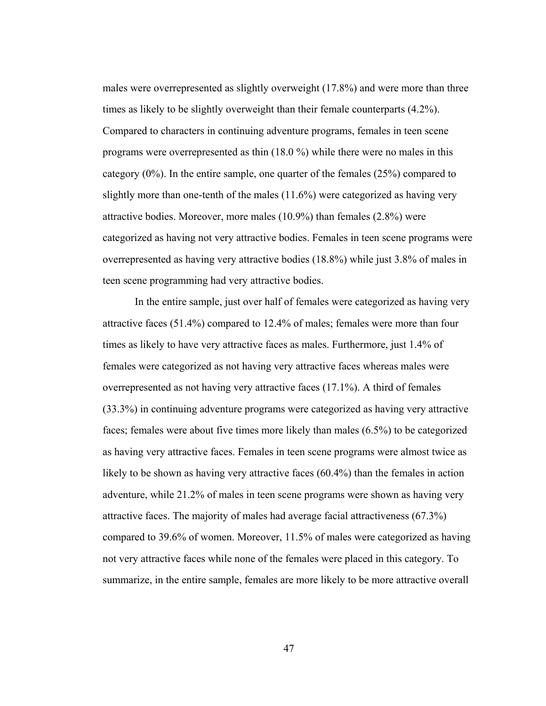males were overrepresented as slightly overweight (17.8%) and were more than three times as likely to be slightly overweight than their female counterparts (4.2%). Compared to characters in continuing adventure programs, females in teen scene programs were overrepresented as thin (18.0 %) while there were no males in this category  $(0\%)$ . In the entire sample, one quarter of the females  $(25\%)$  compared to slightly more than one-tenth of the males (11.6%) were categorized as having very attractive bodies. Moreover, more males (10.9%) than females (2.8%) were categorized as having not very attractive bodies. Females in teen scene programs were overrepresented as having very attractive bodies (18.8%) while just 3.8% of males in teen scene programming had very attractive bodies.

In the entire sample, just over half of females were categorized as having very attractive faces (51.4%) compared to 12.4% of males; females were more than four times as likely to have very attractive faces as males. Furthermore, just 1.4% of females were categorized as not having very attractive faces whereas males were overrepresented as not having very attractive faces (17.1%). A third of females (33.3%) in continuing adventure programs were categorized as having very attractive faces; females were about five times more likely than males (6.5%) to be categorized as having very attractive faces. Females in teen scene programs were almost twice as likely to be shown as having very attractive faces (60.4%) than the females in action adventure, while 21.2% of males in teen scene programs were shown as having very attractive faces. The majority of males had average facial attractiveness (67.3%) compared to 39.6% of women. Moreover, 11.5% of males were categorized as having not very attractive faces while none of the females were placed in this category. To summarize, in the entire sample, females are more likely to be more attractive overall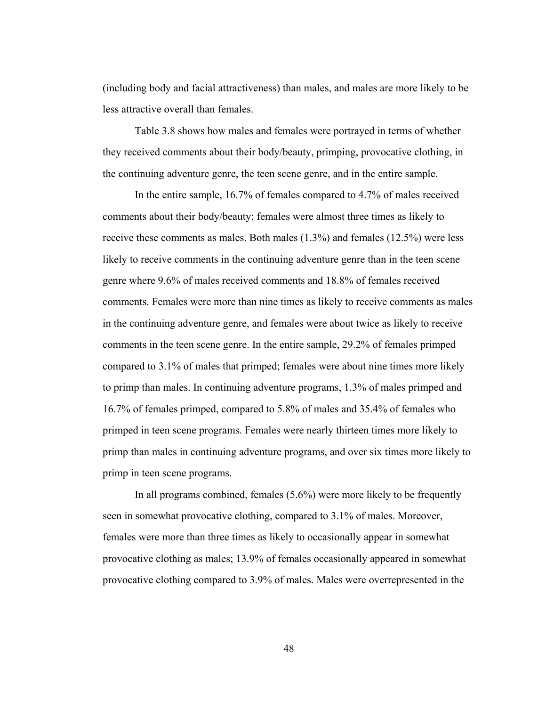(including body and facial attractiveness) than males, and males are more likely to be less attractive overall than females.

Table 3.8 shows how males and females were portrayed in terms of whether they received comments about their body/beauty, primping, provocative clothing, in the continuing adventure genre, the teen scene genre, and in the entire sample.

In the entire sample, 16.7% of females compared to 4.7% of males received comments about their body/beauty; females were almost three times as likely to receive these comments as males. Both males (1.3%) and females (12.5%) were less likely to receive comments in the continuing adventure genre than in the teen scene genre where 9.6% of males received comments and 18.8% of females received comments. Females were more than nine times as likely to receive comments as males in the continuing adventure genre, and females were about twice as likely to receive comments in the teen scene genre. In the entire sample, 29.2% of females primped compared to 3.1% of males that primped; females were about nine times more likely to primp than males. In continuing adventure programs, 1.3% of males primped and 16.7% of females primped, compared to 5.8% of males and 35.4% of females who primped in teen scene programs. Females were nearly thirteen times more likely to primp than males in continuing adventure programs, and over six times more likely to primp in teen scene programs.

In all programs combined, females (5.6%) were more likely to be frequently seen in somewhat provocative clothing, compared to 3.1% of males. Moreover, females were more than three times as likely to occasionally appear in somewhat provocative clothing as males; 13.9% of females occasionally appeared in somewhat provocative clothing compared to 3.9% of males. Males were overrepresented in the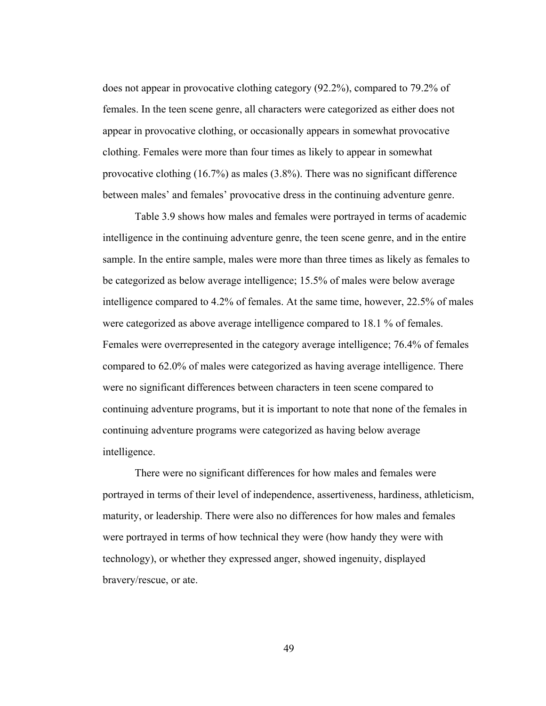does not appear in provocative clothing category (92.2%), compared to 79.2% of females. In the teen scene genre, all characters were categorized as either does not appear in provocative clothing, or occasionally appears in somewhat provocative clothing. Females were more than four times as likely to appear in somewhat provocative clothing (16.7%) as males (3.8%). There was no significant difference between males' and females' provocative dress in the continuing adventure genre.

Table 3.9 shows how males and females were portrayed in terms of academic intelligence in the continuing adventure genre, the teen scene genre, and in the entire sample. In the entire sample, males were more than three times as likely as females to be categorized as below average intelligence; 15.5% of males were below average intelligence compared to 4.2% of females. At the same time, however, 22.5% of males were categorized as above average intelligence compared to 18.1 % of females. Females were overrepresented in the category average intelligence; 76.4% of females compared to 62.0% of males were categorized as having average intelligence. There were no significant differences between characters in teen scene compared to continuing adventure programs, but it is important to note that none of the females in continuing adventure programs were categorized as having below average intelligence.

There were no significant differences for how males and females were portrayed in terms of their level of independence, assertiveness, hardiness, athleticism, maturity, or leadership. There were also no differences for how males and females were portrayed in terms of how technical they were (how handy they were with technology), or whether they expressed anger, showed ingenuity, displayed bravery/rescue, or ate.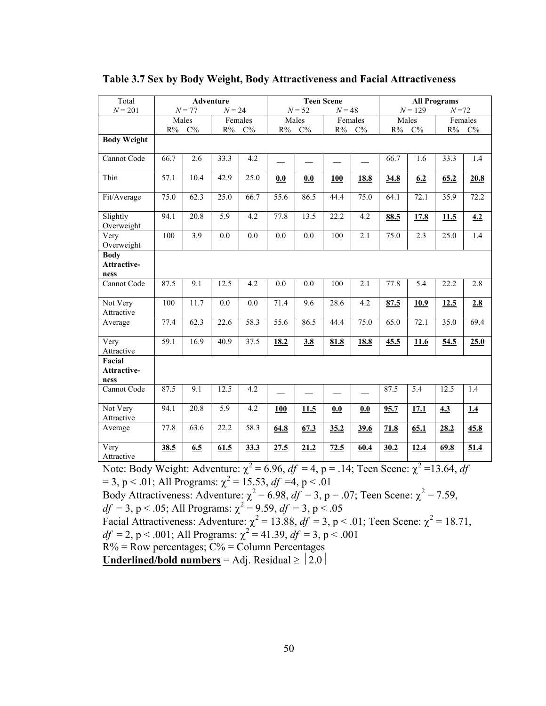| Total                                | <b>Adventure</b> |          |          | <b>Teen Scene</b> |            |           |          | <b>All Programs</b> |           |           |          |            |
|--------------------------------------|------------------|----------|----------|-------------------|------------|-----------|----------|---------------------|-----------|-----------|----------|------------|
| $N = 201$                            |                  | $N = 77$ | $N = 24$ |                   |            | $N = 52$  | $N = 48$ |                     |           | $N = 129$ | $N = 72$ |            |
|                                      | Males            |          |          | Females           |            | Males     |          | Females             |           | Males     |          | Females    |
|                                      | $R\%$            | $C\%$    | $R\%$    | $C\%$             | $R\%$      | $\rm C\%$ | R%       | $C\%$               | $\rm R\%$ | $C\%$     | $R\%$    | $C\%$      |
| <b>Body Weight</b>                   |                  |          |          |                   |            |           |          |                     |           |           |          |            |
| Cannot Code                          | 66.7             | 2.6      | 33.3     | 4.2               |            |           |          |                     | 66.7      | 1.6       | 33.3     | 1.4        |
| Thin                                 | 57.1             | 10.4     | 42.9     | 25.0              | 0.0        | 0.0       | 100      | <b>18.8</b>         | 34.8      | 6.2       | 65.2     | 20.8       |
| Fit/Average                          | 75.0             | 62.3     | 25.0     | 66.7              | 55.6       | 86.5      | 44.4     | 75.0                | 64.1      | 72.1      | 35.9     | 72.2       |
| Slightly<br>Overweight               | 94.1             | 20.8     | 5.9      | 4.2               | 77.8       | 13.5      | 22.2     | 4.2                 | 88.5      | 17.8      | 11.5     | 4.2        |
| Very<br>Overweight                   | 100              | 3.9      | 0.0      | 0.0               | 0.0        | 0.0       | 100      | 2.1                 | 75.0      | 2.3       | 25.0     | 1.4        |
| <b>Body</b>                          |                  |          |          |                   |            |           |          |                     |           |           |          |            |
| Attractive-                          |                  |          |          |                   |            |           |          |                     |           |           |          |            |
| ness                                 |                  |          |          |                   |            |           |          |                     |           |           |          |            |
| Cannot Code                          | 87.5             | 9.1      | 12.5     | 4.2               | 0.0        | 0.0       | 100      | 2.1                 | 77.8      | 5.4       | 22.2     | 2.8        |
| Not Very<br>Attractive               | 100              | 11.7     | 0.0      | 0.0               | 71.4       | 9.6       | 28.6     | 4.2                 | 87.5      | 10.9      | 12.5     | 2.8        |
| Average                              | 77.4             | 62.3     | 22.6     | 58.3              | 55.6       | 86.5      | 44.4     | 75.0                | 65.0      | 72.1      | 35.0     | 69.4       |
| Very<br>Attractive                   | 59.1             | 16.9     | 40.9     | 37.5              | 18.2       | 3.8       | 81.8     | <b>18.8</b>         | 45.5      | 11.6      | 54.5     | 25.0       |
| Facial<br><b>Attractive-</b><br>ness |                  |          |          |                   |            |           |          |                     |           |           |          |            |
| Cannot Code                          | 87.5             | 9.1      | 12.5     | 4.2               |            |           |          |                     | 87.5      | 5.4       | 12.5     | 1.4        |
| Not Very<br>Attractive               | 94.1             | 20.8     | 5.9      | 4.2               | <b>100</b> | 11.5      | 0.0      | 0.0                 | 95.7      | 17.1      | 4.3      | <u>1.4</u> |
| Average                              | 77.8             | 63.6     | 22.2     | 58.3              | 64.8       | 67.3      | 35.2     | 39.6                | 71.8      | 65.1      | 28.2     | 45.8       |
| $\bar{V}$ ery<br>Attractive          | 38.5             | 6.5      | 61.5     | 33.3              | 27.5       | 21.2      | 72.5     | 60.4                | 30.2      | 12.4      | 69.8     | 51.4       |

#### **Table 3.7 Sex by Body Weight, Body Attractiveness and Facial Attractiveness**

Note: Body Weight: Adventure:  $\chi^2 = 6.96$ ,  $df = 4$ , p = .14; Teen Scene:  $\chi^2 = 13.64$ , df

 $= 3$ , p < .01; All Programs:  $\chi^2 = 15.53$ , *df* =4, p < .01

Body Attractiveness: Adventure:  $\chi^2 = 6.98$ ,  $df = 3$ , p = .07; Teen Scene:  $\chi^2 = 7.59$ ,  $df = 3$ , p < .05; All Programs:  $\chi^2 = 9.59$ ,  $df = 3$ , p < .05 Facial Attractiveness: Adventure:  $\chi^2 = 13.88$ ,  $df = 3$ , p < .01; Teen Scene:  $\chi^2 = 18.71$ ,  $df = 2$ , p < .001; All Programs:  $\chi^2 = 41.39$ ,  $df = 3$ , p < .001

 $R\%$  = Row percentages;  $C\%$  = Column Percentages

**<u>Underlined/bold numbers</u>** = Adj. Residual  $\ge$   $|2.0|$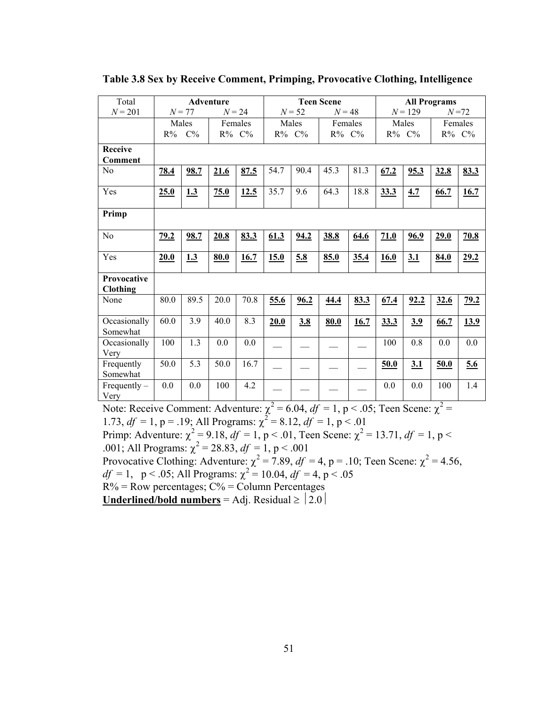| Total                                                  | <b>Adventure</b> |             |                                  | <b>Teen Scene</b> |                |                                      |             | <b>All Programs</b> |                             |               |                                 |          |
|--------------------------------------------------------|------------------|-------------|----------------------------------|-------------------|----------------|--------------------------------------|-------------|---------------------|-----------------------------|---------------|---------------------------------|----------|
| $N = 201$                                              |                  | $N = 77$    | $N = 24$                         |                   |                | $N = 52$                             | $N = 48$    |                     |                             | $N = 129$     |                                 | $N = 72$ |
|                                                        |                  | Males       |                                  | Females           |                | Males                                | Females     |                     |                             | Males         |                                 | Females  |
|                                                        |                  | $R\%$ $C\%$ |                                  | R% C%             |                | R% C%                                | $R\%$ $C\%$ |                     |                             | R% C%         |                                 | R% C%    |
| <b>Receive</b>                                         |                  |             |                                  |                   |                |                                      |             |                     |                             |               |                                 |          |
| <b>Comment</b>                                         |                  |             |                                  |                   |                |                                      |             |                     |                             |               |                                 |          |
| N <sub>0</sub>                                         | 78.4             | 98.7        | 21.6                             | 87.5              | 54.7           | 90.4                                 | 45.3        | 81.3                | 67.2                        | 95.3          | 32.8                            | 83.3     |
| Yes                                                    | 25.0             | 1.3         | 75.0                             | 12.5              | 35.7           | 9.6                                  | 64.3        | 18.8                | 33.3                        | 4.7           | 66.7                            | 16.7     |
| Primp                                                  |                  |             |                                  |                   |                |                                      |             |                     |                             |               |                                 |          |
| N <sub>0</sub>                                         | 79.2             | <u>98.7</u> | 20.8                             | 83.3              | 61.3           | 94.2                                 | 38.8        | 64.6                | 71.0                        | 96.9          | 29.0                            | 70.8     |
| Yes                                                    | 20.0             | 1.3         | 80.0                             | 16.7              | 15.0           | 5.8                                  | 85.0        | 35.4                | 16.0                        | 3.1           | 84.0                            | 29.2     |
| Provocative<br><b>Clothing</b>                         |                  |             |                                  |                   |                |                                      |             |                     |                             |               |                                 |          |
| None                                                   | 80.0             | 89.5        | 20.0                             | 70.8              | 55.6           | 96.2                                 | 44.4        | 83.3                | 67.4                        | 92.2          | 32.6                            | 79.2     |
| Occasionally<br>Somewhat                               | 60.0             | 3.9         | 40.0                             | 8.3               | 20.0           | 3.8                                  | 80.0        | 16.7                | 33.3                        | 3.9           | 66.7                            | 13.9     |
| Occasionally<br>Very                                   | 100              | 1.3         | 0.0                              | 0.0               |                |                                      |             |                     | 100                         | 0.8           | 0.0                             | 0.0      |
| Frequently<br>Somewhat                                 | 50.0             | 5.3         | 50.0                             | 16.7              |                |                                      |             |                     | 50.0                        | 3.1           | 50.0                            | 5.6      |
| $Frequently -$<br>Very<br>$\mathbf{r}$<br>$\mathbf{v}$ | 0.0<br>$\sim$    | 0.0         | 100<br>$\mathbf{A}$ $\mathbf{A}$ | 4.2               | $\overline{2}$ | $\sim$ $\sim$ $\sim$<br>$\mathbf{z}$ |             |                     | 0.0<br>$\sim$ $\sim$ $\sim$ | 0.0<br>$\sim$ | 100<br>$\overline{\phantom{a}}$ | 1.4      |

**Table 3.8 Sex by Receive Comment, Primping, Provocative Clothing, Intelligence** 

Note: Receive Comment: Adventure:  $\chi^2 = 6.04$ ,  $df = 1$ ,  $p < .05$ ; Teen Scene:  $\chi^2 =$ 1.73,  $df = 1$ ,  $p = .19$ ; All Programs:  $\chi^2 = 8.12$ ,  $df = 1$ ,  $p < .01$ Primp: Adventure:  $\chi^2 = 9.18$ ,  $df = 1$ , p < .01, Teen Scene:  $\chi^2 = 13.71$ ,  $df = 1$ , p < .001; All Programs:  $\chi^2 = 28.83$ ,  $df = 1$ , p < .001

Provocative Clothing: Adventure:  $\chi^2 = 7.89$ ,  $df = 4$ , p = .10; Teen Scene:  $\chi^2 = 4.56$ ,  $df = 1$ ,  $p < .05$ ; All Programs:  $\chi^2 = 10.04$ ,  $df = 4$ ,  $p < .05$  $R\%$  = Row percentages;  $C\%$  = Column Percentages

**<u>Underlined/bold numbers</u>** = Adj. Residual  $\ge$   $|2.0|$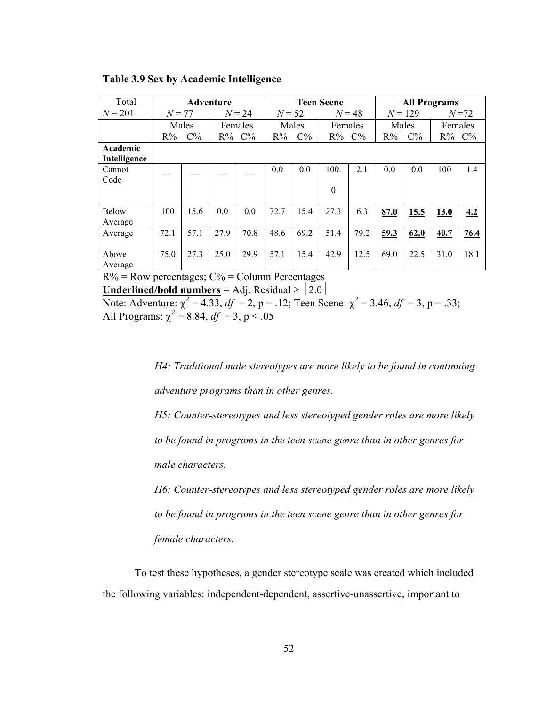| Total                    | Adventure |       |          |             | <b>Teen Scene</b> |       |             |      | <b>All Programs</b> |       |          |       |
|--------------------------|-----------|-------|----------|-------------|-------------------|-------|-------------|------|---------------------|-------|----------|-------|
| $N = 201$                | $N = 77$  |       | $N = 24$ |             | $N = 52$          |       | $N = 48$    |      | $N = 129$           |       | $N = 72$ |       |
|                          | Males     |       | Females  |             | Males             |       | Females     |      | Males               |       | Females  |       |
|                          | $R\%$     | $C\%$ |          | $R\%$ $C\%$ | $R\%$             | $C\%$ | $R\%$ $C\%$ |      | $R\%$               | $C\%$ | $R\%$    | $C\%$ |
| Academic<br>Intelligence |           |       |          |             |                   |       |             |      |                     |       |          |       |
| Cannot                   |           |       |          |             | 0.0               | 0.0   | 100.        | 2.1  | 0.0                 | 0.0   | 100      | 1.4   |
| Code                     |           |       |          |             |                   |       |             |      |                     |       |          |       |
|                          |           |       |          |             |                   |       | $\theta$    |      |                     |       |          |       |
| <b>Below</b>             | 100       | 15.6  | 0.0      | 0.0         | 72.7              | 15.4  | 27.3        | 6.3  | 87.0                | 15.5  | 13.0     | 4.2   |
| Average                  |           |       |          |             |                   |       |             |      |                     |       |          |       |
| Average                  | 72.1      | 57.1  | 27.9     | 70.8        | 48.6              | 69.2  | 51.4        | 79.2 | 59.3                | 62.0  | 40.7     | 76.4  |
|                          |           |       |          |             |                   |       |             |      |                     |       |          |       |
| Above                    | 75.0      | 27.3  | 25.0     | 29.9        | 57.1              | 15.4  | 42.9        | 12.5 | 69.0                | 22.5  | 31.0     | 18.1  |
| Average                  |           |       |          |             |                   |       |             |      |                     |       |          |       |

**Table 3.9 Sex by Academic Intelligence** 

 $R\%$  = Row percentages;  $C\%$  = Column Percentages

**<u>Underlined/bold numbers</u>** = Adj. Residual  $\ge$   $\left| 2.0 \right|$ .

Note: Adventure:  $\chi^2 = 4.33$ ,  $df = 2$ , p = .12; Teen Scene:  $\chi^2 = 3.46$ ,  $df = 3$ , p = .33; All Programs:  $\chi^2 = 8.84$ ,  $df = 3$ , p < .05

> *H4: Traditional male stereotypes are more likely to be found in continuing adventure programs than in other genres.*

> *H5: Counter-stereotypes and less stereotyped gender roles are more likely to be found in programs in the teen scene genre than in other genres for male characters.*

> *H6: Counter-stereotypes and less stereotyped gender roles are more likely to be found in programs in the teen scene genre than in other genres for female characters.*

To test these hypotheses, a gender stereotype scale was created which included the following variables: independent-dependent, assertive-unassertive, important to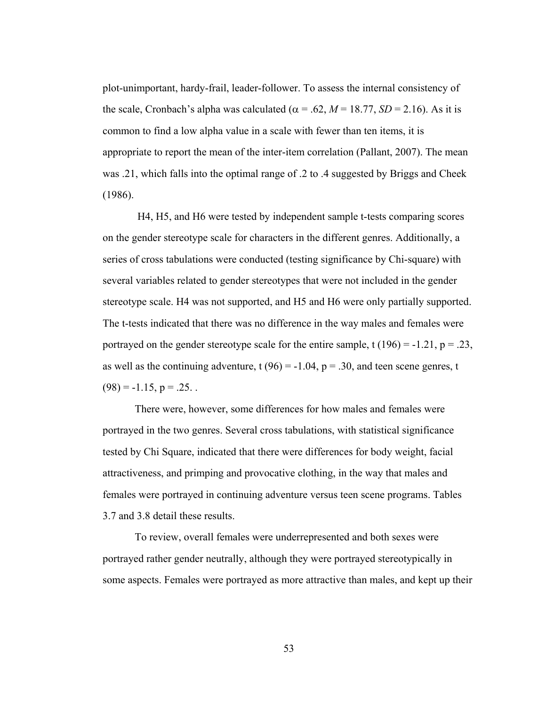plot-unimportant, hardy-frail, leader-follower. To assess the internal consistency of the scale, Cronbach's alpha was calculated ( $\alpha$  = .62, *M* = 18.77, *SD* = 2.16). As it is common to find a low alpha value in a scale with fewer than ten items, it is appropriate to report the mean of the inter-item correlation (Pallant, 2007). The mean was .21, which falls into the optimal range of .2 to .4 suggested by Briggs and Cheek (1986).

 H4, H5, and H6 were tested by independent sample t-tests comparing scores on the gender stereotype scale for characters in the different genres. Additionally, a series of cross tabulations were conducted (testing significance by Chi-square) with several variables related to gender stereotypes that were not included in the gender stereotype scale. H4 was not supported, and H5 and H6 were only partially supported. The t-tests indicated that there was no difference in the way males and females were portrayed on the gender stereotype scale for the entire sample, t  $(196) = -1.21$ , p = .23, as well as the continuing adventure,  $t(96) = -1.04$ ,  $p = .30$ , and teen scene genres, t  $(98) = -1.15$ ,  $p = .25$ .

There were, however, some differences for how males and females were portrayed in the two genres. Several cross tabulations, with statistical significance tested by Chi Square, indicated that there were differences for body weight, facial attractiveness, and primping and provocative clothing, in the way that males and females were portrayed in continuing adventure versus teen scene programs. Tables 3.7 and 3.8 detail these results.

To review, overall females were underrepresented and both sexes were portrayed rather gender neutrally, although they were portrayed stereotypically in some aspects. Females were portrayed as more attractive than males, and kept up their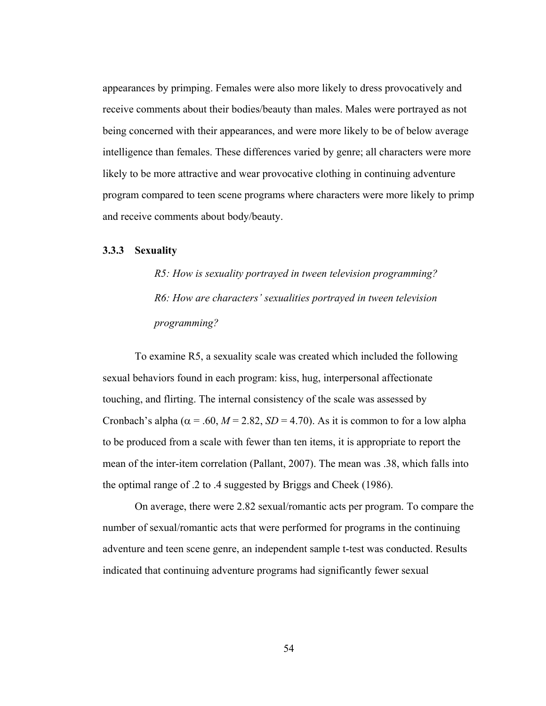appearances by primping. Females were also more likely to dress provocatively and receive comments about their bodies/beauty than males. Males were portrayed as not being concerned with their appearances, and were more likely to be of below average intelligence than females. These differences varied by genre; all characters were more likely to be more attractive and wear provocative clothing in continuing adventure program compared to teen scene programs where characters were more likely to primp and receive comments about body/beauty.

#### **3.3.3 Sexuality**

*R5: How is sexuality portrayed in tween television programming? R6: How are characters' sexualities portrayed in tween television programming?* 

To examine R5, a sexuality scale was created which included the following sexual behaviors found in each program: kiss, hug, interpersonal affectionate touching, and flirting. The internal consistency of the scale was assessed by Cronbach's alpha ( $\alpha$  = .60, *M* = 2.82, *SD* = 4.70). As it is common to for a low alpha to be produced from a scale with fewer than ten items, it is appropriate to report the mean of the inter-item correlation (Pallant, 2007). The mean was .38, which falls into the optimal range of .2 to .4 suggested by Briggs and Cheek (1986).

On average, there were 2.82 sexual/romantic acts per program. To compare the number of sexual/romantic acts that were performed for programs in the continuing adventure and teen scene genre, an independent sample t-test was conducted. Results indicated that continuing adventure programs had significantly fewer sexual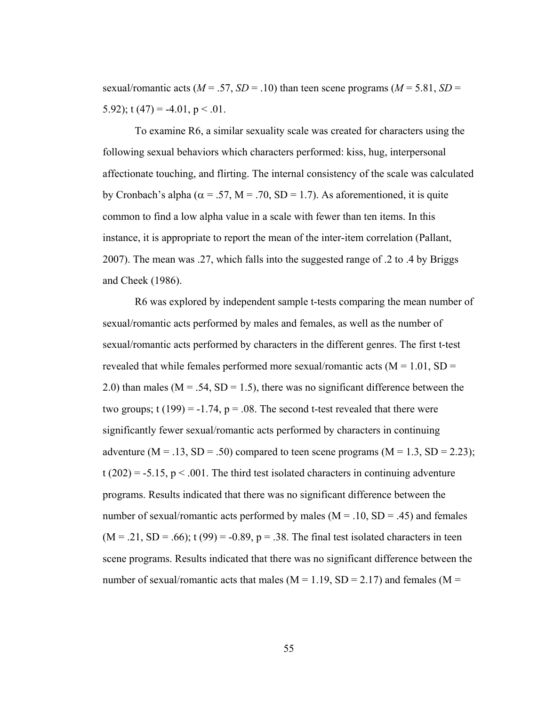sexual/romantic acts ( $M = .57$ ,  $SD = .10$ ) than teen scene programs ( $M = 5.81$ ,  $SD =$ 5.92); t  $(47) = -4.01$ , p < .01.

To examine R6, a similar sexuality scale was created for characters using the following sexual behaviors which characters performed: kiss, hug, interpersonal affectionate touching, and flirting. The internal consistency of the scale was calculated by Cronbach's alpha ( $\alpha$  = .57, M = .70, SD = 1.7). As aforementioned, it is quite common to find a low alpha value in a scale with fewer than ten items. In this instance, it is appropriate to report the mean of the inter-item correlation (Pallant, 2007). The mean was .27, which falls into the suggested range of .2 to .4 by Briggs and Cheek (1986).

R6 was explored by independent sample t-tests comparing the mean number of sexual/romantic acts performed by males and females, as well as the number of sexual/romantic acts performed by characters in the different genres. The first t-test revealed that while females performed more sexual/romantic acts ( $M = 1.01$ , SD = 2.0) than males ( $M = .54$ ,  $SD = 1.5$ ), there was no significant difference between the two groups;  $t(199) = -1.74$ ,  $p = .08$ . The second t-test revealed that there were significantly fewer sexual/romantic acts performed by characters in continuing adventure ( $M = .13$ ,  $SD = .50$ ) compared to teen scene programs ( $M = 1.3$ ,  $SD = 2.23$ );  $t(202) = -5.15$ ,  $p < .001$ . The third test isolated characters in continuing adventure programs. Results indicated that there was no significant difference between the number of sexual/romantic acts performed by males  $(M = .10, SD = .45)$  and females  $(M = .21, SD = .66)$ ; t (99) = -0.89, p = .38. The final test isolated characters in teen scene programs. Results indicated that there was no significant difference between the number of sexual/romantic acts that males  $(M = 1.19, SD = 2.17)$  and females  $(M = 1.19, SD = 2.17)$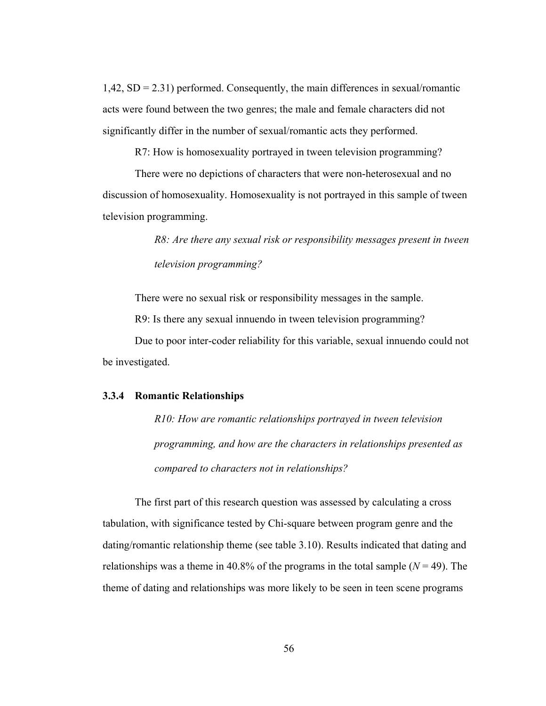1,42, SD = 2.31) performed. Consequently, the main differences in sexual/romantic acts were found between the two genres; the male and female characters did not significantly differ in the number of sexual/romantic acts they performed.

R7: How is homosexuality portrayed in tween television programming?

There were no depictions of characters that were non-heterosexual and no discussion of homosexuality. Homosexuality is not portrayed in this sample of tween television programming.

> *R8: Are there any sexual risk or responsibility messages present in tween television programming?*

There were no sexual risk or responsibility messages in the sample.

R9: Is there any sexual innuendo in tween television programming?

Due to poor inter-coder reliability for this variable, sexual innuendo could not be investigated.

#### **3.3.4 Romantic Relationships**

*R10: How are romantic relationships portrayed in tween television programming, and how are the characters in relationships presented as compared to characters not in relationships?* 

The first part of this research question was assessed by calculating a cross tabulation, with significance tested by Chi-square between program genre and the dating/romantic relationship theme (see table 3.10). Results indicated that dating and relationships was a theme in 40.8% of the programs in the total sample  $(N = 49)$ . The theme of dating and relationships was more likely to be seen in teen scene programs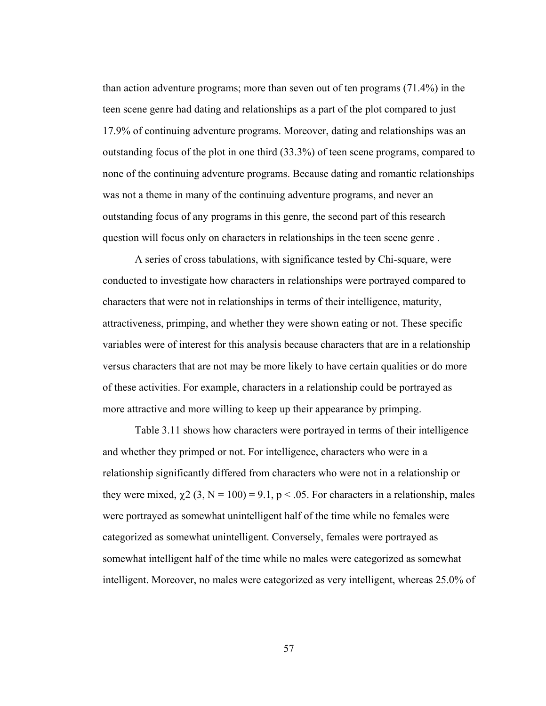than action adventure programs; more than seven out of ten programs (71.4%) in the teen scene genre had dating and relationships as a part of the plot compared to just 17.9% of continuing adventure programs. Moreover, dating and relationships was an outstanding focus of the plot in one third (33.3%) of teen scene programs, compared to none of the continuing adventure programs. Because dating and romantic relationships was not a theme in many of the continuing adventure programs, and never an outstanding focus of any programs in this genre, the second part of this research question will focus only on characters in relationships in the teen scene genre .

A series of cross tabulations, with significance tested by Chi-square, were conducted to investigate how characters in relationships were portrayed compared to characters that were not in relationships in terms of their intelligence, maturity, attractiveness, primping, and whether they were shown eating or not. These specific variables were of interest for this analysis because characters that are in a relationship versus characters that are not may be more likely to have certain qualities or do more of these activities. For example, characters in a relationship could be portrayed as more attractive and more willing to keep up their appearance by primping.

Table 3.11 shows how characters were portrayed in terms of their intelligence and whether they primped or not. For intelligence, characters who were in a relationship significantly differed from characters who were not in a relationship or they were mixed,  $\chi$ 2 (3, N = 100) = 9.1, p < .05. For characters in a relationship, males were portrayed as somewhat unintelligent half of the time while no females were categorized as somewhat unintelligent. Conversely, females were portrayed as somewhat intelligent half of the time while no males were categorized as somewhat intelligent. Moreover, no males were categorized as very intelligent, whereas 25.0% of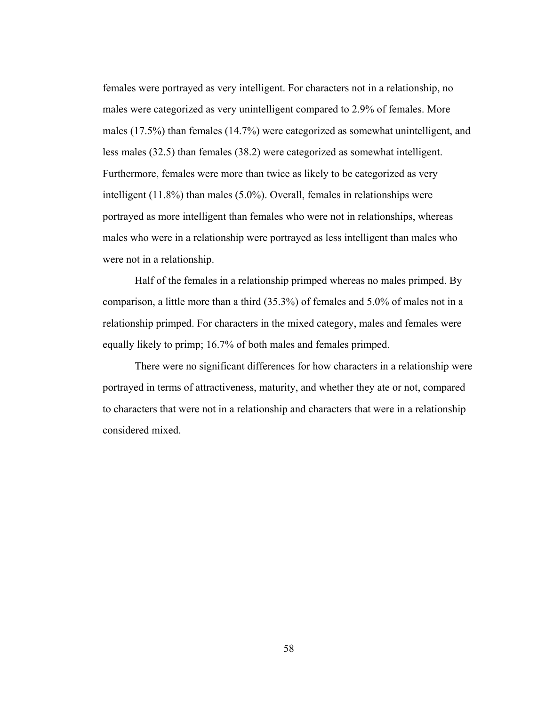females were portrayed as very intelligent. For characters not in a relationship, no males were categorized as very unintelligent compared to 2.9% of females. More males (17.5%) than females (14.7%) were categorized as somewhat unintelligent, and less males (32.5) than females (38.2) were categorized as somewhat intelligent. Furthermore, females were more than twice as likely to be categorized as very intelligent (11.8%) than males (5.0%). Overall, females in relationships were portrayed as more intelligent than females who were not in relationships, whereas males who were in a relationship were portrayed as less intelligent than males who were not in a relationship.

Half of the females in a relationship primped whereas no males primped. By comparison, a little more than a third (35.3%) of females and 5.0% of males not in a relationship primped. For characters in the mixed category, males and females were equally likely to primp; 16.7% of both males and females primped.

There were no significant differences for how characters in a relationship were portrayed in terms of attractiveness, maturity, and whether they ate or not, compared to characters that were not in a relationship and characters that were in a relationship considered mixed.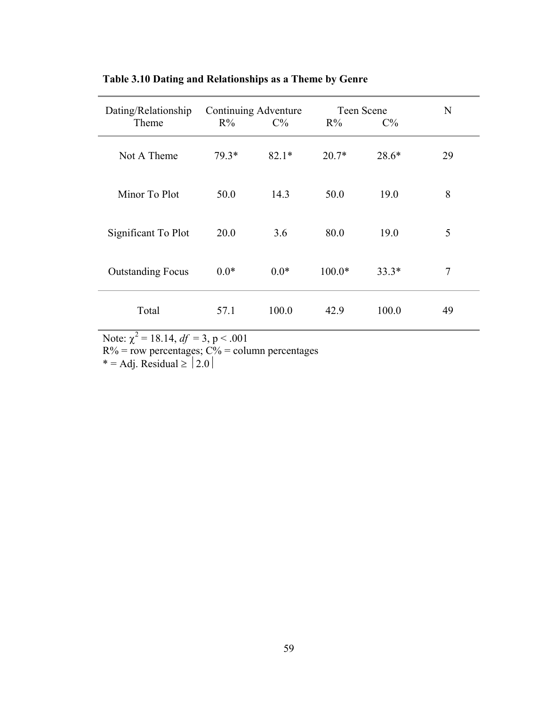| Dating/Relationship<br>Theme | Continuing Adventure<br>$R\%$ | $C\%$   | Teen Scene<br>$R\%$ | N       |    |
|------------------------------|-------------------------------|---------|---------------------|---------|----|
| Not A Theme                  | 79.3*                         | $82.1*$ | $20.7*$             | $28.6*$ | 29 |
| Minor To Plot                | 50.0                          | 14.3    | 50.0                | 19.0    | 8  |
| Significant To Plot          | 20.0                          | 3.6     | 80.0                | 19.0    | 5  |
| <b>Outstanding Focus</b>     | $0.0*$                        | $0.0*$  | $100.0*$            | $33.3*$ | 7  |
| Total                        | 57.1                          | 100.0   | 42.9                | 100.0   | 49 |

**Table 3.10 Dating and Relationships as a Theme by Genre** 

Note:  $\chi^2 = 18.14$ ,  $df = 3$ , p < .001

 $R\%$  = row percentages;  $C\%$  = column percentages

 $* = Adj$ . Residual  $\geq 2.0$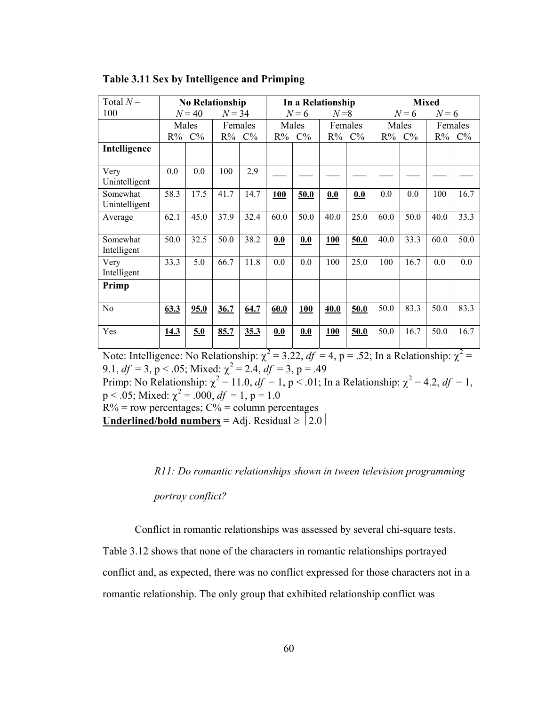| Total $N =$               | <b>No Relationship</b> |       |          |       | In a Relationship |       |         |       | <b>Mixed</b> |       |         |       |
|---------------------------|------------------------|-------|----------|-------|-------------------|-------|---------|-------|--------------|-------|---------|-------|
| 100                       | $N = 40$               |       | $N = 34$ |       | $N=6$             |       | $N=8$   |       | $N=6$        |       | $N=6$   |       |
|                           | Males                  |       | Females  |       | Males             |       | Females |       | Males        |       | Females |       |
|                           | $R\%$                  | $C\%$ | $R\%$    | $C\%$ | R%                | $C\%$ |         | R% C% | $R\%$        | $C\%$ | $R\%$   | $C\%$ |
| Intelligence              |                        |       |          |       |                   |       |         |       |              |       |         |       |
| Very<br>Unintelligent     | 0.0                    | 0.0   | 100      | 2.9   |                   |       |         |       |              |       |         |       |
| Somewhat<br>Unintelligent | 58.3                   | 17.5  | 41.7     | 14.7  | 100               | 50.0  | 0.0     | 0.0   | 0.0          | 0.0   | 100     | 16.7  |
| Average                   | 62.1                   | 45.0  | 37.9     | 32.4  | 60.0              | 50.0  | 40.0    | 25.0  | 60.0         | 50.0  | 40.0    | 33.3  |
| Somewhat<br>Intelligent   | 50.0                   | 32.5  | 50.0     | 38.2  | 0.0               | 0.0   | 100     | 50.0  | 40.0         | 33.3  | 60.0    | 50.0  |
| Very<br>Intelligent       | 33.3                   | 5.0   | 66.7     | 11.8  | 0.0               | 0.0   | 100     | 25.0  | 100          | 16.7  | 0.0     | 0.0   |
| Primp                     |                        |       |          |       |                   |       |         |       |              |       |         |       |
| No                        | 63.3                   | 95.0  | 36.7     | 64.7  | 60.0              | 100   | 40.0    | 50.0  | 50.0         | 83.3  | 50.0    | 83.3  |
| Yes                       | 14.3                   | 5.0   | 85.7     | 35.3  | 0.0               | 0.0   | 100     | 50.0  | 50.0         | 16.7  | 50.0    | 16.7  |

Note: Intelligence: No Relationship:  $\chi^2 = 3.22$ ,  $df = 4$ , p = .52; In a Relationship:  $\chi^2 =$ 9.1,  $df = 3$ , p < .05; Mixed:  $\chi^2 = 2.4$ ,  $df = 3$ , p = .49

Primp: No Relationship:  $\chi^2 = 11.0$ ,  $df = 1$ ,  $p < .01$ ; In a Relationship:  $\chi^2 = 4.2$ ,  $df = 1$ ,  $p < .05$ ; Mixed:  $\chi^2 = .000$ ,  $df = 1$ ,  $p = 1.0$ 

 $R\%$  = row percentages;  $C\%$  = column percentages

**<u>Underlined/bold numbers</u>** = Adj. Residual  $\ge$   $|2.0|$ 

*R11: Do romantic relationships shown in tween television programming* 

*portray conflict?* 

Conflict in romantic relationships was assessed by several chi-square tests.

Table 3.12 shows that none of the characters in romantic relationships portrayed conflict and, as expected, there was no conflict expressed for those characters not in a romantic relationship. The only group that exhibited relationship conflict was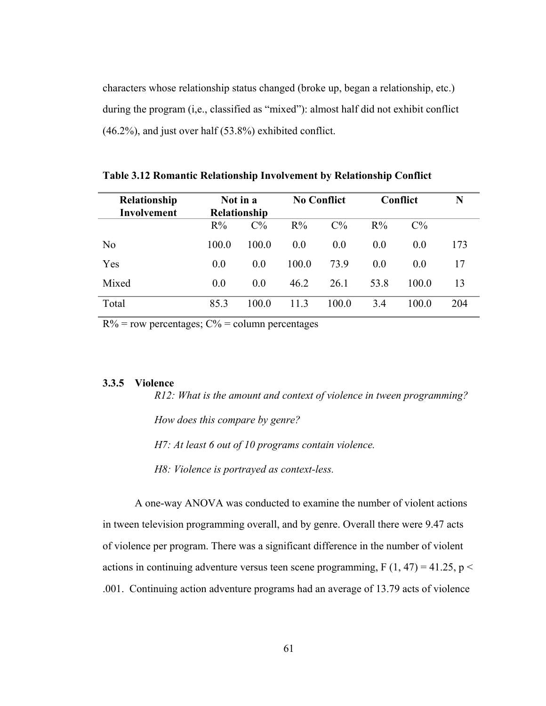characters whose relationship status changed (broke up, began a relationship, etc.) during the program (i,e., classified as "mixed"): almost half did not exhibit conflict (46.2%), and just over half (53.8%) exhibited conflict.

| Relationship<br><b>Involvement</b> | Not in a<br><b>Relationship</b> |                |       | <b>No Conflict</b> | Conflict       | N              |     |
|------------------------------------|---------------------------------|----------------|-------|--------------------|----------------|----------------|-----|
|                                    | $R\%$                           | $C\%$          | $R\%$ | $C\%$              | $R\%$          | $C\%$          |     |
| N <sub>0</sub>                     | 100.0                           | 100.0          | 0.0   | 0.0                | 0 <sub>0</sub> | 0.0            | 173 |
| Yes                                | 0.0                             | 0 <sub>0</sub> | 100.0 | 73.9               | 0 <sub>0</sub> | 0 <sub>0</sub> | 17  |
| Mixed                              | 0.0                             | 0.0            | 46.2  | 26.1               | 53.8           | 100 0          | 13  |
| Total                              | 85.3                            | 100.0          | 113   | 100.0              | 3.4            | 100.0          | 204 |

**Table 3.12 Romantic Relationship Involvement by Relationship Conflict** 

 $R\%$  = row percentages;  $C\%$  = column percentages

# **3.3.5 Violence**

*R12: What is the amount and context of violence in tween programming? How does this compare by genre? H7: At least 6 out of 10 programs contain violence.* 

 *H8: Violence is portrayed as context-less.* 

A one-way ANOVA was conducted to examine the number of violent actions in tween television programming overall, and by genre. Overall there were 9.47 acts of violence per program. There was a significant difference in the number of violent actions in continuing adventure versus teen scene programming, F  $(1, 47) = 41.25$ , p < .001. Continuing action adventure programs had an average of 13.79 acts of violence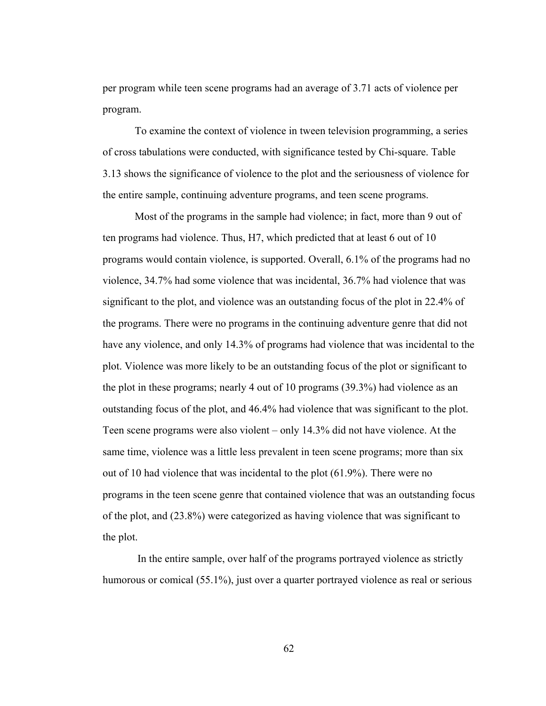per program while teen scene programs had an average of 3.71 acts of violence per program.

To examine the context of violence in tween television programming, a series of cross tabulations were conducted, with significance tested by Chi-square. Table 3.13 shows the significance of violence to the plot and the seriousness of violence for the entire sample, continuing adventure programs, and teen scene programs.

Most of the programs in the sample had violence; in fact, more than 9 out of ten programs had violence. Thus, H7, which predicted that at least 6 out of 10 programs would contain violence, is supported. Overall, 6.1% of the programs had no violence, 34.7% had some violence that was incidental, 36.7% had violence that was significant to the plot, and violence was an outstanding focus of the plot in 22.4% of the programs. There were no programs in the continuing adventure genre that did not have any violence, and only 14.3% of programs had violence that was incidental to the plot. Violence was more likely to be an outstanding focus of the plot or significant to the plot in these programs; nearly 4 out of 10 programs (39.3%) had violence as an outstanding focus of the plot, and 46.4% had violence that was significant to the plot. Teen scene programs were also violent – only 14.3% did not have violence. At the same time, violence was a little less prevalent in teen scene programs; more than six out of 10 had violence that was incidental to the plot (61.9%). There were no programs in the teen scene genre that contained violence that was an outstanding focus of the plot, and (23.8%) were categorized as having violence that was significant to the plot.

 In the entire sample, over half of the programs portrayed violence as strictly humorous or comical (55.1%), just over a quarter portrayed violence as real or serious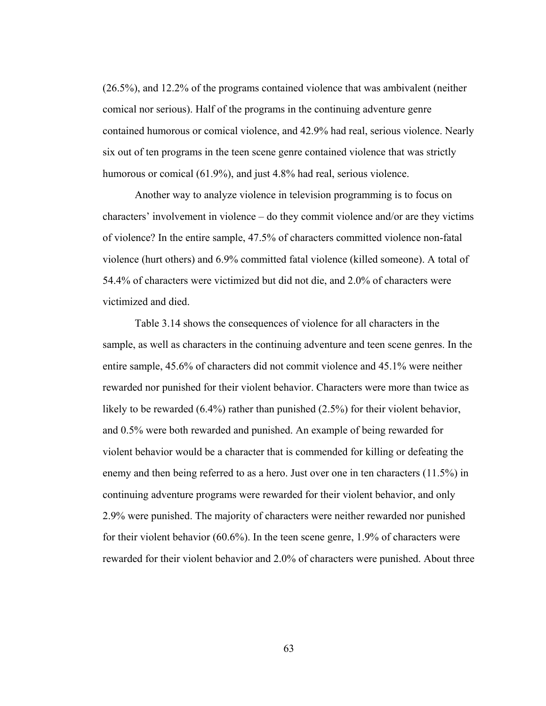(26.5%), and 12.2% of the programs contained violence that was ambivalent (neither comical nor serious). Half of the programs in the continuing adventure genre contained humorous or comical violence, and 42.9% had real, serious violence. Nearly six out of ten programs in the teen scene genre contained violence that was strictly humorous or comical (61.9%), and just 4.8% had real, serious violence.

Another way to analyze violence in television programming is to focus on characters' involvement in violence – do they commit violence and/or are they victims of violence? In the entire sample, 47.5% of characters committed violence non-fatal violence (hurt others) and 6.9% committed fatal violence (killed someone). A total of 54.4% of characters were victimized but did not die, and 2.0% of characters were victimized and died.

Table 3.14 shows the consequences of violence for all characters in the sample, as well as characters in the continuing adventure and teen scene genres. In the entire sample, 45.6% of characters did not commit violence and 45.1% were neither rewarded nor punished for their violent behavior. Characters were more than twice as likely to be rewarded (6.4%) rather than punished (2.5%) for their violent behavior, and 0.5% were both rewarded and punished. An example of being rewarded for violent behavior would be a character that is commended for killing or defeating the enemy and then being referred to as a hero. Just over one in ten characters (11.5%) in continuing adventure programs were rewarded for their violent behavior, and only 2.9% were punished. The majority of characters were neither rewarded nor punished for their violent behavior (60.6%). In the teen scene genre, 1.9% of characters were rewarded for their violent behavior and 2.0% of characters were punished. About three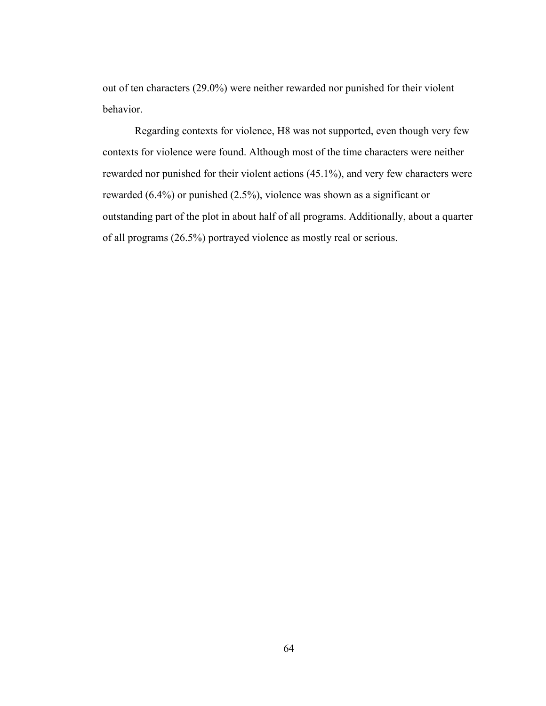out of ten characters (29.0%) were neither rewarded nor punished for their violent behavior.

Regarding contexts for violence, H8 was not supported, even though very few contexts for violence were found. Although most of the time characters were neither rewarded nor punished for their violent actions (45.1%), and very few characters were rewarded (6.4%) or punished (2.5%), violence was shown as a significant or outstanding part of the plot in about half of all programs. Additionally, about a quarter of all programs (26.5%) portrayed violence as mostly real or serious.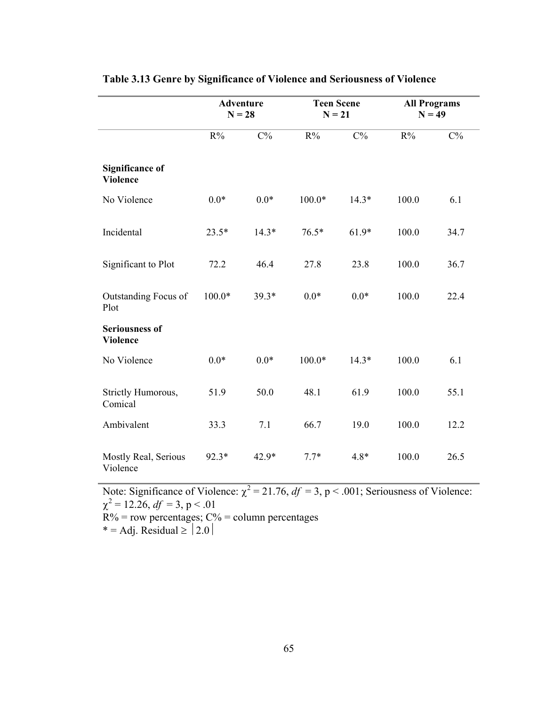|                                           | <b>Adventure</b><br>$N = 28$ |         | <b>Teen Scene</b><br>$N = 21$ |         | <b>All Programs</b><br>$N = 49$ |       |
|-------------------------------------------|------------------------------|---------|-------------------------------|---------|---------------------------------|-------|
|                                           | $R\%$                        | $C\%$   | $R\%$                         | $C\%$   | $R\%$                           | $C\%$ |
| <b>Significance of</b><br><b>Violence</b> |                              |         |                               |         |                                 |       |
| No Violence                               | $0.0*$                       | $0.0*$  | $100.0*$                      | $14.3*$ | 100.0                           | 6.1   |
| Incidental                                | $23.5*$                      | $14.3*$ | $76.5*$                       | $61.9*$ | 100.0                           | 34.7  |
| Significant to Plot                       | 72.2                         | 46.4    | 27.8                          | 23.8    | 100.0                           | 36.7  |
| Outstanding Focus of<br>Plot              | $100.0*$                     | 39.3*   | $0.0*$                        | $0.0*$  | 100.0                           | 22.4  |
| <b>Seriousness of</b><br><b>Violence</b>  |                              |         |                               |         |                                 |       |
| No Violence                               | $0.0*$                       | $0.0*$  | $100.0*$                      | $14.3*$ | 100.0                           | 6.1   |
| Strictly Humorous,<br>Comical             | 51.9                         | 50.0    | 48.1                          | 61.9    | 100.0                           | 55.1  |
| Ambivalent                                | 33.3                         | 7.1     | 66.7                          | 19.0    | 100.0                           | 12.2  |
| Mostly Real, Serious<br>Violence          | 92.3*                        | 42.9*   | $7.7*$                        | $4.8*$  | 100.0                           | 26.5  |

## **Table 3.13 Genre by Significance of Violence and Seriousness of Violence**

Note: Significance of Violence:  $\chi^2 = 21.76$ ,  $df = 3$ , p < .001; Seriousness of Violence:  $\chi^2$  = 12.26, *df* = 3, p < .01  $R\%$  = row percentages;  $C\%$  = column percentages

 $* = Adj$ . Residual  $\geq 2.0$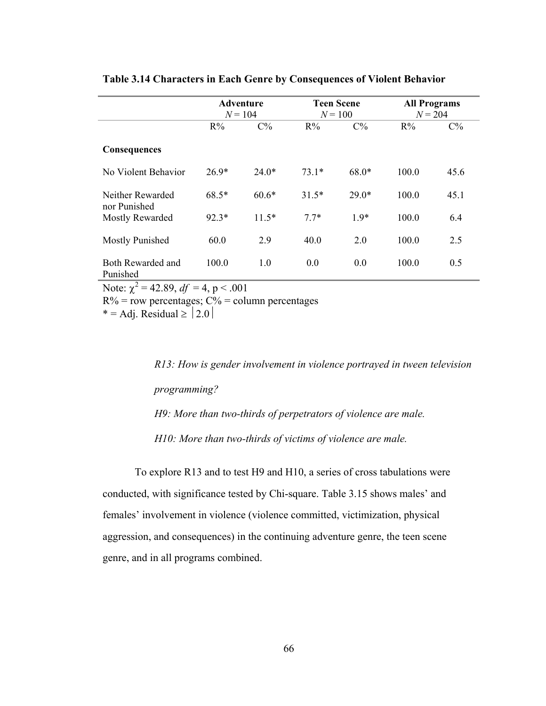|                                                 | <b>Adventure</b><br>$N = 104$ |         |         | <b>Teen Scene</b><br>$N = 100$ | <b>All Programs</b><br>$N = 204$ |       |  |
|-------------------------------------------------|-------------------------------|---------|---------|--------------------------------|----------------------------------|-------|--|
|                                                 | $R\%$                         | $C\%$   | $R\%$   | $C\%$                          | $R\%$                            | $C\%$ |  |
| <b>Consequences</b>                             |                               |         |         |                                |                                  |       |  |
| No Violent Behavior                             | $26.9*$                       | $24.0*$ | $73.1*$ | $68.0*$                        | 100.0                            | 45.6  |  |
| Neither Rewarded<br>nor Punished                | $68.5*$                       | $60.6*$ | $31.5*$ | $29.0*$                        | 100.0                            | 45.1  |  |
| Mostly Rewarded                                 | $92.3*$                       | $11.5*$ | $7.7*$  | $1.9*$                         | 100.0                            | 6.4   |  |
| <b>Mostly Punished</b>                          | 60.0                          | 2.9     | 40.0    | 2.0                            | 100.0                            | 2.5   |  |
| Both Rewarded and<br>Punished                   | 100.0                         | 1.0     | 0.0     | 0.0                            | 100.0                            | 0.5   |  |
| Note: $\chi^2$ = 42.89, <i>df</i> = 4, p < .001 |                               |         |         |                                |                                  |       |  |

### **Table 3.14 Characters in Each Genre by Consequences of Violent Behavior**

 $R\%$  = row percentages;  $C\%$  = column percentages

\* = Adj. Residual  $\ge$  | 2.0 |

*R13: How is gender involvement in violence portrayed in tween television programming? H9: More than two-thirds of perpetrators of violence are male. H10: More than two-thirds of victims of violence are male.* 

To explore R13 and to test H9 and H10, a series of cross tabulations were conducted, with significance tested by Chi-square. Table 3.15 shows males' and females' involvement in violence (violence committed, victimization, physical aggression, and consequences) in the continuing adventure genre, the teen scene genre, and in all programs combined.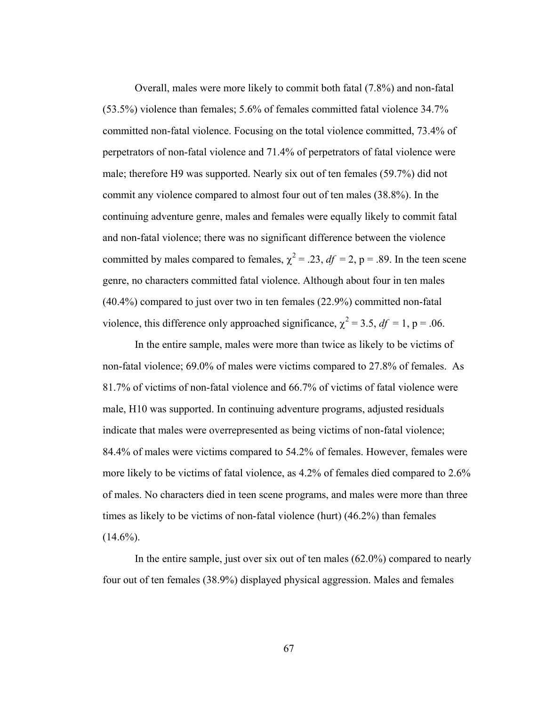Overall, males were more likely to commit both fatal (7.8%) and non-fatal (53.5%) violence than females; 5.6% of females committed fatal violence 34.7% committed non-fatal violence. Focusing on the total violence committed, 73.4% of perpetrators of non-fatal violence and 71.4% of perpetrators of fatal violence were male; therefore H9 was supported. Nearly six out of ten females (59.7%) did not commit any violence compared to almost four out of ten males (38.8%). In the continuing adventure genre, males and females were equally likely to commit fatal and non-fatal violence; there was no significant difference between the violence committed by males compared to females,  $\chi^2 = .23$ ,  $df = 2$ ,  $p = .89$ . In the teen scene genre, no characters committed fatal violence. Although about four in ten males (40.4%) compared to just over two in ten females (22.9%) committed non-fatal violence, this difference only approached significance,  $\chi^2 = 3.5$ ,  $df = 1$ , p = .06.

In the entire sample, males were more than twice as likely to be victims of non-fatal violence; 69.0% of males were victims compared to 27.8% of females. As 81.7% of victims of non-fatal violence and 66.7% of victims of fatal violence were male, H10 was supported. In continuing adventure programs, adjusted residuals indicate that males were overrepresented as being victims of non-fatal violence; 84.4% of males were victims compared to 54.2% of females. However, females were more likely to be victims of fatal violence, as 4.2% of females died compared to 2.6% of males. No characters died in teen scene programs, and males were more than three times as likely to be victims of non-fatal violence (hurt) (46.2%) than females  $(14.6\%)$ .

In the entire sample, just over six out of ten males (62.0%) compared to nearly four out of ten females (38.9%) displayed physical aggression. Males and females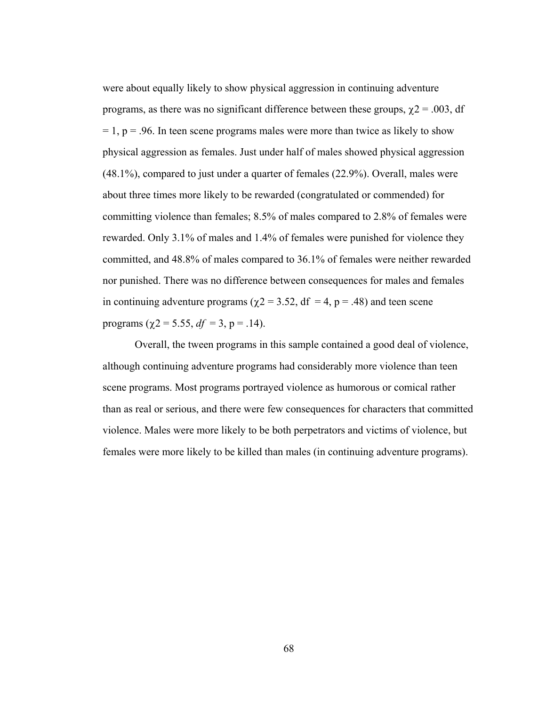were about equally likely to show physical aggression in continuing adventure programs, as there was no significant difference between these groups,  $\chi$ 2 = .003, df  $= 1$ ,  $p = .96$ . In teen scene programs males were more than twice as likely to show physical aggression as females. Just under half of males showed physical aggression (48.1%), compared to just under a quarter of females (22.9%). Overall, males were about three times more likely to be rewarded (congratulated or commended) for committing violence than females; 8.5% of males compared to 2.8% of females were rewarded. Only 3.1% of males and 1.4% of females were punished for violence they committed, and 48.8% of males compared to 36.1% of females were neither rewarded nor punished. There was no difference between consequences for males and females in continuing adventure programs ( $\chi$ 2 = 3.52, df = 4, p = .48) and teen scene programs ( $\chi$ 2 = 5.55, *df* = 3, p = .14).

Overall, the tween programs in this sample contained a good deal of violence, although continuing adventure programs had considerably more violence than teen scene programs. Most programs portrayed violence as humorous or comical rather than as real or serious, and there were few consequences for characters that committed violence. Males were more likely to be both perpetrators and victims of violence, but females were more likely to be killed than males (in continuing adventure programs).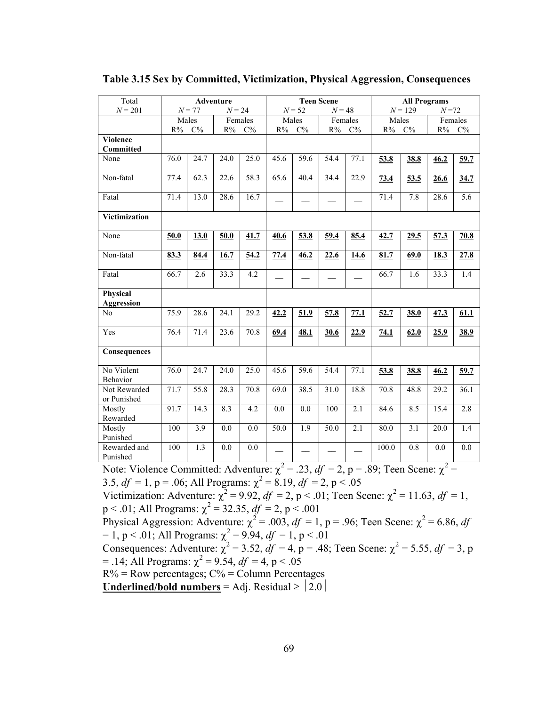| Total                               | <b>Adventure</b> |                      |         |                      | <b>Teen Scene</b> |             |                   |                  | <b>All Programs</b> |                  |                       |                  |
|-------------------------------------|------------------|----------------------|---------|----------------------|-------------------|-------------|-------------------|------------------|---------------------|------------------|-----------------------|------------------|
| $N = 201$                           |                  | $N = 24$<br>$N = 77$ |         | $N = 52$<br>$N = 48$ |                   |             |                   | $N = 129$        |                     |                  | $N\!=\!72$            |                  |
|                                     | Males            |                      | Females |                      | Males             |             | Females           |                  | Males<br>$R\%$      |                  | Females               |                  |
|                                     |                  | $C\%$<br>$R\%$       |         | $C\%$<br>$R\%$       |                   | $C\%$<br>R% |                   | $C\%$<br>$R\%$   |                     | $C\%$            | $R\%$<br>$\rm C\%$    |                  |
| <b>Violence</b><br><b>Committed</b> |                  |                      |         |                      |                   |             |                   |                  |                     |                  |                       |                  |
| None                                | 76.0             | 24.7                 | 24.0    | 25.0                 | 45.6              | 59.6        | 54.4              | 77.1             |                     |                  | 46.2                  |                  |
|                                     |                  |                      |         |                      |                   |             |                   |                  | 53.8                | 38.8             |                       | 59.7             |
| Non-fatal                           | 77.4             | 62.3                 | 22.6    | 58.3                 | 65.6              | 40.4        | 34.4              | 22.9             | 73.4                | 53.5             | 26.6                  | 34.7             |
| Fatal                               | 71.4             | 13.0                 | 28.6    | 16.7                 |                   |             |                   |                  | 71.4                | 7.8              | 28.6                  | $\overline{5.6}$ |
| <b>Victimization</b>                |                  |                      |         |                      |                   |             |                   |                  |                     |                  |                       |                  |
| None                                | 50.0             | 13.0                 | 50.0    | 41.7                 | 40.6              | 53.8        | 59.4              | 85.4             | 42.7                | 29.5             | 57.3                  | 70.8             |
| Non-fatal                           | 83.3             | 84.4                 | 16.7    | 54.2                 | 77.4              | 46.2        | 22.6              | 14.6             | 81.7                | 69.0             | 18.3                  | 27.8             |
| Fatal                               | 66.7             | 2.6                  | 33.3    | 4.2                  |                   |             |                   |                  | 66.7                | 1.6              | 33.3                  | 1.4              |
| Physical                            |                  |                      |         |                      |                   |             |                   |                  |                     |                  |                       |                  |
| <b>Aggression</b>                   |                  |                      |         |                      |                   |             |                   |                  |                     |                  |                       |                  |
| N <sub>0</sub>                      | 75.9             | 28.6                 | 24.1    | 29.2                 | 42.2              | 51.9        | 57.8              | 77.1             | 52.7                | 38.0             | 47.3                  | 61.1             |
| Yes                                 | 76.4             | 71.4                 | 23.6    | 70.8                 | 69.4              | 48.1        | 30.6              | 22.9             | 74.1                | 62.0             | 25.9                  | 38.9             |
| Consequences                        |                  |                      |         |                      |                   |             |                   |                  |                     |                  |                       |                  |
| No Violent<br>Behavior              | 76.0             | 24.7                 | 24.0    | 25.0                 | 45.6              | 59.6        | 54.4              | 77.1             | 53.8                | 38.8             | 46.2                  | 59.7             |
| Not Rewarded<br>or Punished         | 71.7             | $\overline{55.8}$    | 28.3    | 70.8                 | 69.0              | 38.5        | 31.0              | 18.8             | 70.8                | 48.8             | 29.2                  | 36.1             |
| Mostly<br>Rewarded                  | 91.7             | 14.3                 | 8.3     | 4.2                  | $\overline{0.0}$  | 0.0         | 100               | $\overline{2.1}$ | 84.6                | 8.5              | 15.4                  | 2.8              |
| Mostly<br>Punished                  | 100              | 3.9                  | 0.0     | 0.0                  | 50.0              | 1.9         | $\overline{50.0}$ | 2.1              | 80.0                | $\overline{3.1}$ | 20.0                  | 1.4              |
| Rewarded and<br>Punished            | 100              | 1.3                  | 0.0     | 0.0                  | $\overline{ }$    |             |                   |                  | 100.0               | 0.8              | 0.0<br>$\overline{ }$ | 0.0              |

#### **Table 3.15 Sex by Committed, Victimization, Physical Aggression, Consequences**

Note: Violence Committed: Adventure:  $\chi^2 = .23$ ,  $df = 2$ , p = .89; Teen Scene:  $\chi^2 =$ 

3.5,  $df = 1$ ,  $p = .06$ ; All Programs:  $\chi^2 = 8.19$ ,  $df = 2$ ,  $p < .05$ 

Victimization: Adventure:  $\chi^2 = 9.92$ ,  $df = 2$ ,  $p < .01$ ; Teen Scene:  $\chi^2 = 11.63$ ,  $df = 1$ ,  $p < .01$ ; All Programs:  $\chi^2 = 32.35$ ,  $df = 2$ ,  $p < .001$ 

Physical Aggression: Adventure:  $\chi^2 = .003$ ,  $df = 1$ , p = .96; Teen Scene:  $\chi^2 = 6.86$ , df  $= 1, p < .01$ ; All Programs:  $\chi^2 = 9.94, df = 1, p < .01$ 

Consequences: Adventure:  $\chi^2 = 3.52$ ,  $df = 4$ , p = .48; Teen Scene:  $\chi^2 = 5.55$ ,  $df = 3$ , p  $= .14$ ; All Programs:  $\chi^2 = 9.54$ ,  $df = 4$ , p < .05

 $R\%$  = Row percentages;  $C\%$  = Column Percentages

**<u>Underlined/bold numbers</u>** = Adj. Residual  $\ge$   $|2.0|$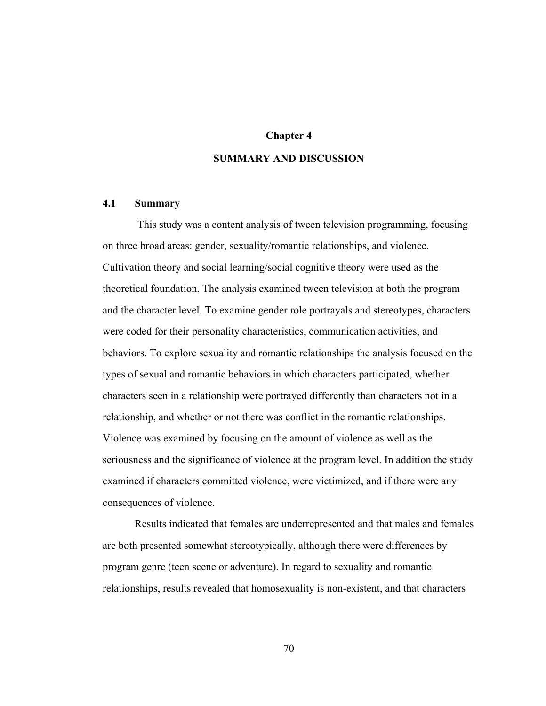### **Chapter 4**

## **SUMMARY AND DISCUSSION**

### **4.1 Summary**

 This study was a content analysis of tween television programming, focusing on three broad areas: gender, sexuality/romantic relationships, and violence. Cultivation theory and social learning/social cognitive theory were used as the theoretical foundation. The analysis examined tween television at both the program and the character level. To examine gender role portrayals and stereotypes, characters were coded for their personality characteristics, communication activities, and behaviors. To explore sexuality and romantic relationships the analysis focused on the types of sexual and romantic behaviors in which characters participated, whether characters seen in a relationship were portrayed differently than characters not in a relationship, and whether or not there was conflict in the romantic relationships. Violence was examined by focusing on the amount of violence as well as the seriousness and the significance of violence at the program level. In addition the study examined if characters committed violence, were victimized, and if there were any consequences of violence.

Results indicated that females are underrepresented and that males and females are both presented somewhat stereotypically, although there were differences by program genre (teen scene or adventure). In regard to sexuality and romantic relationships, results revealed that homosexuality is non-existent, and that characters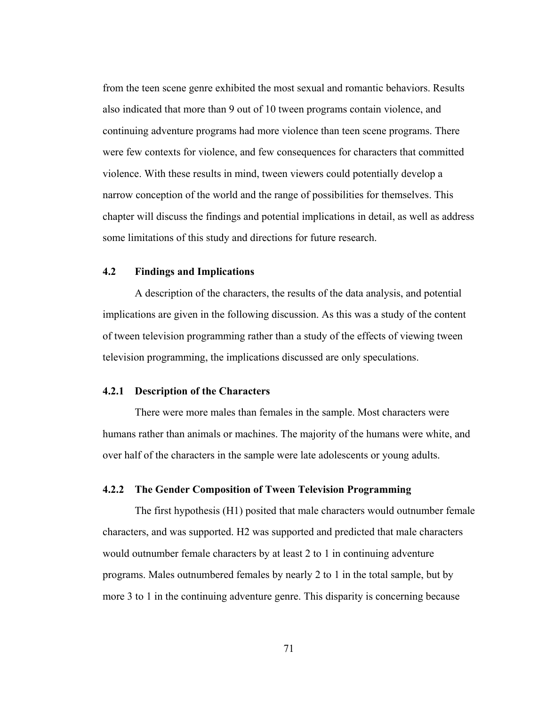from the teen scene genre exhibited the most sexual and romantic behaviors. Results also indicated that more than 9 out of 10 tween programs contain violence, and continuing adventure programs had more violence than teen scene programs. There were few contexts for violence, and few consequences for characters that committed violence. With these results in mind, tween viewers could potentially develop a narrow conception of the world and the range of possibilities for themselves. This chapter will discuss the findings and potential implications in detail, as well as address some limitations of this study and directions for future research.

## **4.2 Findings and Implications**

A description of the characters, the results of the data analysis, and potential implications are given in the following discussion. As this was a study of the content of tween television programming rather than a study of the effects of viewing tween television programming, the implications discussed are only speculations.

#### **4.2.1 Description of the Characters**

There were more males than females in the sample. Most characters were humans rather than animals or machines. The majority of the humans were white, and over half of the characters in the sample were late adolescents or young adults.

### **4.2.2 The Gender Composition of Tween Television Programming**

The first hypothesis (H1) posited that male characters would outnumber female characters, and was supported. H2 was supported and predicted that male characters would outnumber female characters by at least 2 to 1 in continuing adventure programs. Males outnumbered females by nearly 2 to 1 in the total sample, but by more 3 to 1 in the continuing adventure genre. This disparity is concerning because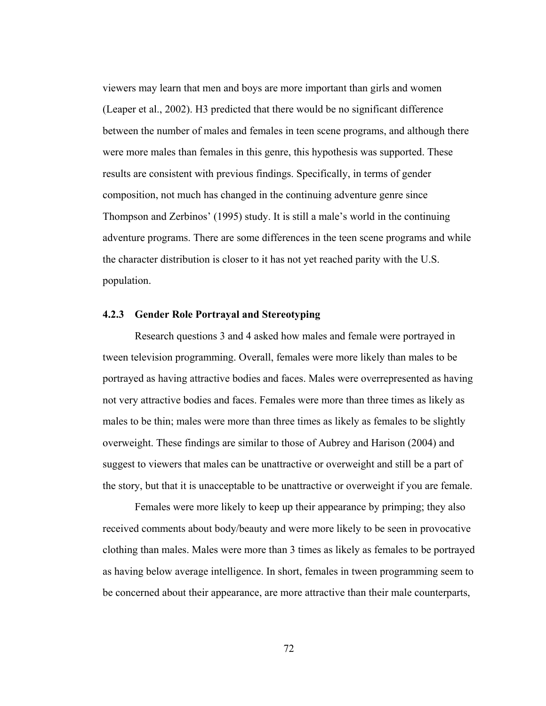viewers may learn that men and boys are more important than girls and women (Leaper et al., 2002). H3 predicted that there would be no significant difference between the number of males and females in teen scene programs, and although there were more males than females in this genre, this hypothesis was supported. These results are consistent with previous findings. Specifically, in terms of gender composition, not much has changed in the continuing adventure genre since Thompson and Zerbinos' (1995) study. It is still a male's world in the continuing adventure programs. There are some differences in the teen scene programs and while the character distribution is closer to it has not yet reached parity with the U.S. population.

### **4.2.3 Gender Role Portrayal and Stereotyping**

Research questions 3 and 4 asked how males and female were portrayed in tween television programming. Overall, females were more likely than males to be portrayed as having attractive bodies and faces. Males were overrepresented as having not very attractive bodies and faces. Females were more than three times as likely as males to be thin; males were more than three times as likely as females to be slightly overweight. These findings are similar to those of Aubrey and Harison (2004) and suggest to viewers that males can be unattractive or overweight and still be a part of the story, but that it is unacceptable to be unattractive or overweight if you are female.

Females were more likely to keep up their appearance by primping; they also received comments about body/beauty and were more likely to be seen in provocative clothing than males. Males were more than 3 times as likely as females to be portrayed as having below average intelligence. In short, females in tween programming seem to be concerned about their appearance, are more attractive than their male counterparts,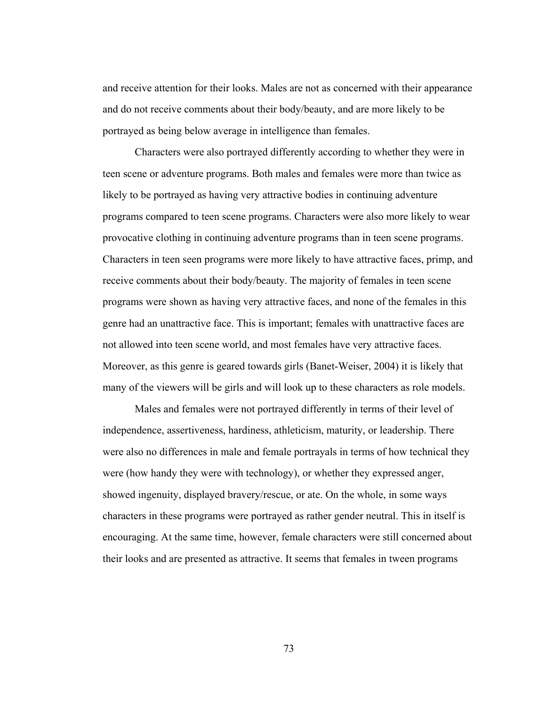and receive attention for their looks. Males are not as concerned with their appearance and do not receive comments about their body/beauty, and are more likely to be portrayed as being below average in intelligence than females.

Characters were also portrayed differently according to whether they were in teen scene or adventure programs. Both males and females were more than twice as likely to be portrayed as having very attractive bodies in continuing adventure programs compared to teen scene programs. Characters were also more likely to wear provocative clothing in continuing adventure programs than in teen scene programs. Characters in teen seen programs were more likely to have attractive faces, primp, and receive comments about their body/beauty. The majority of females in teen scene programs were shown as having very attractive faces, and none of the females in this genre had an unattractive face. This is important; females with unattractive faces are not allowed into teen scene world, and most females have very attractive faces. Moreover, as this genre is geared towards girls (Banet-Weiser, 2004) it is likely that many of the viewers will be girls and will look up to these characters as role models.

Males and females were not portrayed differently in terms of their level of independence, assertiveness, hardiness, athleticism, maturity, or leadership. There were also no differences in male and female portrayals in terms of how technical they were (how handy they were with technology), or whether they expressed anger, showed ingenuity, displayed bravery/rescue, or ate. On the whole, in some ways characters in these programs were portrayed as rather gender neutral. This in itself is encouraging. At the same time, however, female characters were still concerned about their looks and are presented as attractive. It seems that females in tween programs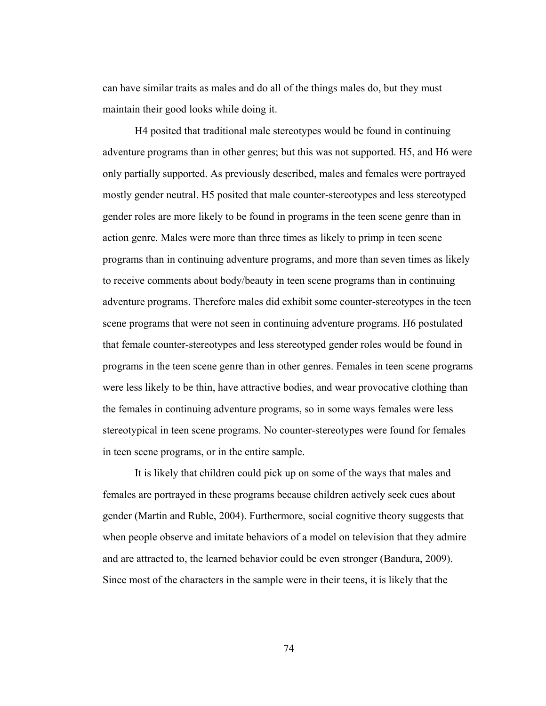can have similar traits as males and do all of the things males do, but they must maintain their good looks while doing it.

H4 posited that traditional male stereotypes would be found in continuing adventure programs than in other genres; but this was not supported. H5, and H6 were only partially supported. As previously described, males and females were portrayed mostly gender neutral. H5 posited that male counter-stereotypes and less stereotyped gender roles are more likely to be found in programs in the teen scene genre than in action genre. Males were more than three times as likely to primp in teen scene programs than in continuing adventure programs, and more than seven times as likely to receive comments about body/beauty in teen scene programs than in continuing adventure programs. Therefore males did exhibit some counter-stereotypes in the teen scene programs that were not seen in continuing adventure programs. H6 postulated that female counter-stereotypes and less stereotyped gender roles would be found in programs in the teen scene genre than in other genres. Females in teen scene programs were less likely to be thin, have attractive bodies, and wear provocative clothing than the females in continuing adventure programs, so in some ways females were less stereotypical in teen scene programs. No counter-stereotypes were found for females in teen scene programs, or in the entire sample.

It is likely that children could pick up on some of the ways that males and females are portrayed in these programs because children actively seek cues about gender (Martin and Ruble, 2004). Furthermore, social cognitive theory suggests that when people observe and imitate behaviors of a model on television that they admire and are attracted to, the learned behavior could be even stronger (Bandura, 2009). Since most of the characters in the sample were in their teens, it is likely that the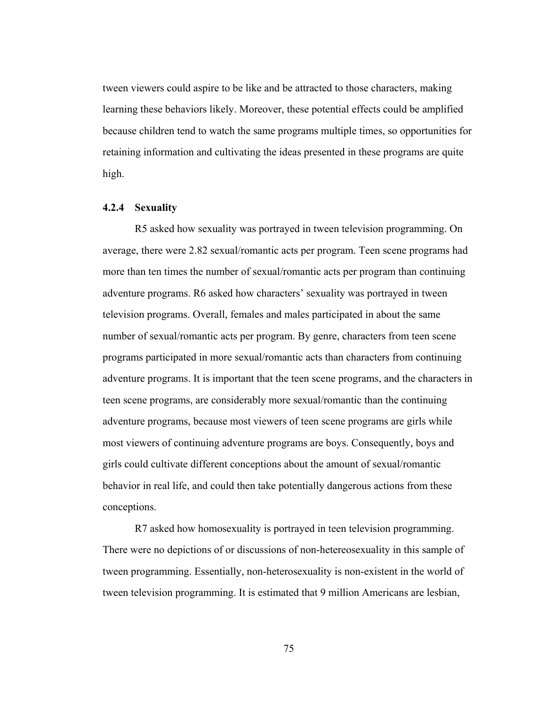tween viewers could aspire to be like and be attracted to those characters, making learning these behaviors likely. Moreover, these potential effects could be amplified because children tend to watch the same programs multiple times, so opportunities for retaining information and cultivating the ideas presented in these programs are quite high.

### **4.2.4 Sexuality**

R5 asked how sexuality was portrayed in tween television programming. On average, there were 2.82 sexual/romantic acts per program. Teen scene programs had more than ten times the number of sexual/romantic acts per program than continuing adventure programs. R6 asked how characters' sexuality was portrayed in tween television programs. Overall, females and males participated in about the same number of sexual/romantic acts per program. By genre, characters from teen scene programs participated in more sexual/romantic acts than characters from continuing adventure programs. It is important that the teen scene programs, and the characters in teen scene programs, are considerably more sexual/romantic than the continuing adventure programs, because most viewers of teen scene programs are girls while most viewers of continuing adventure programs are boys. Consequently, boys and girls could cultivate different conceptions about the amount of sexual/romantic behavior in real life, and could then take potentially dangerous actions from these conceptions.

R7 asked how homosexuality is portrayed in teen television programming. There were no depictions of or discussions of non-hetereosexuality in this sample of tween programming. Essentially, non-heterosexuality is non-existent in the world of tween television programming. It is estimated that 9 million Americans are lesbian,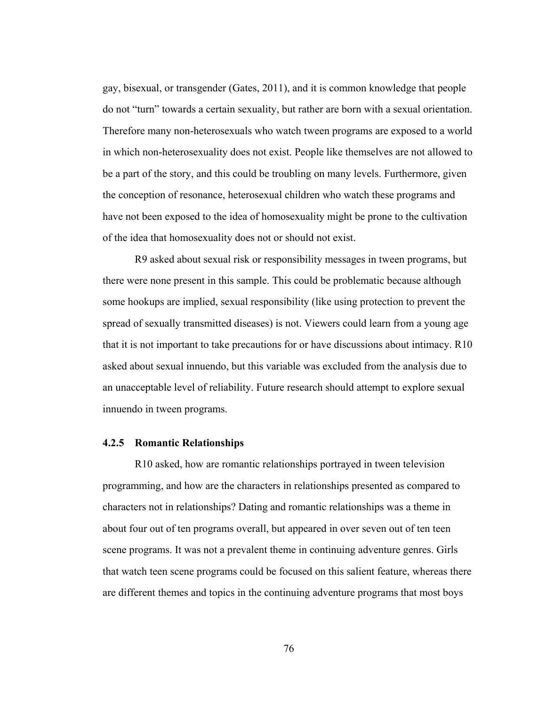gay, bisexual, or transgender (Gates, 2011), and it is common knowledge that people do not "turn" towards a certain sexuality, but rather are born with a sexual orientation. Therefore many non-heterosexuals who watch tween programs are exposed to a world in which non-heterosexuality does not exist. People like themselves are not allowed to be a part of the story, and this could be troubling on many levels. Furthermore, given the conception of resonance, heterosexual children who watch these programs and have not been exposed to the idea of homosexuality might be prone to the cultivation of the idea that homosexuality does not or should not exist.

R9 asked about sexual risk or responsibility messages in tween programs, but there were none present in this sample. This could be problematic because although some hookups are implied, sexual responsibility (like using protection to prevent the spread of sexually transmitted diseases) is not. Viewers could learn from a young age that it is not important to take precautions for or have discussions about intimacy. R10 asked about sexual innuendo, but this variable was excluded from the analysis due to an unacceptable level of reliability. Future research should attempt to explore sexual innuendo in tween programs.

#### **4.2.5 Romantic Relationships**

R10 asked, how are romantic relationships portrayed in tween television programming, and how are the characters in relationships presented as compared to characters not in relationships? Dating and romantic relationships was a theme in about four out of ten programs overall, but appeared in over seven out of ten teen scene programs. It was not a prevalent theme in continuing adventure genres. Girls that watch teen scene programs could be focused on this salient feature, whereas there are different themes and topics in the continuing adventure programs that most boys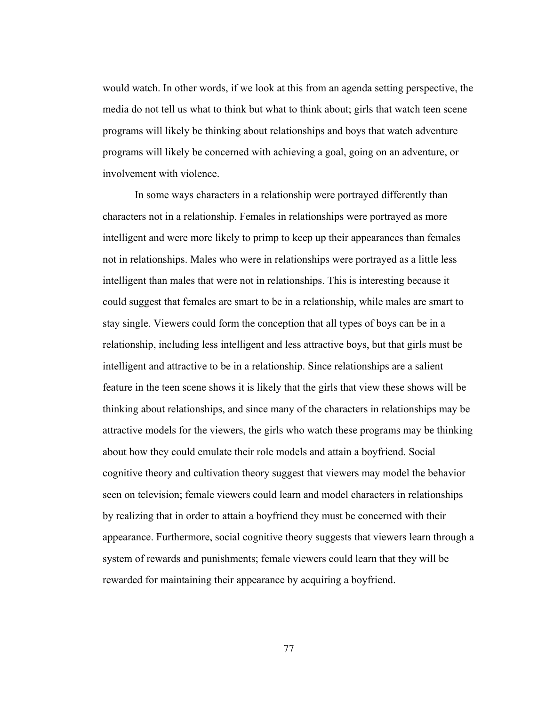would watch. In other words, if we look at this from an agenda setting perspective, the media do not tell us what to think but what to think about; girls that watch teen scene programs will likely be thinking about relationships and boys that watch adventure programs will likely be concerned with achieving a goal, going on an adventure, or involvement with violence.

In some ways characters in a relationship were portrayed differently than characters not in a relationship. Females in relationships were portrayed as more intelligent and were more likely to primp to keep up their appearances than females not in relationships. Males who were in relationships were portrayed as a little less intelligent than males that were not in relationships. This is interesting because it could suggest that females are smart to be in a relationship, while males are smart to stay single. Viewers could form the conception that all types of boys can be in a relationship, including less intelligent and less attractive boys, but that girls must be intelligent and attractive to be in a relationship. Since relationships are a salient feature in the teen scene shows it is likely that the girls that view these shows will be thinking about relationships, and since many of the characters in relationships may be attractive models for the viewers, the girls who watch these programs may be thinking about how they could emulate their role models and attain a boyfriend. Social cognitive theory and cultivation theory suggest that viewers may model the behavior seen on television; female viewers could learn and model characters in relationships by realizing that in order to attain a boyfriend they must be concerned with their appearance. Furthermore, social cognitive theory suggests that viewers learn through a system of rewards and punishments; female viewers could learn that they will be rewarded for maintaining their appearance by acquiring a boyfriend.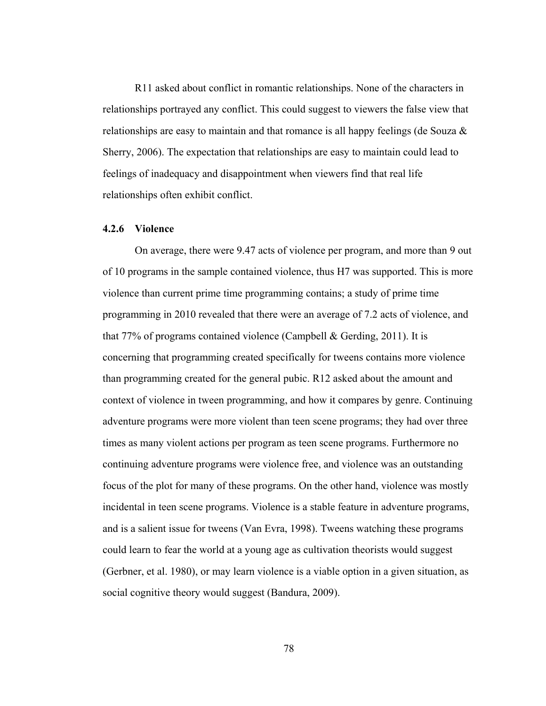R11 asked about conflict in romantic relationships. None of the characters in relationships portrayed any conflict. This could suggest to viewers the false view that relationships are easy to maintain and that romance is all happy feelings (de Souza & Sherry, 2006). The expectation that relationships are easy to maintain could lead to feelings of inadequacy and disappointment when viewers find that real life relationships often exhibit conflict.

#### **4.2.6 Violence**

On average, there were 9.47 acts of violence per program, and more than 9 out of 10 programs in the sample contained violence, thus H7 was supported. This is more violence than current prime time programming contains; a study of prime time programming in 2010 revealed that there were an average of 7.2 acts of violence, and that 77% of programs contained violence (Campbell & Gerding, 2011). It is concerning that programming created specifically for tweens contains more violence than programming created for the general pubic. R12 asked about the amount and context of violence in tween programming, and how it compares by genre. Continuing adventure programs were more violent than teen scene programs; they had over three times as many violent actions per program as teen scene programs. Furthermore no continuing adventure programs were violence free, and violence was an outstanding focus of the plot for many of these programs. On the other hand, violence was mostly incidental in teen scene programs. Violence is a stable feature in adventure programs, and is a salient issue for tweens (Van Evra, 1998). Tweens watching these programs could learn to fear the world at a young age as cultivation theorists would suggest (Gerbner, et al. 1980), or may learn violence is a viable option in a given situation, as social cognitive theory would suggest (Bandura, 2009).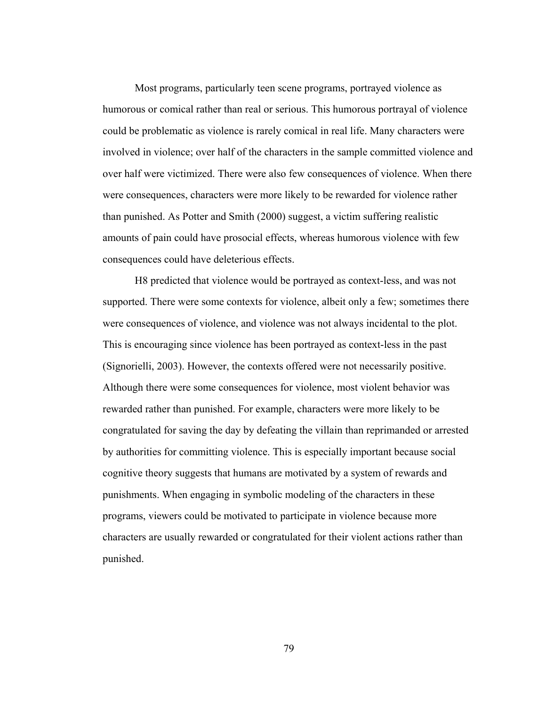Most programs, particularly teen scene programs, portrayed violence as humorous or comical rather than real or serious. This humorous portrayal of violence could be problematic as violence is rarely comical in real life. Many characters were involved in violence; over half of the characters in the sample committed violence and over half were victimized. There were also few consequences of violence. When there were consequences, characters were more likely to be rewarded for violence rather than punished. As Potter and Smith (2000) suggest, a victim suffering realistic amounts of pain could have prosocial effects, whereas humorous violence with few consequences could have deleterious effects.

H8 predicted that violence would be portrayed as context-less, and was not supported. There were some contexts for violence, albeit only a few; sometimes there were consequences of violence, and violence was not always incidental to the plot. This is encouraging since violence has been portrayed as context-less in the past (Signorielli, 2003). However, the contexts offered were not necessarily positive. Although there were some consequences for violence, most violent behavior was rewarded rather than punished. For example, characters were more likely to be congratulated for saving the day by defeating the villain than reprimanded or arrested by authorities for committing violence. This is especially important because social cognitive theory suggests that humans are motivated by a system of rewards and punishments. When engaging in symbolic modeling of the characters in these programs, viewers could be motivated to participate in violence because more characters are usually rewarded or congratulated for their violent actions rather than punished.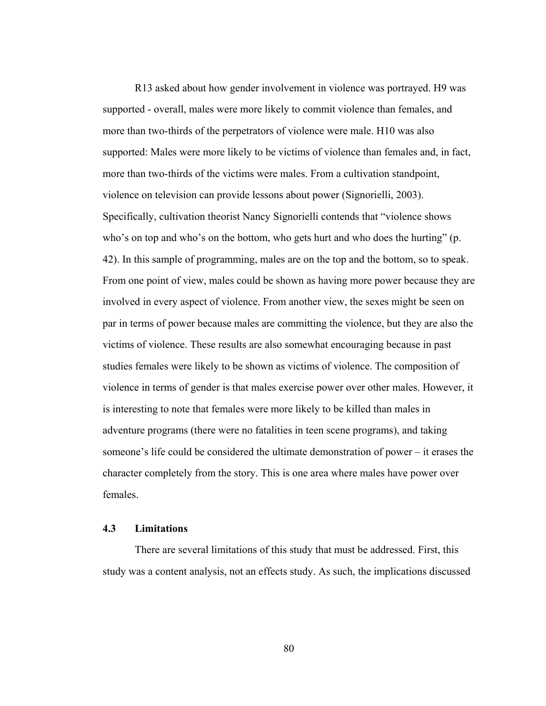R13 asked about how gender involvement in violence was portrayed. H9 was supported - overall, males were more likely to commit violence than females, and more than two-thirds of the perpetrators of violence were male. H10 was also supported: Males were more likely to be victims of violence than females and, in fact, more than two-thirds of the victims were males. From a cultivation standpoint, violence on television can provide lessons about power (Signorielli, 2003). Specifically, cultivation theorist Nancy Signorielli contends that "violence shows who's on top and who's on the bottom, who gets hurt and who does the hurting" (p. 42). In this sample of programming, males are on the top and the bottom, so to speak. From one point of view, males could be shown as having more power because they are involved in every aspect of violence. From another view, the sexes might be seen on par in terms of power because males are committing the violence, but they are also the victims of violence. These results are also somewhat encouraging because in past studies females were likely to be shown as victims of violence. The composition of violence in terms of gender is that males exercise power over other males. However, it is interesting to note that females were more likely to be killed than males in adventure programs (there were no fatalities in teen scene programs), and taking someone's life could be considered the ultimate demonstration of power – it erases the character completely from the story. This is one area where males have power over females.

### **4.3 Limitations**

There are several limitations of this study that must be addressed. First, this study was a content analysis, not an effects study. As such, the implications discussed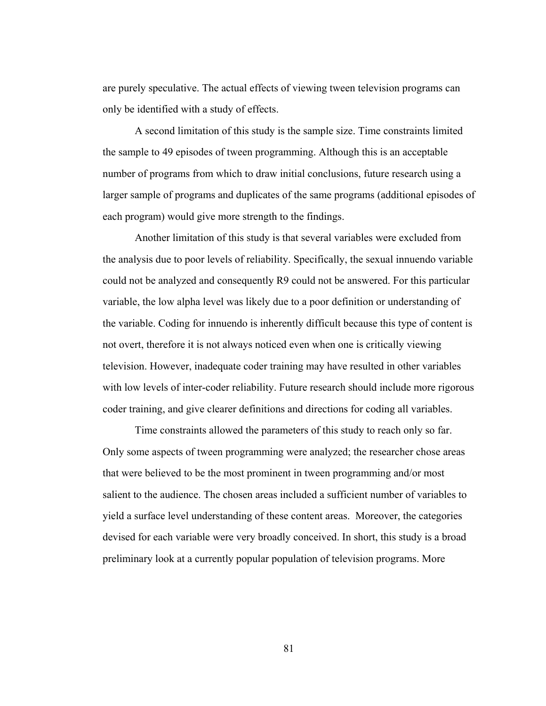are purely speculative. The actual effects of viewing tween television programs can only be identified with a study of effects.

A second limitation of this study is the sample size. Time constraints limited the sample to 49 episodes of tween programming. Although this is an acceptable number of programs from which to draw initial conclusions, future research using a larger sample of programs and duplicates of the same programs (additional episodes of each program) would give more strength to the findings.

Another limitation of this study is that several variables were excluded from the analysis due to poor levels of reliability. Specifically, the sexual innuendo variable could not be analyzed and consequently R9 could not be answered. For this particular variable, the low alpha level was likely due to a poor definition or understanding of the variable. Coding for innuendo is inherently difficult because this type of content is not overt, therefore it is not always noticed even when one is critically viewing television. However, inadequate coder training may have resulted in other variables with low levels of inter-coder reliability. Future research should include more rigorous coder training, and give clearer definitions and directions for coding all variables.

Time constraints allowed the parameters of this study to reach only so far. Only some aspects of tween programming were analyzed; the researcher chose areas that were believed to be the most prominent in tween programming and/or most salient to the audience. The chosen areas included a sufficient number of variables to yield a surface level understanding of these content areas. Moreover, the categories devised for each variable were very broadly conceived. In short, this study is a broad preliminary look at a currently popular population of television programs. More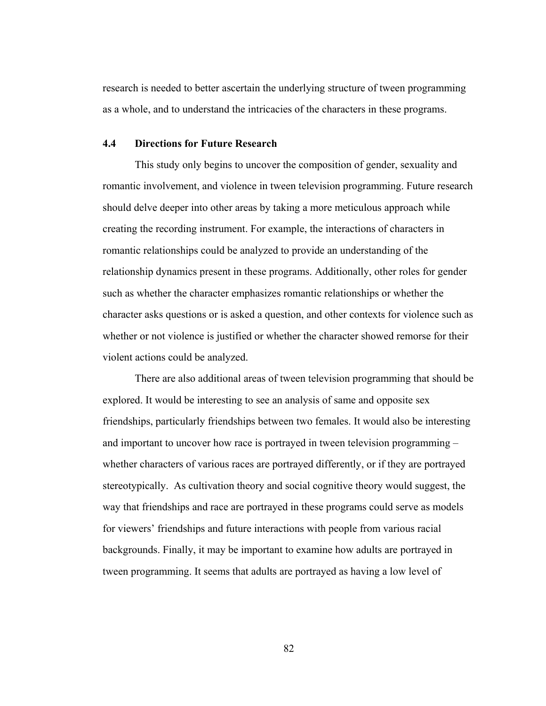research is needed to better ascertain the underlying structure of tween programming as a whole, and to understand the intricacies of the characters in these programs.

### **4.4 Directions for Future Research**

This study only begins to uncover the composition of gender, sexuality and romantic involvement, and violence in tween television programming. Future research should delve deeper into other areas by taking a more meticulous approach while creating the recording instrument. For example, the interactions of characters in romantic relationships could be analyzed to provide an understanding of the relationship dynamics present in these programs. Additionally, other roles for gender such as whether the character emphasizes romantic relationships or whether the character asks questions or is asked a question, and other contexts for violence such as whether or not violence is justified or whether the character showed remorse for their violent actions could be analyzed.

There are also additional areas of tween television programming that should be explored. It would be interesting to see an analysis of same and opposite sex friendships, particularly friendships between two females. It would also be interesting and important to uncover how race is portrayed in tween television programming – whether characters of various races are portrayed differently, or if they are portrayed stereotypically. As cultivation theory and social cognitive theory would suggest, the way that friendships and race are portrayed in these programs could serve as models for viewers' friendships and future interactions with people from various racial backgrounds. Finally, it may be important to examine how adults are portrayed in tween programming. It seems that adults are portrayed as having a low level of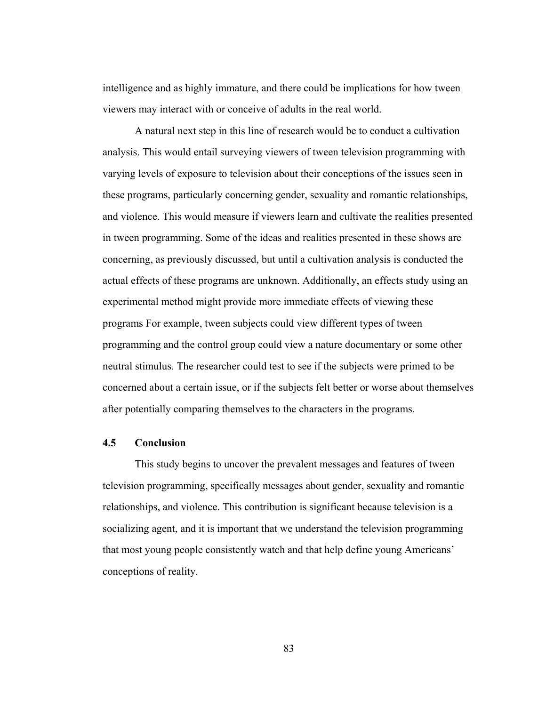intelligence and as highly immature, and there could be implications for how tween viewers may interact with or conceive of adults in the real world.

A natural next step in this line of research would be to conduct a cultivation analysis. This would entail surveying viewers of tween television programming with varying levels of exposure to television about their conceptions of the issues seen in these programs, particularly concerning gender, sexuality and romantic relationships, and violence. This would measure if viewers learn and cultivate the realities presented in tween programming. Some of the ideas and realities presented in these shows are concerning, as previously discussed, but until a cultivation analysis is conducted the actual effects of these programs are unknown. Additionally, an effects study using an experimental method might provide more immediate effects of viewing these programs For example, tween subjects could view different types of tween programming and the control group could view a nature documentary or some other neutral stimulus. The researcher could test to see if the subjects were primed to be concerned about a certain issue, or if the subjects felt better or worse about themselves after potentially comparing themselves to the characters in the programs.

### **4.5 Conclusion**

This study begins to uncover the prevalent messages and features of tween television programming, specifically messages about gender, sexuality and romantic relationships, and violence. This contribution is significant because television is a socializing agent, and it is important that we understand the television programming that most young people consistently watch and that help define young Americans' conceptions of reality.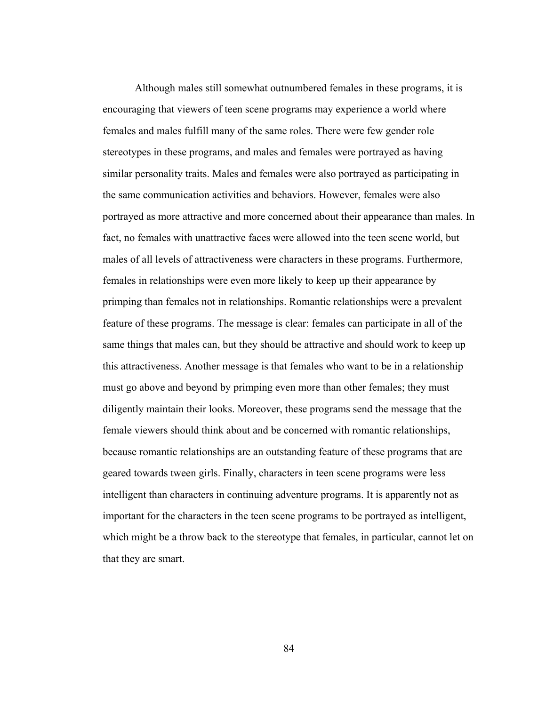Although males still somewhat outnumbered females in these programs, it is encouraging that viewers of teen scene programs may experience a world where females and males fulfill many of the same roles. There were few gender role stereotypes in these programs, and males and females were portrayed as having similar personality traits. Males and females were also portrayed as participating in the same communication activities and behaviors. However, females were also portrayed as more attractive and more concerned about their appearance than males. In fact, no females with unattractive faces were allowed into the teen scene world, but males of all levels of attractiveness were characters in these programs. Furthermore, females in relationships were even more likely to keep up their appearance by primping than females not in relationships. Romantic relationships were a prevalent feature of these programs. The message is clear: females can participate in all of the same things that males can, but they should be attractive and should work to keep up this attractiveness. Another message is that females who want to be in a relationship must go above and beyond by primping even more than other females; they must diligently maintain their looks. Moreover, these programs send the message that the female viewers should think about and be concerned with romantic relationships, because romantic relationships are an outstanding feature of these programs that are geared towards tween girls. Finally, characters in teen scene programs were less intelligent than characters in continuing adventure programs. It is apparently not as important for the characters in the teen scene programs to be portrayed as intelligent, which might be a throw back to the stereotype that females, in particular, cannot let on that they are smart.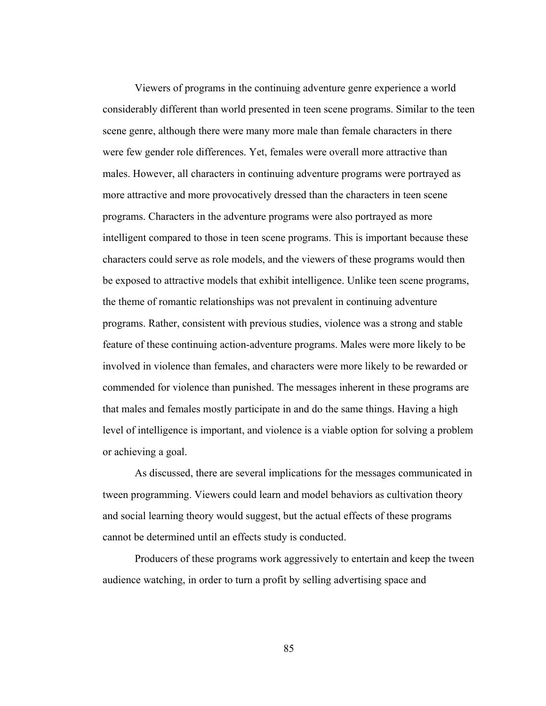Viewers of programs in the continuing adventure genre experience a world considerably different than world presented in teen scene programs. Similar to the teen scene genre, although there were many more male than female characters in there were few gender role differences. Yet, females were overall more attractive than males. However, all characters in continuing adventure programs were portrayed as more attractive and more provocatively dressed than the characters in teen scene programs. Characters in the adventure programs were also portrayed as more intelligent compared to those in teen scene programs. This is important because these characters could serve as role models, and the viewers of these programs would then be exposed to attractive models that exhibit intelligence. Unlike teen scene programs, the theme of romantic relationships was not prevalent in continuing adventure programs. Rather, consistent with previous studies, violence was a strong and stable feature of these continuing action-adventure programs. Males were more likely to be involved in violence than females, and characters were more likely to be rewarded or commended for violence than punished. The messages inherent in these programs are that males and females mostly participate in and do the same things. Having a high level of intelligence is important, and violence is a viable option for solving a problem or achieving a goal.

As discussed, there are several implications for the messages communicated in tween programming. Viewers could learn and model behaviors as cultivation theory and social learning theory would suggest, but the actual effects of these programs cannot be determined until an effects study is conducted.

Producers of these programs work aggressively to entertain and keep the tween audience watching, in order to turn a profit by selling advertising space and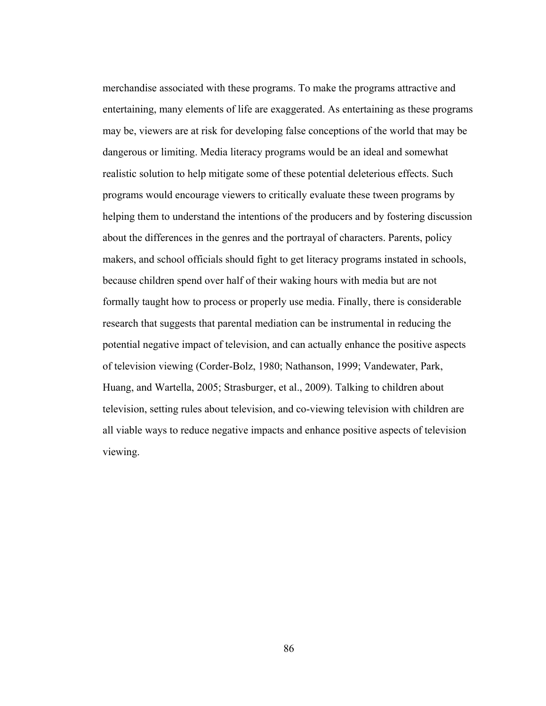merchandise associated with these programs. To make the programs attractive and entertaining, many elements of life are exaggerated. As entertaining as these programs may be, viewers are at risk for developing false conceptions of the world that may be dangerous or limiting. Media literacy programs would be an ideal and somewhat realistic solution to help mitigate some of these potential deleterious effects. Such programs would encourage viewers to critically evaluate these tween programs by helping them to understand the intentions of the producers and by fostering discussion about the differences in the genres and the portrayal of characters. Parents, policy makers, and school officials should fight to get literacy programs instated in schools, because children spend over half of their waking hours with media but are not formally taught how to process or properly use media. Finally, there is considerable research that suggests that parental mediation can be instrumental in reducing the potential negative impact of television, and can actually enhance the positive aspects of television viewing (Corder-Bolz, 1980; Nathanson, 1999; Vandewater, Park, Huang, and Wartella, 2005; Strasburger, et al., 2009). Talking to children about television, setting rules about television, and co-viewing television with children are all viable ways to reduce negative impacts and enhance positive aspects of television viewing.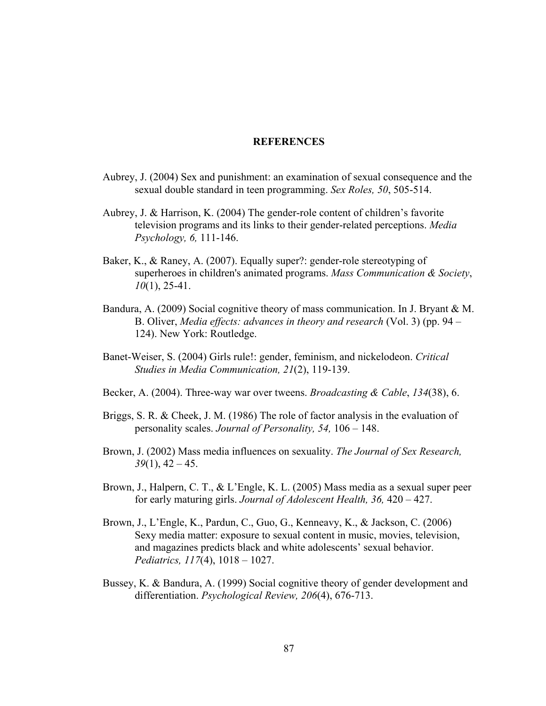### **REFERENCES**

- Aubrey, J. (2004) Sex and punishment: an examination of sexual consequence and the sexual double standard in teen programming. *Sex Roles, 50*, 505-514.
- Aubrey, J. & Harrison, K. (2004) The gender-role content of children's favorite television programs and its links to their gender-related perceptions. *Media Psychology, 6,* 111-146.
- Baker, K., & Raney, A. (2007). Equally super?: gender-role stereotyping of superheroes in children's animated programs. *Mass Communication & Society*, *10*(1), 25-41.
- Bandura, A. (2009) Social cognitive theory of mass communication. In J. Bryant & M. B. Oliver, *Media effects: advances in theory and research* (Vol. 3) (pp. 94 – 124). New York: Routledge.
- Banet-Weiser, S. (2004) Girls rule!: gender, feminism, and nickelodeon. *Critical Studies in Media Communication, 21*(2), 119-139.
- Becker, A. (2004). Three-way war over tweens. *Broadcasting & Cable*, *134*(38), 6.
- Briggs, S. R. & Cheek, J. M. (1986) The role of factor analysis in the evaluation of personality scales. *Journal of Personality, 54,* 106 – 148.
- Brown, J. (2002) Mass media influences on sexuality. *The Journal of Sex Research, 39*(1), 42 – 45.
- Brown, J., Halpern, C. T., & L'Engle, K. L. (2005) Mass media as a sexual super peer for early maturing girls. *Journal of Adolescent Health, 36,* 420 – 427.
- Brown, J., L'Engle, K., Pardun, C., Guo, G., Kenneavy, K., & Jackson, C. (2006) Sexy media matter: exposure to sexual content in music, movies, television, and magazines predicts black and white adolescents' sexual behavior. *Pediatrics, 117*(4), 1018 – 1027.
- Bussey, K. & Bandura, A. (1999) Social cognitive theory of gender development and differentiation. *Psychological Review, 206*(4), 676-713.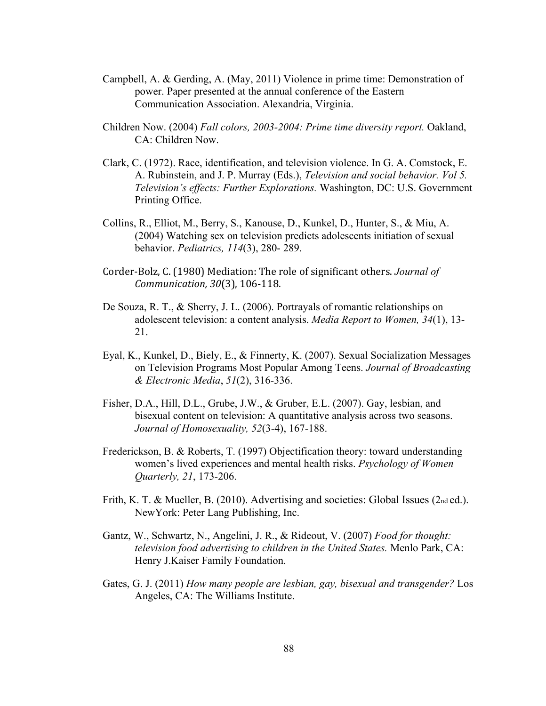- Campbell, A. & Gerding, A. (May, 2011) Violence in prime time: Demonstration of power. Paper presented at the annual conference of the Eastern Communication Association. Alexandria, Virginia.
- Children Now. (2004) *Fall colors, 2003-2004: Prime time diversity report.* Oakland, CA: Children Now.
- Clark, C. (1972). Race, identification, and television violence. In G. A. Comstock, E. A. Rubinstein, and J. P. Murray (Eds.), *Television and social behavior. Vol 5. Television's effects: Further Explorations.* Washington, DC: U.S. Government Printing Office.
- Collins, R., Elliot, M., Berry, S., Kanouse, D., Kunkel, D., Hunter, S., & Miu, A. (2004) Watching sex on television predicts adolescents initiation of sexual behavior. *Pediatrics, 114*(3), 280- 289.
- Corder-Bolz, C. (1980) Mediation: The role of significant others. *Journal of Communication, 30*(3), 106‐118.
- De Souza, R. T., & Sherry, J. L. (2006). Portrayals of romantic relationships on adolescent television: a content analysis. *Media Report to Women, 34*(1), 13- 21.
- Eyal, K., Kunkel, D., Biely, E., & Finnerty, K. (2007). Sexual Socialization Messages on Television Programs Most Popular Among Teens. *Journal of Broadcasting & Electronic Media*, *51*(2), 316-336.
- Fisher, D.A., Hill, D.L., Grube, J.W., & Gruber, E.L. (2007). Gay, lesbian, and bisexual content on television: A quantitative analysis across two seasons. *Journal of Homosexuality, 52*(3-4), 167-188.
- Frederickson, B. & Roberts, T. (1997) Objectification theory: toward understanding women's lived experiences and mental health risks. *Psychology of Women Quarterly, 21*, 173-206.
- Frith, K. T. & Mueller, B. (2010). Advertising and societies: Global Issues (2nd ed.). NewYork: Peter Lang Publishing, Inc.
- Gantz, W., Schwartz, N., Angelini, J. R., & Rideout, V. (2007) *Food for thought: television food advertising to children in the United States.* Menlo Park, CA: Henry J.Kaiser Family Foundation.
- Gates, G. J. (2011) *How many people are lesbian, gay, bisexual and transgender?* Los Angeles, CA: The Williams Institute.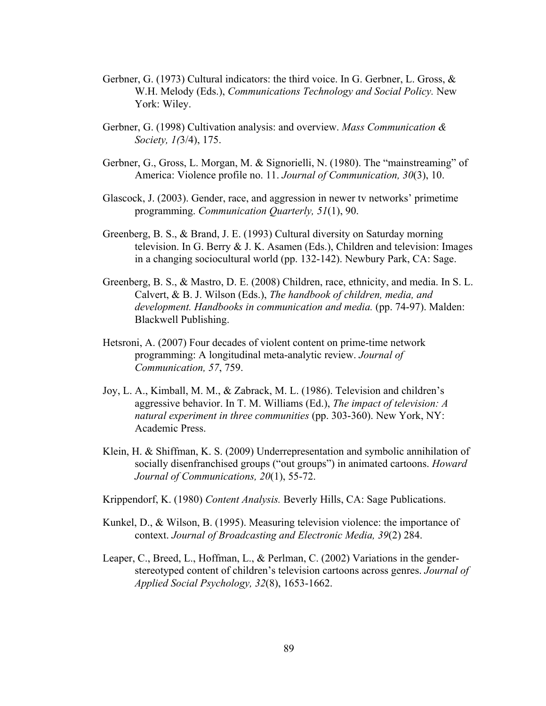- Gerbner, G. (1973) Cultural indicators: the third voice. In G. Gerbner, L. Gross, & W.H. Melody (Eds.), *Communications Technology and Social Policy.* New York: Wiley.
- Gerbner, G. (1998) Cultivation analysis: and overview. *Mass Communication & Society, 1(*3/4), 175.
- Gerbner, G., Gross, L. Morgan, M. & Signorielli, N. (1980). The "mainstreaming" of America: Violence profile no. 11. *Journal of Communication, 30*(3), 10.
- Glascock, J. (2003). Gender, race, and aggression in newer tv networks' primetime programming. *Communication Quarterly, 51*(1), 90.
- Greenberg, B. S., & Brand, J. E. (1993) Cultural diversity on Saturday morning television. In G. Berry & J. K. Asamen (Eds.), Children and television: Images in a changing sociocultural world (pp. 132-142). Newbury Park, CA: Sage.
- Greenberg, B. S., & Mastro, D. E. (2008) Children, race, ethnicity, and media. In S. L. Calvert, & B. J. Wilson (Eds.), *The handbook of children, media, and development. Handbooks in communication and media.* (pp. 74-97). Malden: Blackwell Publishing.
- Hetsroni, A. (2007) Four decades of violent content on prime-time network programming: A longitudinal meta-analytic review. *Journal of Communication, 57*, 759.
- Joy, L. A., Kimball, M. M., & Zabrack, M. L. (1986). Television and children's aggressive behavior. In T. M. Williams (Ed.), *The impact of television: A natural experiment in three communities* (pp. 303-360). New York, NY: Academic Press.
- Klein, H. & Shiffman, K. S. (2009) Underrepresentation and symbolic annihilation of socially disenfranchised groups ("out groups") in animated cartoons. *Howard Journal of Communications, 20*(1), 55-72.
- Krippendorf, K. (1980) *Content Analysis.* Beverly Hills, CA: Sage Publications.
- Kunkel, D., & Wilson, B. (1995). Measuring television violence: the importance of context. *Journal of Broadcasting and Electronic Media, 39*(2) 284.
- Leaper, C., Breed, L., Hoffman, L., & Perlman, C. (2002) Variations in the genderstereotyped content of children's television cartoons across genres. *Journal of Applied Social Psychology, 32*(8), 1653-1662.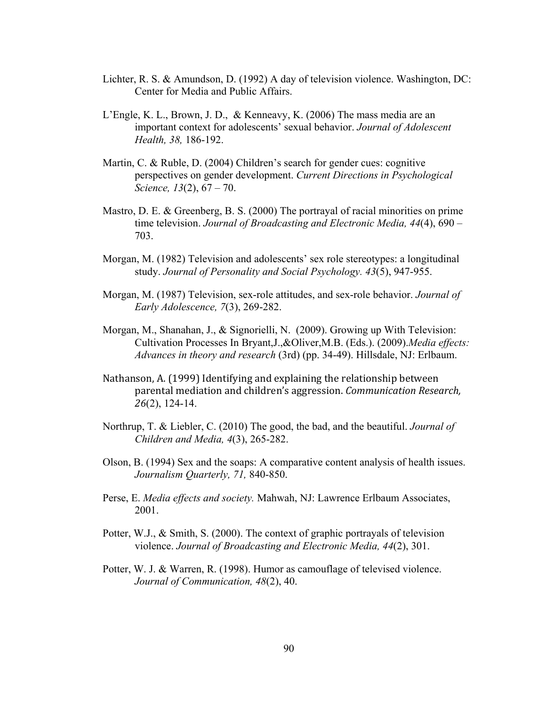- Lichter, R. S. & Amundson, D. (1992) A day of television violence. Washington, DC: Center for Media and Public Affairs.
- L'Engle, K. L., Brown, J. D., & Kenneavy, K. (2006) The mass media are an important context for adolescents' sexual behavior. *Journal of Adolescent Health, 38,* 186-192.
- Martin, C. & Ruble, D. (2004) Children's search for gender cues: cognitive perspectives on gender development. *Current Directions in Psychological Science, 13*(2), 67 – 70.
- Mastro, D. E. & Greenberg, B. S. (2000) The portrayal of racial minorities on prime time television. *Journal of Broadcasting and Electronic Media, 44*(4), 690 – 703.
- Morgan, M. (1982) Television and adolescents' sex role stereotypes: a longitudinal study. *Journal of Personality and Social Psychology. 43*(5), 947-955.
- Morgan, M. (1987) Television, sex-role attitudes, and sex-role behavior. *Journal of Early Adolescence, 7*(3), 269-282.
- Morgan, M., Shanahan, J., & Signorielli, N. (2009). Growing up With Television: Cultivation Processes In Bryant,J.,&Oliver,M.B. (Eds.). (2009).*Media effects: Advances in theory and research* (3rd) (pp. 34-49). Hillsdale, NJ: Erlbaum.
- Nathanson, A. (1999) Identifying and explaining the relationship between parental mediation and children's aggression. *Communication Research, 26*(2), 124-14.
- Northrup, T. & Liebler, C. (2010) The good, the bad, and the beautiful. *Journal of Children and Media, 4*(3), 265-282.
- Olson, B. (1994) Sex and the soaps: A comparative content analysis of health issues. *Journalism Quarterly, 71,* 840-850.
- Perse, E. *Media effects and society.* Mahwah, NJ: Lawrence Erlbaum Associates, 2001.
- Potter, W.J., & Smith, S. (2000). The context of graphic portrayals of television violence. *Journal of Broadcasting and Electronic Media, 44*(2), 301.
- Potter, W. J. & Warren, R. (1998). Humor as camouflage of televised violence. *Journal of Communication, 48*(2), 40.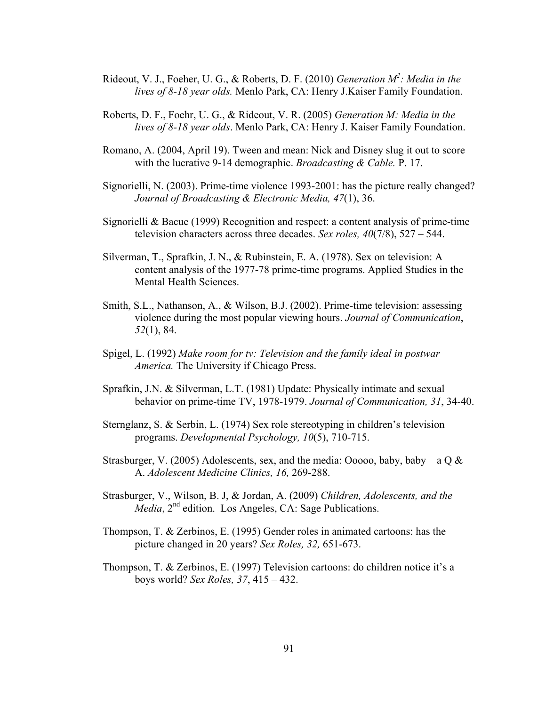- Rideout, V. J., Foeher, U. G., & Roberts, D. F. (2010) *Generation M<sup>2</sup> : Media in the lives of 8-18 year olds.* Menlo Park, CA: Henry J.Kaiser Family Foundation.
- Roberts, D. F., Foehr, U. G., & Rideout, V. R. (2005) *Generation M: Media in the lives of 8-18 year olds*. Menlo Park, CA: Henry J. Kaiser Family Foundation.
- Romano, A. (2004, April 19). Tween and mean: Nick and Disney slug it out to score with the lucrative 9-14 demographic. *Broadcasting & Cable.* P. 17.
- Signorielli, N. (2003). Prime-time violence 1993-2001: has the picture really changed? *Journal of Broadcasting & Electronic Media, 47*(1), 36.
- Signorielli & Bacue (1999) Recognition and respect: a content analysis of prime-time television characters across three decades. *Sex roles, 40*(7/8), 527 – 544.
- Silverman, T., Sprafkin, J. N., & Rubinstein, E. A. (1978). Sex on television: A content analysis of the 1977-78 prime-time programs. Applied Studies in the Mental Health Sciences.
- Smith, S.L., Nathanson, A., & Wilson, B.J. (2002). Prime-time television: assessing violence during the most popular viewing hours. *Journal of Communication*, *52*(1), 84.
- Spigel, L. (1992) *Make room for tv: Television and the family ideal in postwar America.* The University if Chicago Press.
- Sprafkin, J.N. & Silverman, L.T. (1981) Update: Physically intimate and sexual behavior on prime-time TV, 1978-1979. *Journal of Communication, 31*, 34-40.
- Sternglanz, S. & Serbin, L. (1974) Sex role stereotyping in children's television programs. *Developmental Psychology, 10*(5), 710-715.
- Strasburger, V. (2005) Adolescents, sex, and the media: Ooooo, baby, baby a Q  $\&$ A. *Adolescent Medicine Clinics, 16,* 269-288.
- Strasburger, V., Wilson, B. J, & Jordan, A. (2009) *Children, Adolescents, and the Media*, 2<sup>nd</sup> edition. Los Angeles, CA: Sage Publications.
- Thompson, T. & Zerbinos, E. (1995) Gender roles in animated cartoons: has the picture changed in 20 years? *Sex Roles, 32,* 651-673.
- Thompson, T. & Zerbinos, E. (1997) Television cartoons: do children notice it's a boys world? *Sex Roles, 37*, 415 – 432.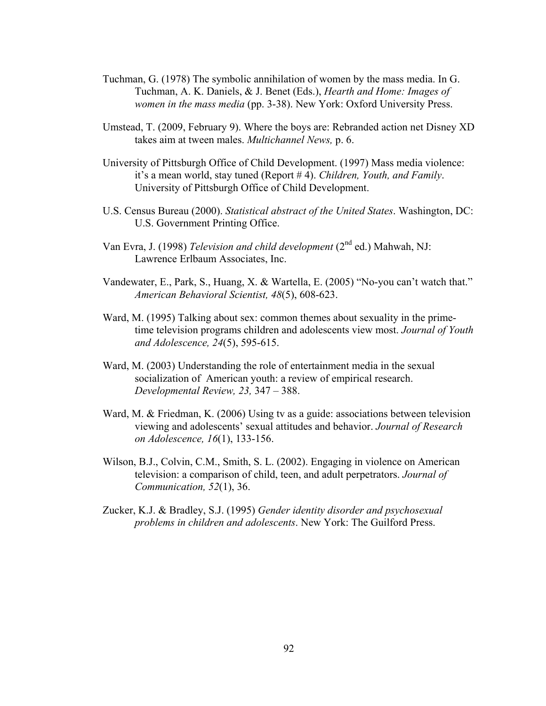- Tuchman, G. (1978) The symbolic annihilation of women by the mass media. In G. Tuchman, A. K. Daniels, & J. Benet (Eds.), *Hearth and Home: Images of women in the mass media* (pp. 3-38). New York: Oxford University Press.
- Umstead, T. (2009, February 9). Where the boys are: Rebranded action net Disney XD takes aim at tween males. *Multichannel News,* p. 6.
- University of Pittsburgh Office of Child Development. (1997) Mass media violence: it's a mean world, stay tuned (Report # 4). *Children, Youth, and Family*. University of Pittsburgh Office of Child Development.
- U.S. Census Bureau (2000). *Statistical abstract of the United States*. Washington, DC: U.S. Government Printing Office.
- Van Evra, J. (1998) *Television and child development* (2<sup>nd</sup> ed.) Mahwah, NJ: Lawrence Erlbaum Associates, Inc.
- Vandewater, E., Park, S., Huang, X. & Wartella, E. (2005) "No-you can't watch that." *American Behavioral Scientist, 48*(5), 608-623.
- Ward, M. (1995) Talking about sex: common themes about sexuality in the primetime television programs children and adolescents view most. *Journal of Youth and Adolescence, 24*(5), 595-615.
- Ward, M. (2003) Understanding the role of entertainment media in the sexual socialization of American youth: a review of empirical research. *Developmental Review, 23,* 347 – 388.
- Ward, M. & Friedman, K. (2006) Using tv as a guide: associations between television viewing and adolescents' sexual attitudes and behavior. *Journal of Research on Adolescence, 16*(1), 133-156.
- Wilson, B.J., Colvin, C.M., Smith, S. L. (2002). Engaging in violence on American television: a comparison of child, teen, and adult perpetrators. *Journal of Communication, 52*(1), 36.
- Zucker, K.J. & Bradley, S.J. (1995) *Gender identity disorder and psychosexual problems in children and adolescents*. New York: The Guilford Press.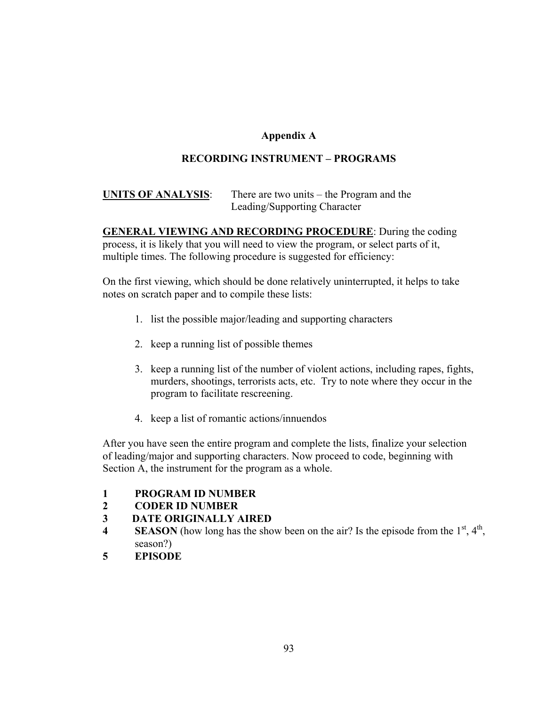# **Appendix A**

# **RECORDING INSTRUMENT – PROGRAMS**

# **UNITS OF ANALYSIS**: There are two units – the Program and the Leading/Supporting Character

**GENERAL VIEWING AND RECORDING PROCEDURE**: During the coding process, it is likely that you will need to view the program, or select parts of it, multiple times. The following procedure is suggested for efficiency:

On the first viewing, which should be done relatively uninterrupted, it helps to take notes on scratch paper and to compile these lists:

- 1. list the possible major/leading and supporting characters
- 2. keep a running list of possible themes
- 3. keep a running list of the number of violent actions, including rapes, fights, murders, shootings, terrorists acts, etc. Try to note where they occur in the program to facilitate rescreening.
- 4. keep a list of romantic actions/innuendos

After you have seen the entire program and complete the lists, finalize your selection of leading/major and supporting characters. Now proceed to code, beginning with Section A, the instrument for the program as a whole.

- **1 PROGRAM ID NUMBER**
- **2 CODER ID NUMBER**

# **3 DATE ORIGINALLY AIRED**

- **4 SEASON** (how long has the show been on the air? Is the episode from the  $1<sup>st</sup>$ ,  $4<sup>th</sup>$ , season?)
- **5 EPISODE**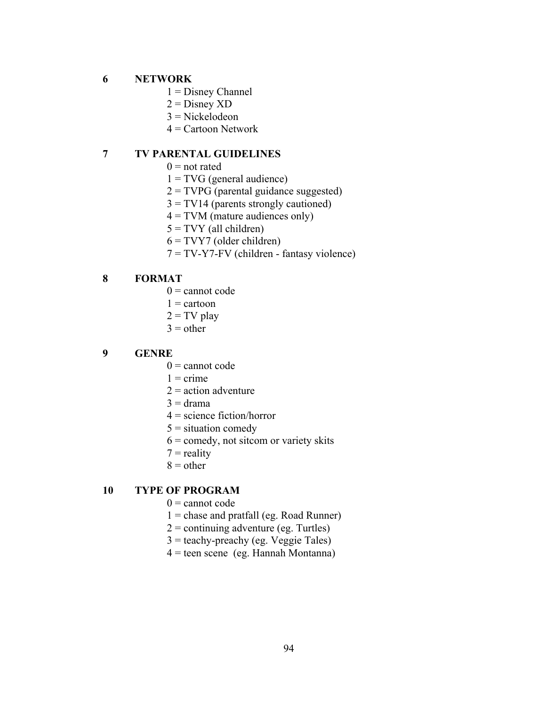## **6 NETWORK**

- $1 =$  Disney Channel
- $2 =$ Disney XD
- 3 = Nickelodeon
- $4$  = Cartoon Network

## **7 TV PARENTAL GUIDELINES**

- $0 =$  not rated
- $1 = TVG$  (general audience)
- $2 = TVPG$  (parental guidance suggested)
- $3 = TV14$  (parents strongly cautioned)
- $4 = TVM$  (mature audiences only)
- $5 = TVY$  (all children)
- $6 = TVY7$  (older children)
- 7 = TV-Y7-FV (children fantasy violence)

### **8 FORMAT**

- $0 =$  cannot code
- $1 =$  cartoon
- $2 = TV$  play
- $3$  = other

### **9 GENRE**

- $0 =$  cannot code
- $1 =$ crime
- $2 =$  action adventure
- $3 = \text{drama}$
- $4 =$  science fiction/horror
- $5 =$  situation comedy
- $6 =$  comedy, not sitcom or variety skits
- $7 =$  reality
- $8 =$  other

## **10 TYPE OF PROGRAM**

- $0 =$  cannot code
- $1 =$  chase and pratfall (eg. Road Runner)
- $2 =$  continuing adventure (eg. Turtles)
- 3 = teachy-preachy (eg. Veggie Tales)
- 4 = teen scene (eg. Hannah Montanna)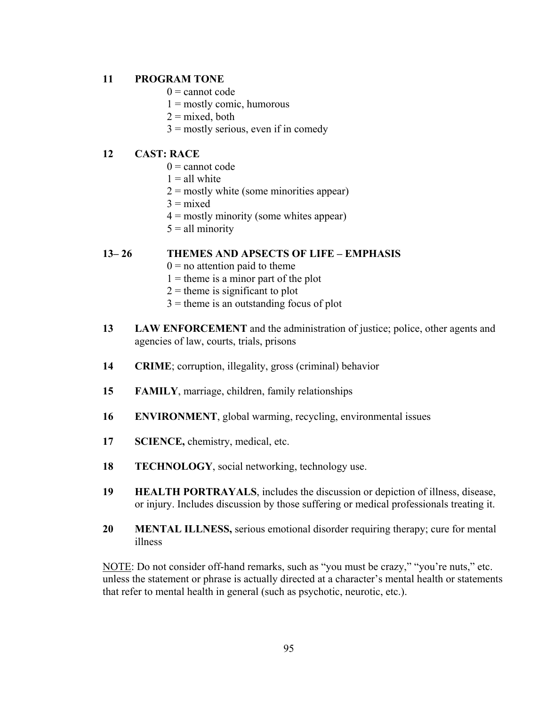## **11 PROGRAM TONE**

- $0 =$  cannot code
- $1 = \text{mostly comic, humorous}$
- $2 =$  mixed, both
- $3 =$  mostly serious, even if in comedy

### **12 CAST: RACE**

- $0 =$  cannot code
- $1 =$  all white
- $2 =$  mostly white (some minorities appear)
- $3 =$  mixed
- $4 =$  mostly minority (some whites appear)
- $5 =$ all minority

### **13– 26 THEMES AND APSECTS OF LIFE – EMPHASIS**

- $0 =$  no attention paid to theme
- $1 =$  theme is a minor part of the plot
- $2$  = theme is significant to plot
- $3$  = theme is an outstanding focus of plot
- **13 LAW ENFORCEMENT** and the administration of justice; police, other agents and agencies of law, courts, trials, prisons
- **14 CRIME**; corruption, illegality, gross (criminal) behavior
- **15 FAMILY**, marriage, children, family relationships
- **16 ENVIRONMENT**, global warming, recycling, environmental issues
- **17 SCIENCE,** chemistry, medical, etc.
- **18 TECHNOLOGY**, social networking, technology use.
- **19 HEALTH PORTRAYALS**, includes the discussion or depiction of illness, disease, or injury. Includes discussion by those suffering or medical professionals treating it.
- **20 MENTAL ILLNESS,** serious emotional disorder requiring therapy; cure for mental illness

NOTE: Do not consider off-hand remarks, such as "you must be crazy," "you're nuts," etc. unless the statement or phrase is actually directed at a character's mental health or statements that refer to mental health in general (such as psychotic, neurotic, etc.).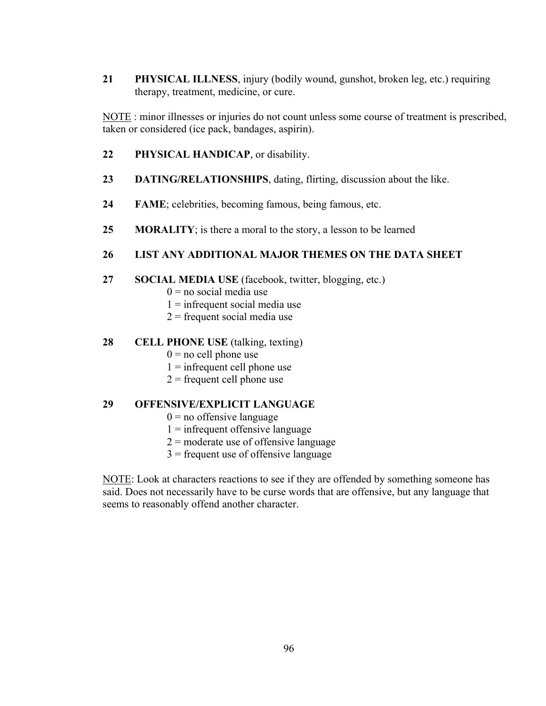**21 PHYSICAL ILLNESS**, injury (bodily wound, gunshot, broken leg, etc.) requiring therapy, treatment, medicine, or cure.

NOTE : minor illnesses or injuries do not count unless some course of treatment is prescribed, taken or considered (ice pack, bandages, aspirin).

- **22 PHYSICAL HANDICAP**, or disability.
- **23 DATING/RELATIONSHIPS**, dating, flirting, discussion about the like.
- **24 FAME**; celebrities, becoming famous, being famous, etc.
- **25 MORALITY**; is there a moral to the story, a lesson to be learned

## **26 LIST ANY ADDITIONAL MAJOR THEMES ON THE DATA SHEET**

- **27 SOCIAL MEDIA USE** (facebook, twitter, blogging, etc.)
	- $0 =$  no social media use
	- $1 =$  infrequent social media use
	- $2$  = frequent social media use

## **28 CELL PHONE USE** (talking, texting)

- $0 =$  no cell phone use
- $1 =$  infrequent cell phone use
- $2$  = frequent cell phone use

## **29 OFFENSIVE/EXPLICIT LANGUAGE**

- $0 =$  no offensive language
- $1 =$  infrequent offensive language
- $2 =$  moderate use of offensive language
- $3$  = frequent use of offensive language

NOTE: Look at characters reactions to see if they are offended by something someone has said. Does not necessarily have to be curse words that are offensive, but any language that seems to reasonably offend another character.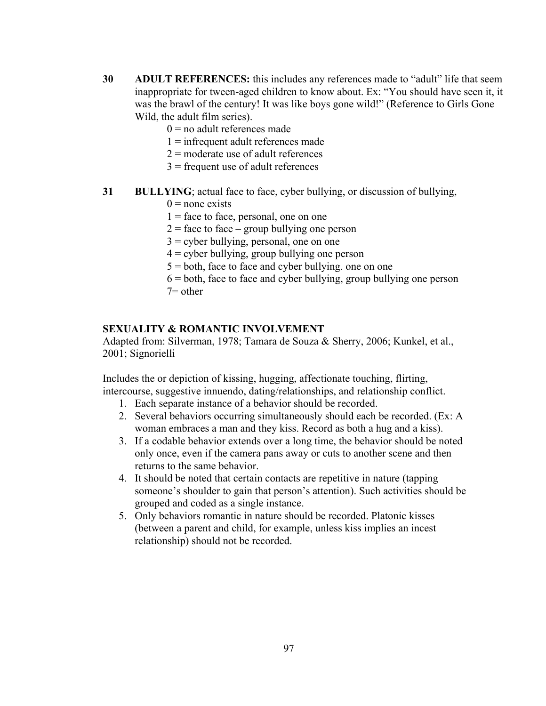- **30 ADULT REFERENCES:** this includes any references made to "adult" life that seem inappropriate for tween-aged children to know about. Ex: "You should have seen it, it was the brawl of the century! It was like boys gone wild!" (Reference to Girls Gone Wild, the adult film series).
	- $0 =$  no adult references made
	- $1 =$  infrequent adult references made
	- $2 =$  moderate use of adult references
	- $3$  = frequent use of adult references
- **31 BULLYING**; actual face to face, cyber bullying, or discussion of bullying,
	- $0$  = none exists
	- $1 =$  face to face, personal, one on one
	- $2 =$  face to face group bullying one person
	- $3 =$  cyber bullying, personal, one on one
	- $4 =$  cyber bullying, group bullying one person
	- $5 =$  both, face to face and cyber bullying. one on one
	- $6 =$  both, face to face and cyber bullying, group bullying one person  $7=$  other

## **SEXUALITY & ROMANTIC INVOLVEMENT**

Adapted from: Silverman, 1978; Tamara de Souza & Sherry, 2006; Kunkel, et al., 2001; Signorielli

Includes the or depiction of kissing, hugging, affectionate touching, flirting, intercourse, suggestive innuendo, dating/relationships, and relationship conflict.

- 1. Each separate instance of a behavior should be recorded.
- 2. Several behaviors occurring simultaneously should each be recorded. (Ex: A woman embraces a man and they kiss. Record as both a hug and a kiss).
- 3. If a codable behavior extends over a long time, the behavior should be noted only once, even if the camera pans away or cuts to another scene and then returns to the same behavior.
- 4. It should be noted that certain contacts are repetitive in nature (tapping someone's shoulder to gain that person's attention). Such activities should be grouped and coded as a single instance.
- 5. Only behaviors romantic in nature should be recorded. Platonic kisses (between a parent and child, for example, unless kiss implies an incest relationship) should not be recorded.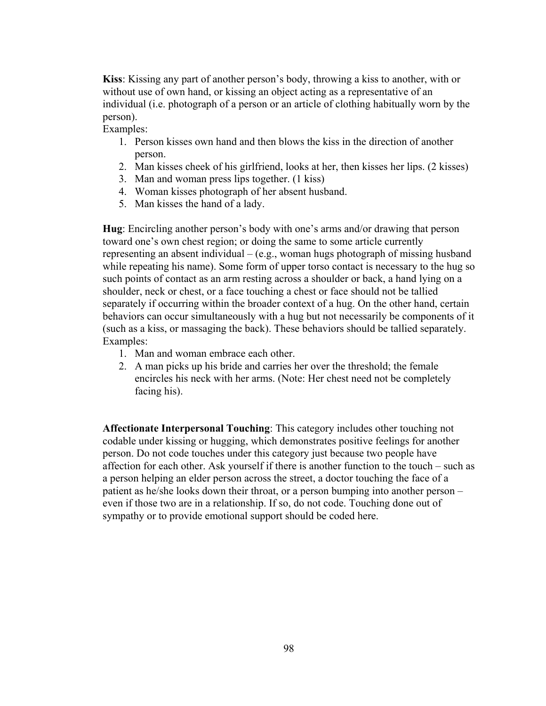**Kiss**: Kissing any part of another person's body, throwing a kiss to another, with or without use of own hand, or kissing an object acting as a representative of an individual (i.e. photograph of a person or an article of clothing habitually worn by the person).

Examples:

- 1. Person kisses own hand and then blows the kiss in the direction of another person.
- 2. Man kisses cheek of his girlfriend, looks at her, then kisses her lips. (2 kisses)
- 3. Man and woman press lips together. (1 kiss)
- 4. Woman kisses photograph of her absent husband.
- 5. Man kisses the hand of a lady.

**Hug**: Encircling another person's body with one's arms and/or drawing that person toward one's own chest region; or doing the same to some article currently representing an absent individual – (e.g., woman hugs photograph of missing husband while repeating his name). Some form of upper torso contact is necessary to the hug so such points of contact as an arm resting across a shoulder or back, a hand lying on a shoulder, neck or chest, or a face touching a chest or face should not be tallied separately if occurring within the broader context of a hug. On the other hand, certain behaviors can occur simultaneously with a hug but not necessarily be components of it (such as a kiss, or massaging the back). These behaviors should be tallied separately. Examples:

- 1. Man and woman embrace each other.
- 2. A man picks up his bride and carries her over the threshold; the female encircles his neck with her arms. (Note: Her chest need not be completely facing his).

**Affectionate Interpersonal Touching**: This category includes other touching not codable under kissing or hugging, which demonstrates positive feelings for another person. Do not code touches under this category just because two people have affection for each other. Ask yourself if there is another function to the touch – such as a person helping an elder person across the street, a doctor touching the face of a patient as he/she looks down their throat, or a person bumping into another person – even if those two are in a relationship. If so, do not code. Touching done out of sympathy or to provide emotional support should be coded here.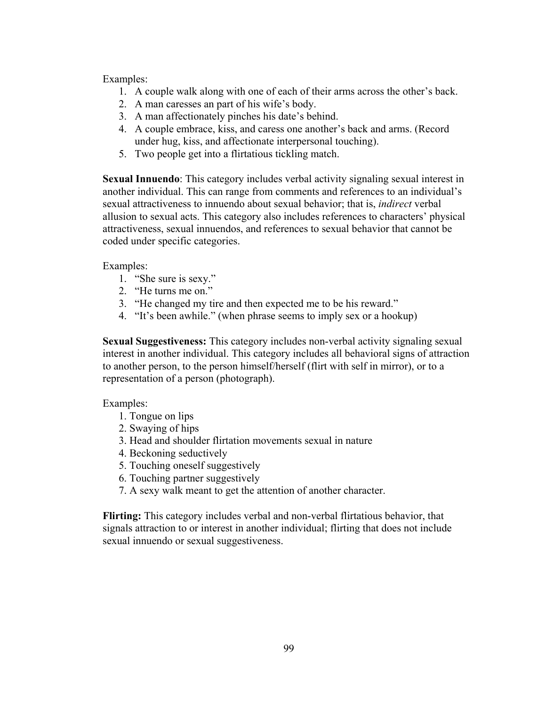Examples:

- 1. A couple walk along with one of each of their arms across the other's back.
- 2. A man caresses an part of his wife's body.
- 3. A man affectionately pinches his date's behind.
- 4. A couple embrace, kiss, and caress one another's back and arms. (Record under hug, kiss, and affectionate interpersonal touching).
- 5. Two people get into a flirtatious tickling match.

**Sexual Innuendo**: This category includes verbal activity signaling sexual interest in another individual. This can range from comments and references to an individual's sexual attractiveness to innuendo about sexual behavior; that is, *indirect* verbal allusion to sexual acts. This category also includes references to characters' physical attractiveness, sexual innuendos, and references to sexual behavior that cannot be coded under specific categories.

Examples:

- 1. "She sure is sexy."
- 2. "He turns me on."
- 3. "He changed my tire and then expected me to be his reward."
- 4. "It's been awhile." (when phrase seems to imply sex or a hookup)

**Sexual Suggestiveness:** This category includes non-verbal activity signaling sexual interest in another individual. This category includes all behavioral signs of attraction to another person, to the person himself/herself (flirt with self in mirror), or to a representation of a person (photograph).

Examples:

- 1. Tongue on lips
- 2. Swaying of hips
- 3. Head and shoulder flirtation movements sexual in nature
- 4. Beckoning seductively
- 5. Touching oneself suggestively
- 6. Touching partner suggestively
- 7. A sexy walk meant to get the attention of another character.

**Flirting:** This category includes verbal and non-verbal flirtatious behavior, that signals attraction to or interest in another individual; flirting that does not include sexual innuendo or sexual suggestiveness.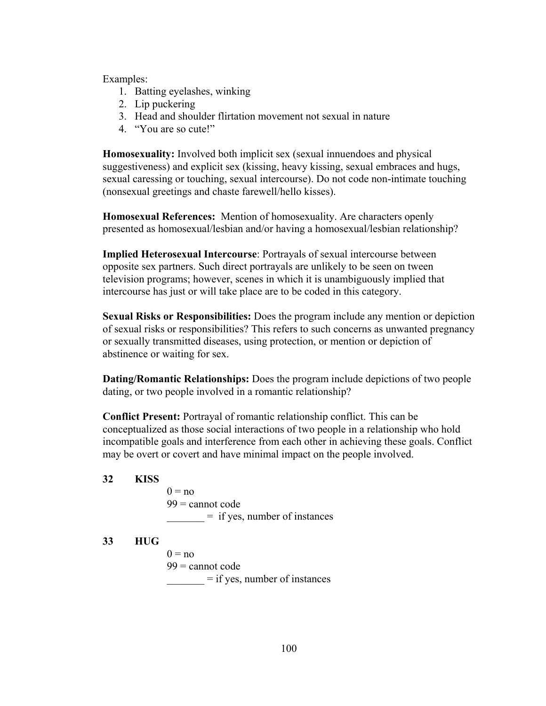- 1. Batting eyelashes, winking
- 2. Lip puckering
- 3. Head and shoulder flirtation movement not sexual in nature
- 4. "You are so cute!"

**Homosexuality:** Involved both implicit sex (sexual innuendoes and physical suggestiveness) and explicit sex (kissing, heavy kissing, sexual embraces and hugs, sexual caressing or touching, sexual intercourse). Do not code non-intimate touching (nonsexual greetings and chaste farewell/hello kisses).

**Homosexual References:** Mention of homosexuality. Are characters openly presented as homosexual/lesbian and/or having a homosexual/lesbian relationship?

**Implied Heterosexual Intercourse**: Portrayals of sexual intercourse between opposite sex partners. Such direct portrayals are unlikely to be seen on tween television programs; however, scenes in which it is unambiguously implied that intercourse has just or will take place are to be coded in this category.

**Sexual Risks or Responsibilities:** Does the program include any mention or depiction of sexual risks or responsibilities? This refers to such concerns as unwanted pregnancy or sexually transmitted diseases, using protection, or mention or depiction of abstinence or waiting for sex.

**Dating/Romantic Relationships:** Does the program include depictions of two people dating, or two people involved in a romantic relationship?

**Conflict Present:** Portrayal of romantic relationship conflict. This can be conceptualized as those social interactions of two people in a relationship who hold incompatible goals and interference from each other in achieving these goals. Conflict may be overt or covert and have minimal impact on the people involved.

**32 KISS** 

 $0 = no$  $99$  = cannot code  $=$  if yes, number of instances

#### **33 HUG**

 $0 = no$  $99$  = cannot code  $=$  if yes, number of instances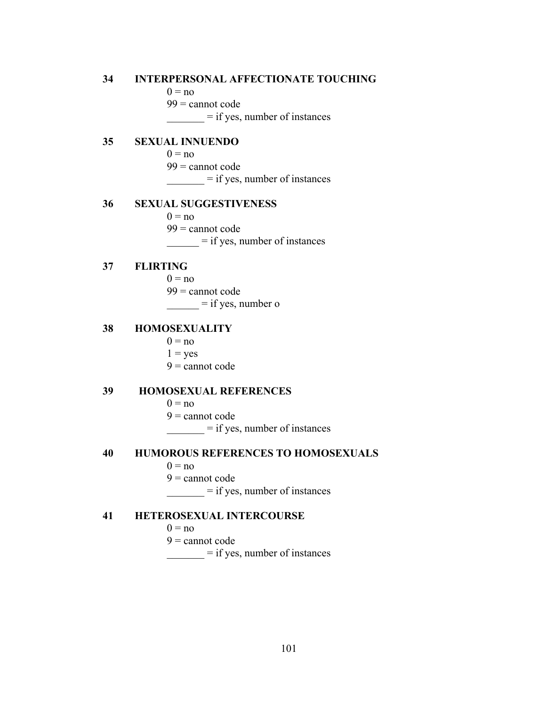### **34 INTERPERSONAL AFFECTIONATE TOUCHING**

 $0 = no$ 

 $99$  = cannot code

 $\frac{1}{\sqrt{1 - \frac{1}{\sqrt{1 - \frac{1}{\sqrt{1 - \frac{1}{\sqrt{1 - \frac{1}{\sqrt{1 - \frac{1}{\sqrt{1 - \frac{1}{\sqrt{1 - \frac{1}{\sqrt{1 - \frac{1}{\sqrt{1 - \frac{1}{\sqrt{1 - \frac{1}{\sqrt{1 - \frac{1}{\sqrt{1 - \frac{1}{\sqrt{1 - \frac{1}{\sqrt{1 - \frac{1}{\sqrt{1 - \frac{1}{\sqrt{1 - \frac{1}{\sqrt{1 - \frac{1}{\sqrt{1 - \frac{1}{\sqrt{1 - \frac{1}{\sqrt{1 - \frac{1}{\sqrt{1 - \frac{1}{\sqrt{1 -$ 

#### **35 SEXUAL INNUENDO**

 $0 = no$ 

99 = cannot code

 $=$  if yes, number of instances

#### **36 SEXUAL SUGGESTIVENESS**

 $0 = no$ 

 $99$  = cannot code

 $=$  if yes, number of instances

### **37 FLIRTING**

 $0 = no$ 

99 = cannot code

 $\frac{\ }{\ }$  = if yes, number o

#### **38 HOMOSEXUALITY**

 $0 = no$ 

#### $1 = yes$

 $9$  = cannot code

#### **39 HOMOSEXUAL REFERENCES**

- $0 = no$
- $9$  = cannot code

 $=$  if yes, number of instances

#### **40 HUMOROUS REFERENCES TO HOMOSEXUALS**

 $0 = no$ 

 $9$  = cannot code

 $\frac{1}{\sqrt{1 - \frac{1}{\sqrt{1 - \frac{1}{\sqrt{1 - \frac{1}{\sqrt{1 - \frac{1}{\sqrt{1 - \frac{1}{\sqrt{1 - \frac{1}{\sqrt{1 - \frac{1}{\sqrt{1 - \frac{1}{\sqrt{1 - \frac{1}{\sqrt{1 - \frac{1}{\sqrt{1 - \frac{1}{\sqrt{1 - \frac{1}{\sqrt{1 - \frac{1}{\sqrt{1 - \frac{1}{\sqrt{1 - \frac{1}{\sqrt{1 - \frac{1}{\sqrt{1 - \frac{1}{\sqrt{1 - \frac{1}{\sqrt{1 - \frac{1}{\sqrt{1 - \frac{1}{\sqrt{1 - \frac{1}{\sqrt{1 -$ 

#### **41 HETEROSEXUAL INTERCOURSE**

 $0 = no$ 

 $9 =$  cannot code

 $\frac{1}{\sqrt{1 - \frac{1}{\sqrt{1 - \frac{1}{\sqrt{1 - \frac{1}{\sqrt{1 - \frac{1}{\sqrt{1 - \frac{1}{\sqrt{1 - \frac{1}{\sqrt{1 - \frac{1}{\sqrt{1 - \frac{1}{\sqrt{1 - \frac{1}{\sqrt{1 - \frac{1}{\sqrt{1 - \frac{1}{\sqrt{1 - \frac{1}{\sqrt{1 - \frac{1}{\sqrt{1 - \frac{1}{\sqrt{1 - \frac{1}{\sqrt{1 - \frac{1}{\sqrt{1 - \frac{1}{\sqrt{1 - \frac{1}{\sqrt{1 - \frac{1}{\sqrt{1 - \frac{1}{\sqrt{1 - \frac{1}{\sqrt{1 -$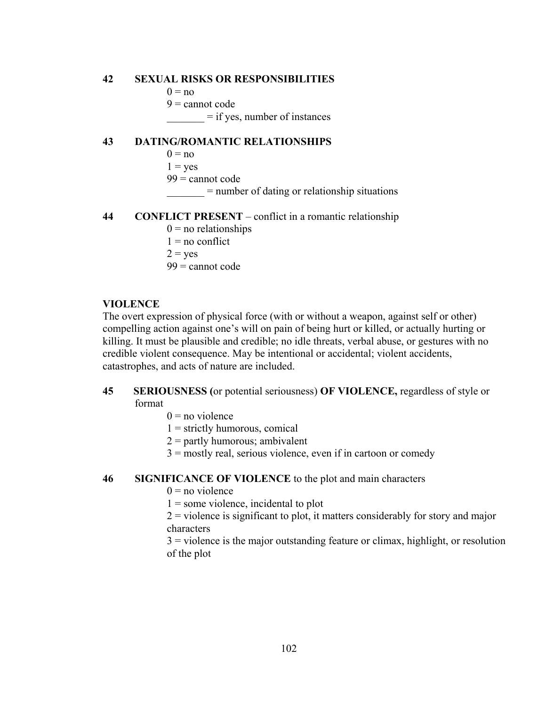#### **42 SEXUAL RISKS OR RESPONSIBILITIES**

- $0 = no$
- $9 =$  cannot code

 $=$  if yes, number of instances

#### **43 DATING/ROMANTIC RELATIONSHIPS**

- $0 = no$
- $1 = yes$
- 99 = cannot code
	- \_\_\_\_\_\_\_ = number of dating or relationship situations

### **44 CONFLICT PRESENT** – conflict in a romantic relationship

- $0 =$  no relationships
- $1 = no$  conflict
- $2 = ves$

 $99$  = cannot code

#### **VIOLENCE**

The overt expression of physical force (with or without a weapon, against self or other) compelling action against one's will on pain of being hurt or killed, or actually hurting or killing. It must be plausible and credible; no idle threats, verbal abuse, or gestures with no credible violent consequence. May be intentional or accidental; violent accidents, catastrophes, and acts of nature are included.

#### **45 SERIOUSNESS (**or potential seriousness) **OF VIOLENCE,** regardless of style or format

- $0 = no$  violence
- $1 =$  strictly humorous, comical
- $2 =$  partly humorous; ambivalent
- $3 =$  mostly real, serious violence, even if in cartoon or comedy

#### **46 SIGNIFICANCE OF VIOLENCE** to the plot and main characters

- $0 = no$  violence
- $1 =$ some violence, incidental to plot
- 2 = violence is significant to plot, it matters considerably for story and major characters
- 3 = violence is the major outstanding feature or climax, highlight, or resolution of the plot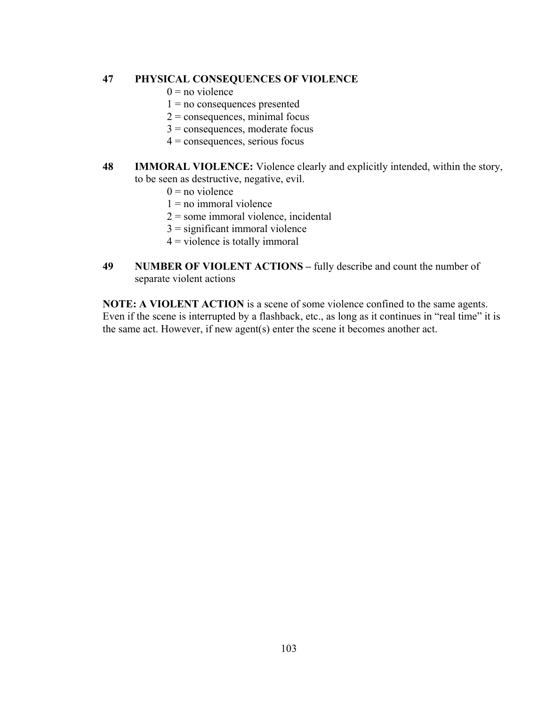#### **47 PHYSICAL CONSEQUENCES OF VIOLENCE**

- $0 = no$  violence
- $1 = no$  consequences presented
- $2 =$  consequences, minimal focus
- 3 = consequences, moderate focus
- $4$  = consequences, serious focus
- **48 IMMORAL VIOLENCE:** Violence clearly and explicitly intended, within the story, to be seen as destructive, negative, evil.
	- $0 = no$  violence
	- $1$  = no immoral violence
	- 2 = some immoral violence, incidental
	- $3 =$  significant immoral violence
	- $4$  = violence is totally immoral
- **49 NUMBER OF VIOLENT ACTIONS** fully describe and count the number of separate violent actions

**NOTE: A VIOLENT ACTION** is a scene of some violence confined to the same agents. Even if the scene is interrupted by a flashback, etc., as long as it continues in "real time" it is the same act. However, if new agent(s) enter the scene it becomes another act.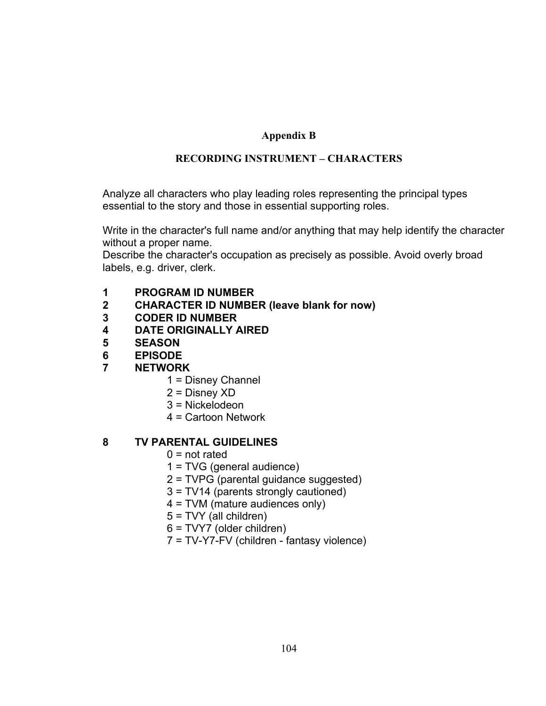# **Appendix B**

# **RECORDING INSTRUMENT – CHARACTERS**

Analyze all characters who play leading roles representing the principal types essential to the story and those in essential supporting roles.

Write in the character's full name and/or anything that may help identify the character without a proper name.

Describe the character's occupation as precisely as possible. Avoid overly broad labels, e.g. driver, clerk.

- **1 PROGRAM ID NUMBER**
- **2 CHARACTER ID NUMBER (leave blank for now)**
- **3 CODER ID NUMBER**
- **4 DATE ORIGINALLY AIRED**
- **5 SEASON**
- **6 EPISODE**
- **7 NETWORK** 
	- 1 = Disney Channel
	- 2 = Disney XD
	- 3 = Nickelodeon
	- 4 = Cartoon Network

## **8 TV PARENTAL GUIDELINES**

- $0 = not$  rated
- 1 = TVG (general audience)
- 2 = TVPG (parental guidance suggested)
- 3 = TV14 (parents strongly cautioned)
- 4 = TVM (mature audiences only)
- 5 = TVY (all children)
- 6 = TVY7 (older children)
- 7 = TV-Y7-FV (children fantasy violence)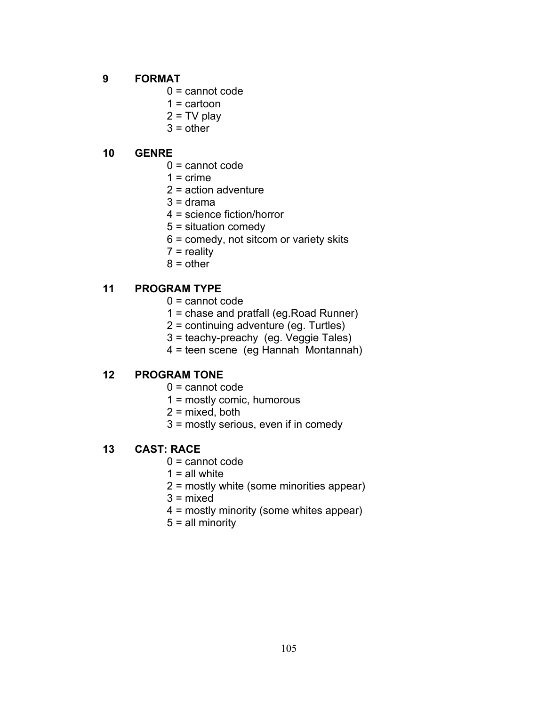## **9 FORMAT**

- 0 = cannot code
- $1 =$  cartoon
- $2 = TV$  play
- $3 = other$

## **10 GENRE**

- 0 = cannot code
- $1 =$  crime
- 2 = action adventure
- $3 = \text{drama}$
- 4 = science fiction/horror
- 5 = situation comedy
- 6 = comedy, not sitcom or variety skits
- $7$  = reality
- $8 =$  other

## **11 PROGRAM TYPE**

- 0 = cannot code
- 1 = chase and pratfall (eg.Road Runner)
- 2 = continuing adventure (eg. Turtles)
- 3 = teachy-preachy (eg. Veggie Tales)
- 4 = teen scene (eg Hannah Montannah)

### **12 PROGRAM TONE**

- 0 = cannot code
- 1 = mostly comic, humorous
- $2 =$  mixed, both
- 3 = mostly serious, even if in comedy

### **13 CAST: RACE**

- 0 = cannot code
- $1$  = all white
- 2 = mostly white (some minorities appear)
- 3 = mixed
- 4 = mostly minority (some whites appear)
- 5 = all minority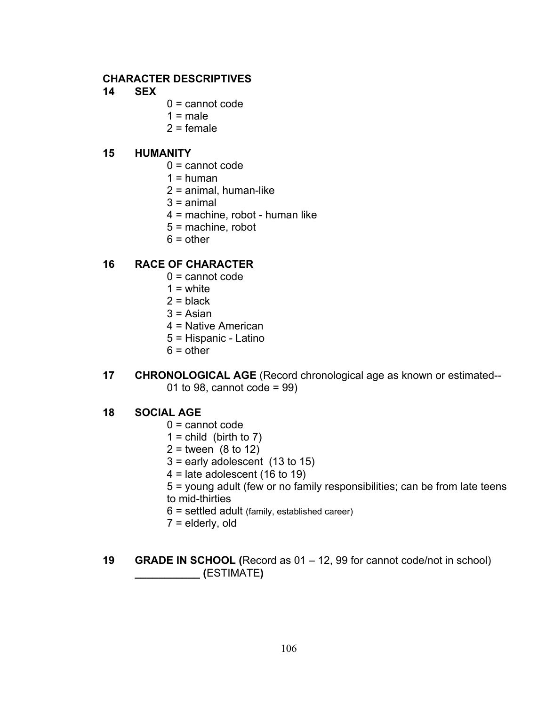### **CHARACTER DESCRIPTIVES**

- **14 SEX**
- $0 =$  cannot code
- $1 = male$
- $2 =$  female

#### **15 HUMANITY**

- 0 = cannot code
- $1 =$ human
- 2 = animal, human-like
- $3 =$ animal
- 4 = machine, robot human like
- 5 = machine, robot
- $6 = other$

### **16 RACE OF CHARACTER**

- $0 =$  cannot code
- $1 =$  white
- $2 = **black**$
- $3$  = Asian
- 4 = Native American
- 5 = Hispanic Latino
- $6 = other$
- **17 CHRONOLOGICAL AGE** (Record chronological age as known or estimated-- 01 to 98, cannot code = 99)

#### **18 SOCIAL AGE**

- 0 = cannot code
- $1 =$  child (birth to 7)
- $2 =$  tween  $(8 \text{ to } 12)$
- $3$  = early adolescent  $(13$  to 15)
- $4$  = late adolescent (16 to 19)
- 5 = young adult (few or no family responsibilities; can be from late teens to mid-thirties
- 6 = settled adult (family, established career)
- 7 = elderly, old
- **19 GRADE IN SCHOOL (**Record as 01 12, 99 for cannot code/not in school)  **\_\_\_\_\_\_\_\_\_\_\_ (**ESTIMATE**)**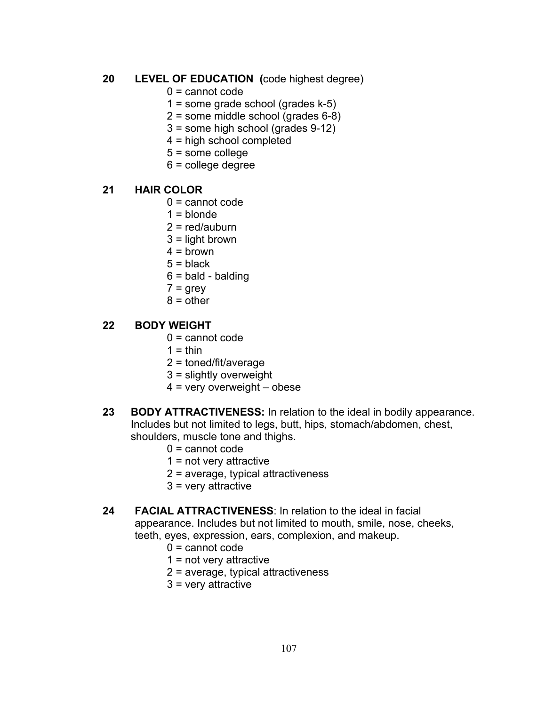# **20 LEVEL OF EDUCATION (**code highest degree)

- 0 = cannot code
- 1 = some grade school (grades k-5)
- 2 = some middle school (grades 6-8)
- 3 = some high school (grades 9-12)
- 4 = high school completed
- 5 = some college
- 6 = college degree

### **21 HAIR COLOR**

- $0 =$  cannot code
- $1 =$  blonde
- $2 = red/auburn$
- 3 = light brown
- $4 =$  brown
- $5 =$  black
- $6 =$  bald balding
- $7 = \text{grey}$
- $8 = other$

#### **22 BODY WEIGHT**

- 0 = cannot code
- $1 = thin$
- 2 = toned/fit/average
- 3 = slightly overweight
- $4$  = very overweight obese
- **23 BODY ATTRACTIVENESS:** In relation to the ideal in bodily appearance. Includes but not limited to legs, butt, hips, stomach/abdomen, chest, shoulders, muscle tone and thighs.
	- 0 = cannot code
	- 1 = not very attractive
	- 2 = average, typical attractiveness
	- 3 = very attractive
- **24 FACIAL ATTRACTIVENESS**: In relation to the ideal in facial appearance. Includes but not limited to mouth, smile, nose, cheeks, teeth, eyes, expression, ears, complexion, and makeup.
	- 0 = cannot code
	- 1 = not very attractive
	- 2 = average, typical attractiveness
	- 3 = very attractive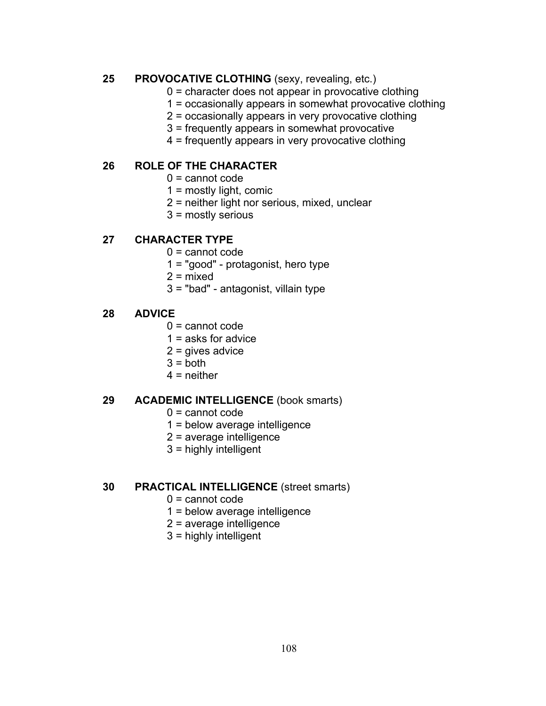### **25 PROVOCATIVE CLOTHING** (sexy, revealing, etc.)

- 0 = character does not appear in provocative clothing
- 1 = occasionally appears in somewhat provocative clothing
- 2 = occasionally appears in very provocative clothing
- 3 = frequently appears in somewhat provocative
- 4 = frequently appears in very provocative clothing

## **26 ROLE OF THE CHARACTER**

- $0 =$  cannot code
- 1 = mostly light, comic
- 2 = neither light nor serious, mixed, unclear
- 3 = mostly serious

### **27 CHARACTER TYPE**

- 0 = cannot code
- 1 = "good" protagonist, hero type
- $2 =$  mixed
- 3 = "bad" antagonist, villain type

### **28 ADVICE**

- $0 =$  cannot code
- 1 = asks for advice
- 2 = gives advice
- $3 =$  both
- $4$  = neither

#### **29 ACADEMIC INTELLIGENCE** (book smarts)

- $0 =$  cannot code
- 1 = below average intelligence
- 2 = average intelligence
- 3 = highly intelligent

#### **30 PRACTICAL INTELLIGENCE** (street smarts)

- 0 = cannot code
- 1 = below average intelligence
- 2 = average intelligence
- 3 = highly intelligent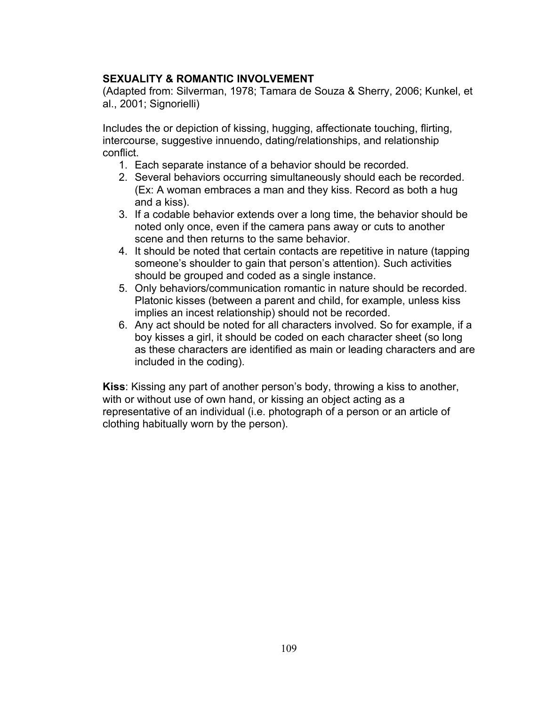## **SEXUALITY & ROMANTIC INVOLVEMENT**

(Adapted from: Silverman, 1978; Tamara de Souza & Sherry, 2006; Kunkel, et al., 2001; Signorielli)

Includes the or depiction of kissing, hugging, affectionate touching, flirting, intercourse, suggestive innuendo, dating/relationships, and relationship conflict.

- 1. Each separate instance of a behavior should be recorded.
- 2. Several behaviors occurring simultaneously should each be recorded. (Ex: A woman embraces a man and they kiss. Record as both a hug and a kiss).
- 3. If a codable behavior extends over a long time, the behavior should be noted only once, even if the camera pans away or cuts to another scene and then returns to the same behavior.
- 4. It should be noted that certain contacts are repetitive in nature (tapping someone's shoulder to gain that person's attention). Such activities should be grouped and coded as a single instance.
- 5. Only behaviors/communication romantic in nature should be recorded. Platonic kisses (between a parent and child, for example, unless kiss implies an incest relationship) should not be recorded.
- 6. Any act should be noted for all characters involved. So for example, if a boy kisses a girl, it should be coded on each character sheet (so long as these characters are identified as main or leading characters and are included in the coding).

**Kiss**: Kissing any part of another person's body, throwing a kiss to another, with or without use of own hand, or kissing an object acting as a representative of an individual (i.e. photograph of a person or an article of clothing habitually worn by the person).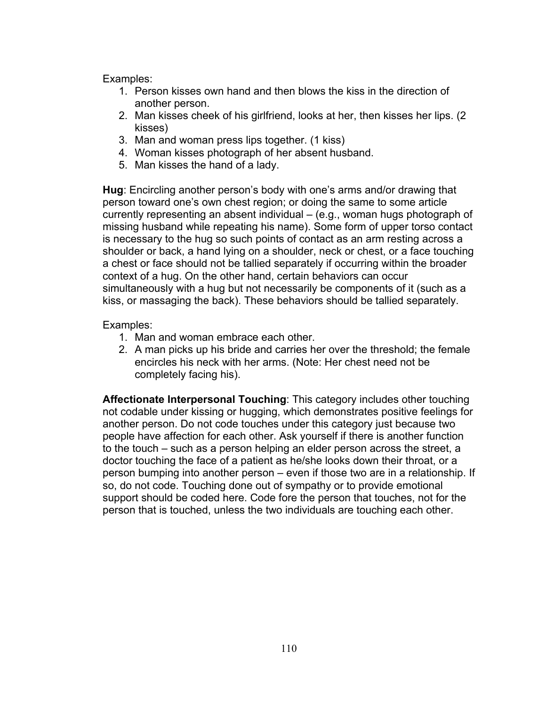- 1. Person kisses own hand and then blows the kiss in the direction of another person.
- 2. Man kisses cheek of his girlfriend, looks at her, then kisses her lips. (2 kisses)
- 3. Man and woman press lips together. (1 kiss)
- 4. Woman kisses photograph of her absent husband.
- 5. Man kisses the hand of a lady.

**Hug**: Encircling another person's body with one's arms and/or drawing that person toward one's own chest region; or doing the same to some article currently representing an absent individual – (e.g., woman hugs photograph of missing husband while repeating his name). Some form of upper torso contact is necessary to the hug so such points of contact as an arm resting across a shoulder or back, a hand lying on a shoulder, neck or chest, or a face touching a chest or face should not be tallied separately if occurring within the broader context of a hug. On the other hand, certain behaviors can occur simultaneously with a hug but not necessarily be components of it (such as a kiss, or massaging the back). These behaviors should be tallied separately.

### Examples:

- 1. Man and woman embrace each other.
- 2. A man picks up his bride and carries her over the threshold; the female encircles his neck with her arms. (Note: Her chest need not be completely facing his).

**Affectionate Interpersonal Touching**: This category includes other touching not codable under kissing or hugging, which demonstrates positive feelings for another person. Do not code touches under this category just because two people have affection for each other. Ask yourself if there is another function to the touch – such as a person helping an elder person across the street, a doctor touching the face of a patient as he/she looks down their throat, or a person bumping into another person – even if those two are in a relationship. If so, do not code. Touching done out of sympathy or to provide emotional support should be coded here. Code fore the person that touches, not for the person that is touched, unless the two individuals are touching each other.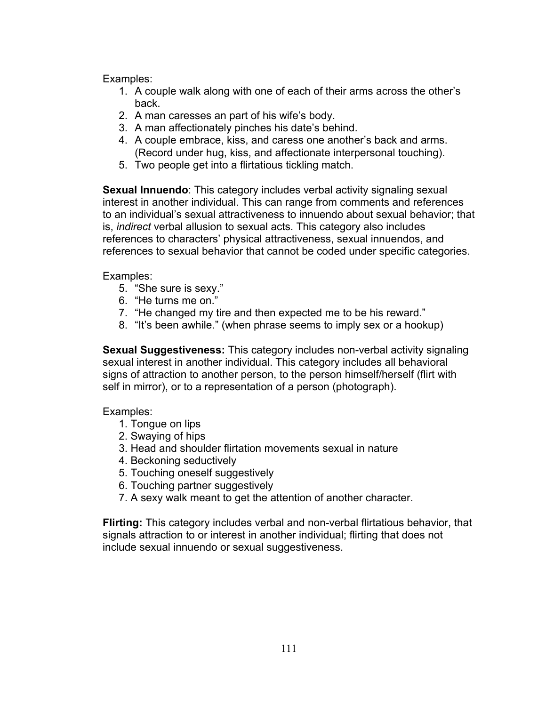- 1. A couple walk along with one of each of their arms across the other's back.
- 2. A man caresses an part of his wife's body.
- 3. A man affectionately pinches his date's behind.
- 4. A couple embrace, kiss, and caress one another's back and arms. (Record under hug, kiss, and affectionate interpersonal touching).
- 5. Two people get into a flirtatious tickling match.

**Sexual Innuendo**: This category includes verbal activity signaling sexual interest in another individual. This can range from comments and references to an individual's sexual attractiveness to innuendo about sexual behavior; that is, *indirect* verbal allusion to sexual acts. This category also includes references to characters' physical attractiveness, sexual innuendos, and references to sexual behavior that cannot be coded under specific categories.

# Examples:

- 5. "She sure is sexy."
- 6. "He turns me on."
- 7. "He changed my tire and then expected me to be his reward."
- 8. "It's been awhile." (when phrase seems to imply sex or a hookup)

**Sexual Suggestiveness:** This category includes non-verbal activity signaling sexual interest in another individual. This category includes all behavioral signs of attraction to another person, to the person himself/herself (flirt with self in mirror), or to a representation of a person (photograph).

# Examples:

- 1. Tongue on lips
- 2. Swaying of hips
- 3. Head and shoulder flirtation movements sexual in nature
- 4. Beckoning seductively
- 5. Touching oneself suggestively
- 6. Touching partner suggestively
- 7. A sexy walk meant to get the attention of another character.

**Flirting:** This category includes verbal and non-verbal flirtatious behavior, that signals attraction to or interest in another individual; flirting that does not include sexual innuendo or sexual suggestiveness.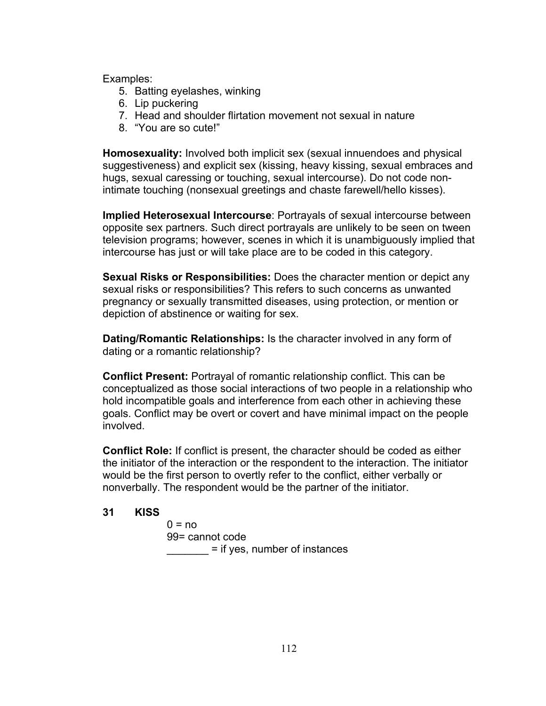- 5. Batting eyelashes, winking
- 6. Lip puckering
- 7. Head and shoulder flirtation movement not sexual in nature
- 8. "You are so cute!"

**Homosexuality:** Involved both implicit sex (sexual innuendoes and physical suggestiveness) and explicit sex (kissing, heavy kissing, sexual embraces and hugs, sexual caressing or touching, sexual intercourse). Do not code nonintimate touching (nonsexual greetings and chaste farewell/hello kisses).

**Implied Heterosexual Intercourse**: Portrayals of sexual intercourse between opposite sex partners. Such direct portrayals are unlikely to be seen on tween television programs; however, scenes in which it is unambiguously implied that intercourse has just or will take place are to be coded in this category.

**Sexual Risks or Responsibilities:** Does the character mention or depict any sexual risks or responsibilities? This refers to such concerns as unwanted pregnancy or sexually transmitted diseases, using protection, or mention or depiction of abstinence or waiting for sex.

**Dating/Romantic Relationships:** Is the character involved in any form of dating or a romantic relationship?

**Conflict Present:** Portrayal of romantic relationship conflict. This can be conceptualized as those social interactions of two people in a relationship who hold incompatible goals and interference from each other in achieving these goals. Conflict may be overt or covert and have minimal impact on the people involved.

**Conflict Role:** If conflict is present, the character should be coded as either the initiator of the interaction or the respondent to the interaction. The initiator would be the first person to overtly refer to the conflict, either verbally or nonverbally. The respondent would be the partner of the initiator.

### **31 KISS**

 $0 = no$ 99= cannot code **Example 2** = if yes, number of instances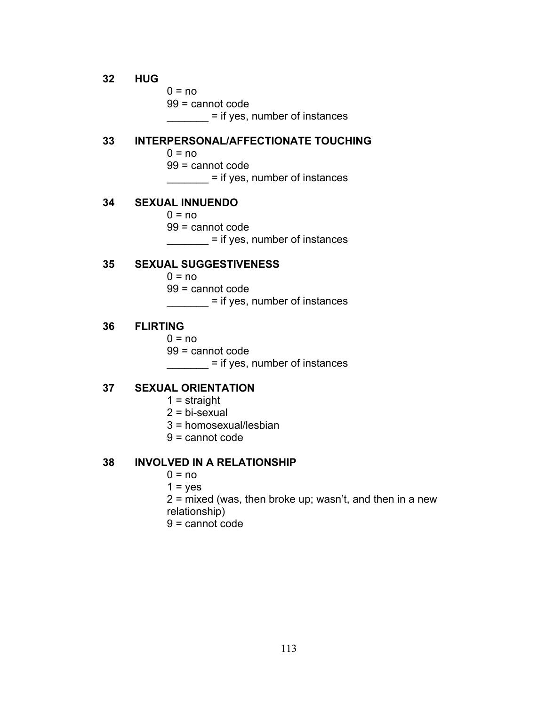#### **32 HUG**

 $0 = no$ 99 = cannot code \_\_\_\_\_\_\_ = if yes, number of instances

#### **33 INTERPERSONAL/AFFECTIONATE TOUCHING**

- $0 = no$
- 99 = cannot code

\_\_\_\_\_\_\_\_ = if yes, number of instances

### **34 SEXUAL INNUENDO**

- $0 = no$
- 99 = cannot code

\_\_\_\_\_\_\_ = if yes, number of instances

#### **35 SEXUAL SUGGESTIVENESS**

 $0 = no$ 

99 = cannot code

\_\_\_\_\_\_\_ = if yes, number of instances

#### **36 FLIRTING**

 $0 = no$ 

99 = cannot code

\_\_\_\_\_\_\_\_ = if yes, number of instances

### **37 SEXUAL ORIENTATION**

- 1 = straight
- 2 = bi-sexual
- 3 = homosexual/lesbian
- 9 = cannot code

### **38 INVOLVED IN A RELATIONSHIP**

- $0 = no$
- $1 = yes$
- $2$  = mixed (was, then broke up; wasn't, and then in a new
- relationship)
- 9 = cannot code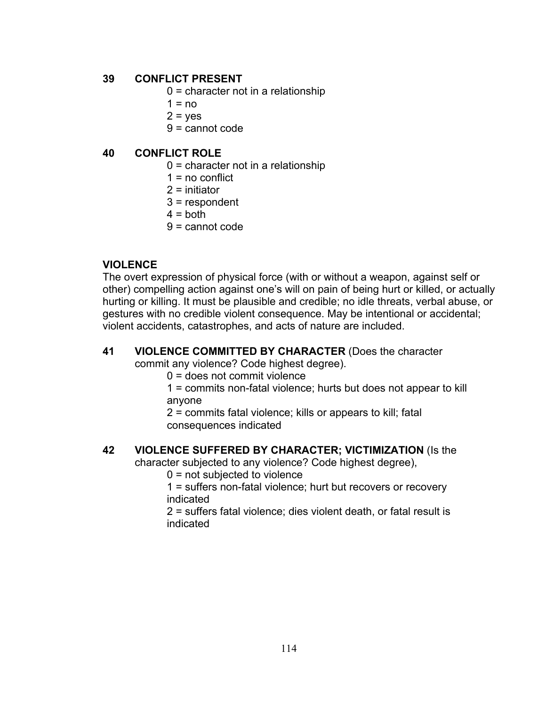### **39 CONFLICT PRESENT**

- $0 =$  character not in a relationship
- $1 = no$
- $2 = yes$
- 9 = cannot code

### **40 CONFLICT ROLE**

- $0 =$  character not in a relationship
- $1 = no$  conflict
- 2 = initiator
- 3 = respondent
- $4 =$  both
- 9 = cannot code

## **VIOLENCE**

The overt expression of physical force (with or without a weapon, against self or other) compelling action against one's will on pain of being hurt or killed, or actually hurting or killing. It must be plausible and credible; no idle threats, verbal abuse, or gestures with no credible violent consequence. May be intentional or accidental; violent accidents, catastrophes, and acts of nature are included.

# **41 VIOLENCE COMMITTED BY CHARACTER** (Does the character

commit any violence? Code highest degree).

0 = does not commit violence

1 = commits non-fatal violence; hurts but does not appear to kill anyone

2 = commits fatal violence; kills or appears to kill; fatal consequences indicated

### **42 VIOLENCE SUFFERED BY CHARACTER; VICTIMIZATION** (Is the

character subjected to any violence? Code highest degree),

0 = not subjected to violence

1 = suffers non-fatal violence; hurt but recovers or recovery indicated

2 = suffers fatal violence; dies violent death, or fatal result is indicated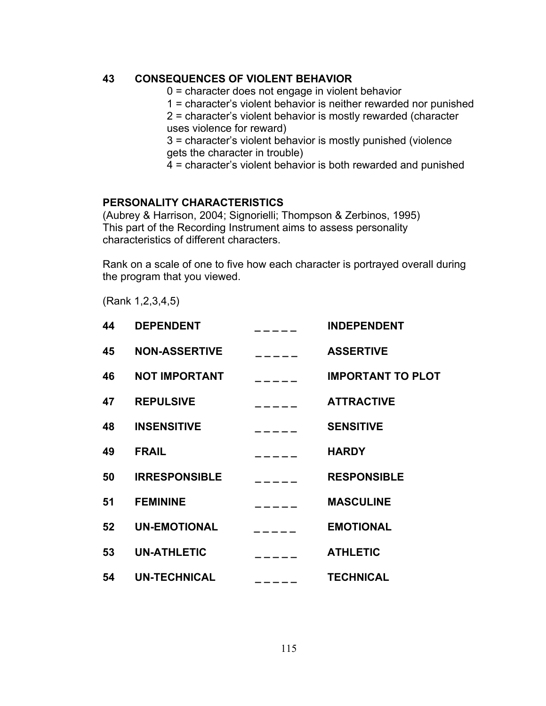## **43 CONSEQUENCES OF VIOLENT BEHAVIOR**

- 0 = character does not engage in violent behavior
- 1 = character's violent behavior is neither rewarded nor punished
- 2 = character's violent behavior is mostly rewarded (character uses violence for reward)

3 = character's violent behavior is mostly punished (violence gets the character in trouble)

4 = character's violent behavior is both rewarded and punished

## **PERSONALITY CHARACTERISTICS**

(Aubrey & Harrison, 2004; Signorielli; Thompson & Zerbinos, 1995) This part of the Recording Instrument aims to assess personality characteristics of different characters.

Rank on a scale of one to five how each character is portrayed overall during the program that you viewed.

(Rank 1,2,3,4,5)

| 44 | <b>DEPENDENT</b>     |               | <b>INDEPENDENT</b>       |
|----|----------------------|---------------|--------------------------|
| 45 | <b>NON-ASSERTIVE</b> | $\frac{1}{2}$ | <b>ASSERTIVE</b>         |
| 46 | <b>NOT IMPORTANT</b> |               | <b>IMPORTANT TO PLOT</b> |
| 47 | <b>REPULSIVE</b>     | ______        | <b>ATTRACTIVE</b>        |
| 48 | <b>INSENSITIVE</b>   | $\frac{1}{2}$ | <b>SENSITIVE</b>         |
| 49 | <b>FRAIL</b>         |               | <b>HARDY</b>             |
| 50 | <b>IRRESPONSIBLE</b> | $\frac{1}{2}$ | <b>RESPONSIBLE</b>       |
| 51 | <b>FEMININE</b>      |               | <b>MASCULINE</b>         |
| 52 | <b>UN-EMOTIONAL</b>  |               | <b>EMOTIONAL</b>         |
| 53 | <b>UN-ATHLETIC</b>   |               | <b>ATHLETIC</b>          |
| 54 | <b>UN-TECHNICAL</b>  | -----         | <b>TECHNICAL</b>         |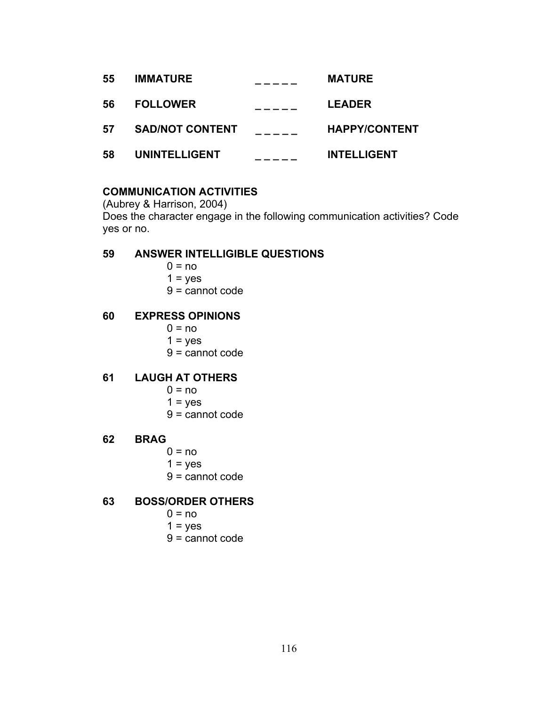| 55 | <b>IMMATURE</b>        | <b>MATURE</b>        |
|----|------------------------|----------------------|
| 56 | <b>FOLLOWER</b>        | <b>LEADER</b>        |
| 57 | <b>SAD/NOT CONTENT</b> | <b>HAPPY/CONTENT</b> |
| 58 | <b>UNINTELLIGENT</b>   | <b>INTELLIGENT</b>   |

## **COMMUNICATION ACTIVITIES**

(Aubrey & Harrison, 2004) Does the character engage in the following communication activities? Code yes or no.

### **59 ANSWER INTELLIGIBLE QUESTIONS**

- $0 = no$
- $1 = yes$
- 9 = cannot code

### **60 EXPRESS OPINIONS**

- $0 = no$
- $1 = yes$
- 9 = cannot code

## **61 LAUGH AT OTHERS**

- $0 = no$
- $1 = yes$
- 9 = cannot code

### **62 BRAG**

- $0 = no$
- $1 = yes$
- 9 = cannot code

### **63 BOSS/ORDER OTHERS**

- $0 = no$
- $1 = yes$
- 9 = cannot code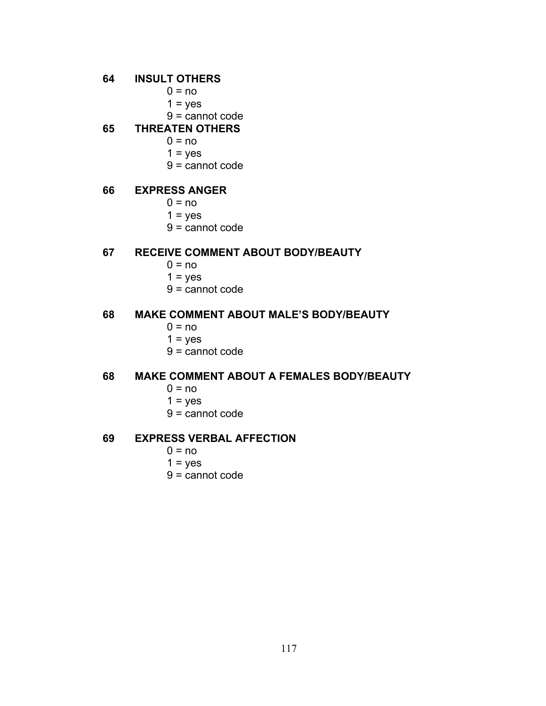### **64 INSULT OTHERS**

- $0 = no$
- $1 = yes$
- 9 = cannot code

### **65 THREATEN OTHERS**

- $0 = no$
- $1 = yes$
- 9 = cannot code

### **66 EXPRESS ANGER**

- $0 = no$
- $1 = yes$
- 9 = cannot code

### **67 RECEIVE COMMENT ABOUT BODY/BEAUTY**

- $0 = no$
- $1 = yes$
- 9 = cannot code

### **68 MAKE COMMENT ABOUT MALE'S BODY/BEAUTY**

- $0 = no$
- $1 = yes$
- 9 = cannot code

# **68 MAKE COMMENT ABOUT A FEMALES BODY/BEAUTY**

- $0 = no$
- $1 = yes$
- 9 = cannot code

### **69 EXPRESS VERBAL AFFECTION**

- $0 = no$
- $1 = yes$
- 9 = cannot code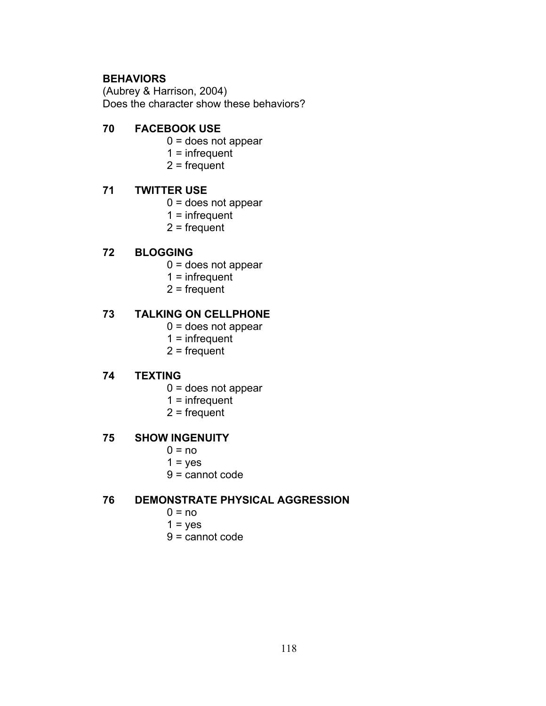# **BEHAVIORS**

(Aubrey & Harrison, 2004) Does the character show these behaviors?

## **70 FACEBOOK USE**

- 0 = does not appear
- $1 =$  infrequent
- $2$  = frequent

# **71 TWITTER USE**

- 0 = does not appear
- $1 =$  infrequent
- 2 = frequent

# **72 BLOGGING**

- 0 = does not appear
- $1 =$  infrequent
- 2 = frequent

## **73 TALKING ON CELLPHONE**

- 0 = does not appear
- $1 =$  infrequent
- 2 = frequent

# **74 TEXTING**

- 0 = does not appear
- $1 =$  infrequent
- $2$  = frequent

### **75 SHOW INGENUITY**

- $0 = no$
- $1 = yes$
- 9 = cannot code

### **76 DEMONSTRATE PHYSICAL AGGRESSION**

- $0 = no$
- $1 = yes$
- 9 = cannot code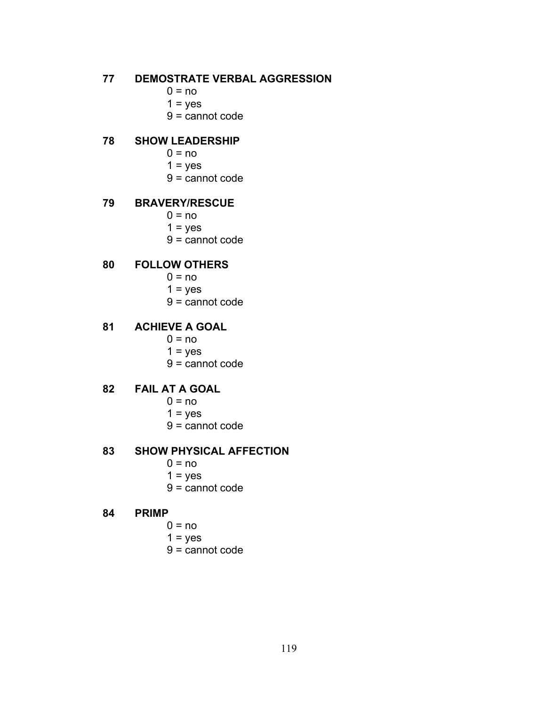### **77 DEMOSTRATE VERBAL AGGRESSION**

- $0 = no$
- $1 = yes$
- 9 = cannot code

### **78 SHOW LEADERSHIP**

- $0 = no$
- $1 = yes$
- 9 = cannot code

# **79 BRAVERY/RESCUE**

- $0 = no$
- $1 = yes$
- 9 = cannot code

### **80 FOLLOW OTHERS**

- $0 = no$ 
	- $1 = yes$
- 9 = cannot code

## **81 ACHIEVE A GOAL**

- $0 = no$
- $1 = yes$
- 9 = cannot code

# **82 FAIL AT A GOAL**

- $0 = no$
- $1 = yes$
- 9 = cannot code

#### **83 SHOW PHYSICAL AFFECTION**

- $0 = no$
- $1 = yes$
- 9 = cannot code

#### **84 PRIMP**

- $0 = no$
- $1 = yes$
- 9 = cannot code